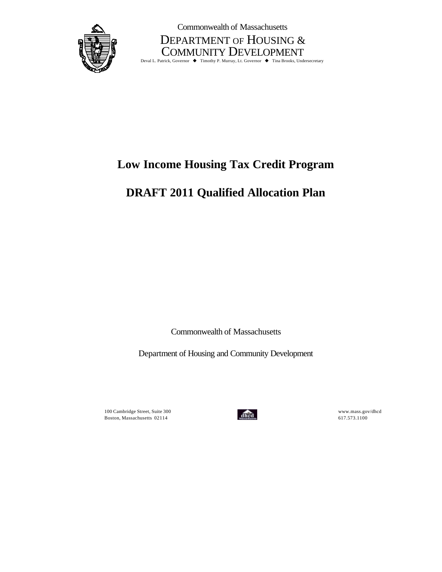

Commonwealth of Massachusetts

DEPARTMENT OF HOUSING & COMMUNITY DEVELOPMENT<br>Deval L. Patrick, Governor • Timothy P. Murray, Lt. Governor • Tina Brooks, Undersecretary

# **Low Income Housing Tax Credit Program**

# **DRAFT 2011 Qualified Allocation Plan**

Commonwealth of Massachusetts

Department of Housing and Community Development

100 Cambridge Street, Suite 300<br> **100 Cambridge Street, Suite 300**<br> **100 Cambridge Street, Suite 300**<br> **100**<br> **100**<br> **1114** Boston, Massachusetts 02114 **can be a set of the case of the case of the case of the case of the case of the case of the case of the case of the case of the case of the case of the case of the case of the case of the case** 

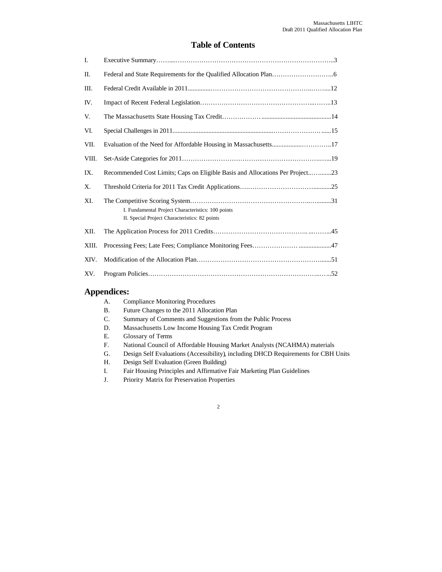## **Table of Contents**

| Ι.    |                                                                                                      |
|-------|------------------------------------------------------------------------------------------------------|
| Π.    |                                                                                                      |
| III.  |                                                                                                      |
| IV.   |                                                                                                      |
| V.    |                                                                                                      |
| VI.   |                                                                                                      |
| VII.  |                                                                                                      |
| VIII. |                                                                                                      |
| IX.   | Recommended Cost Limits; Caps on Eligible Basis and Allocations Per Project23                        |
| Χ.    |                                                                                                      |
| XI.   | I. Fundamental Project Characteristics: 100 points<br>II. Special Project Characteristics: 82 points |
| XII.  |                                                                                                      |
| XIII. |                                                                                                      |
| XIV.  |                                                                                                      |
| XV.   |                                                                                                      |

## **Appendices:**

| А. | <b>Compliance Monitoring Procedures</b>                                            |
|----|------------------------------------------------------------------------------------|
| В. | Future Changes to the 2011 Allocation Plan                                         |
| C. | Summary of Comments and Suggestions from the Public Process                        |
| D. | Massachusetts Low Income Housing Tax Credit Program                                |
| Е. | Glossary of Terms                                                                  |
| F. | National Council of Affordable Housing Market Analysts (NCAHMA) materials          |
| G. | Design Self Evaluations (Accessibility), including DHCD Requirements for CBH Units |
| Н. | Design Self Evaluation (Green Building)                                            |
| I. | Fair Housing Principles and Affirmative Fair Marketing Plan Guidelines             |
| J. | Priority Matrix for Preservation Properties                                        |
|    |                                                                                    |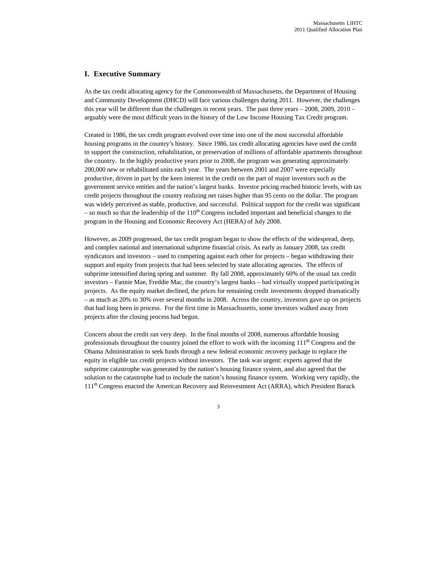## **I. Executive Summary**

As the tax credit allocating agency for the Commonwealth of Massachusetts, the Department of Housing and Community Development (DHCD) will face various challenges during 2011. However, the challenges this year will be different than the challenges in recent years. The past three years – 2008, 2009, 2010 – arguably were the most difficult years in the history of the Low Income Housing Tax Credit program.

Created in 1986, the tax credit program evolved over time into one of the most successful affordable housing programs in the country's history. Since 1986, tax credit allocating agencies have used the credit to support the construction, rehabilitation, or preservation of millions of affordable apartments throughout the country. In the highly productive years prior to 2008, the program was generating approximately 200,000 new or rehabilitated units each year. The years between 2001 and 2007 were especially productive, driven in part by the keen interest in the credit on the part of major investors such as the government service entities and the nation's largest banks. Investor pricing reached historic levels, with tax credit projects throughout the country realizing net raises higher than 95 cents on the dollar. The program was widely perceived as stable, productive, and successful. Political support for the credit was significant – so much so that the leadership of the  $110<sup>th</sup>$  Congress included important and beneficial changes to the program in the Housing and Economic Recovery Act (HERA) of July 2008.

However, as 2009 progressed, the tax credit program began to show the effects of the widespread, deep, and complex national and international subprime financial crisis. As early as January 2008, tax credit syndicators and investors – used to competing against each other for projects – began withdrawing their support and equity from projects that had been selected by state allocating agencies. The effects of subprime intensified during spring and summer. By fall 2008, approximately 60% of the usual tax credit investors – Fannie Mae, Freddie Mac, the country's largest banks – had virtually stopped participating in projects. As the equity market declined, the prices for remaining credit investments dropped dramatically – as much as 20% to 30% over several months in 2008. Across the country, investors gave up on projects that had long been in process. For the first time in Massachusetts, some investors walked away from projects after the closing process had begun.

Concern about the credit ran very deep. In the final months of 2008, numerous affordable housing professionals throughout the country joined the effort to work with the incoming  $111<sup>th</sup>$  Congress and the Obama Administration to seek funds through a new federal economic recovery package to replace the equity in eligible tax credit projects without investors. The task was urgent: experts agreed that the subprime catastrophe was generated by the nation's housing finance system, and also agreed that the solution to the catastrophe had to include the nation's housing finance system. Working very rapidly, the 111<sup>th</sup> Congress enacted the American Recovery and Reinvestment Act (ARRA), which President Barack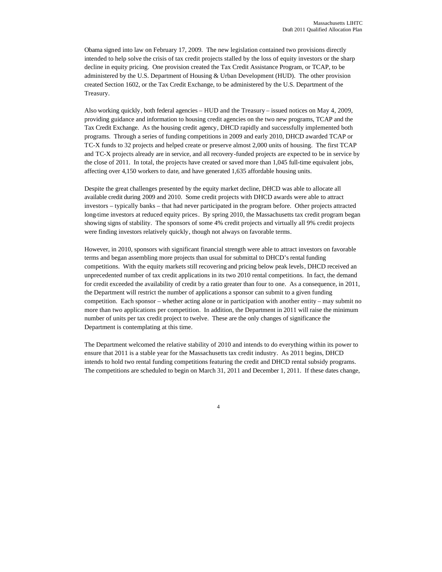Obama signed into law on February 17, 2009. The new legislation contained two provisions directly intended to help solve the crisis of tax credit projects stalled by the loss of equity investors or the sharp decline in equity pricing. One provision created the Tax Credit Assistance Program, or TCAP, to be administered by the U.S. Department of Housing & Urban Development (HUD). The other provision created Section 1602, or the Tax Credit Exchange, to be administered by the U.S. Department of the Treasury.

Also working quickly, both federal agencies – HUD and the Treasury – issued notices on May 4, 2009, providing guidance and information to housing credit agencies on the two new programs, TCAP and the Tax Credit Exchange. As the housing credit agency, DHCD rapidly and successfully implemented both programs. Through a series of funding competitions in 2009 and early 2010, DHCD awarded TCAP or TC-X funds to 32 projects and helped create or preserve almost 2,000 units of housing. The first TCAP and TC-X projects already are in service, and all recovery-funded projects are expected to be in service by the close of 2011. In total, the projects have created or saved more than 1,045 full-time equivalent jobs, affecting over 4,150 workers to date, and have generated 1,635 affordable housing units.

Despite the great challenges presented by the equity market decline, DHCD was able to allocate all available credit during 2009 and 2010. Some credit projects with DHCD awards were able to attract investors – typically banks – that had never participated in the program before. Other projects attracted long-time investors at reduced equity prices. By spring 2010, the Massachusetts tax credit program began showing signs of stability. The sponsors of some 4% credit projects and virtually all 9% credit projects were finding investors relatively quickly, though not always on favorable terms.

However, in 2010, sponsors with significant financial strength were able to attract investors on favorable terms and began assembling more projects than usual for submittal to DHCD's rental funding competitions. With the equity markets still recovering and pricing below peak levels, DHCD received an unprecedented number of tax credit applications in its two 2010 rental competitions. In fact, the demand for credit exceeded the availability of credit by a ratio greater than four to one. As a consequence, in 2011, the Department will restrict the number of applications a sponsor can submit to a given funding competition. Each sponsor – whether acting alone or in participation with another entity – may submit no more than two applications per competition. In addition, the Department in 2011 will raise the minimum number of units per tax credit project to twelve. These are the only changes of significance the Department is contemplating at this time.

The Department welcomed the relative stability of 2010 and intends to do everything within its power to ensure that 2011 is a stable year for the Massachusetts tax credit industry. As 2011 begins, DHCD intends to hold two rental funding competitions featuring the credit and DHCD rental subsidy programs. The competitions are scheduled to begin on March 31, 2011 and December 1, 2011. If these dates change,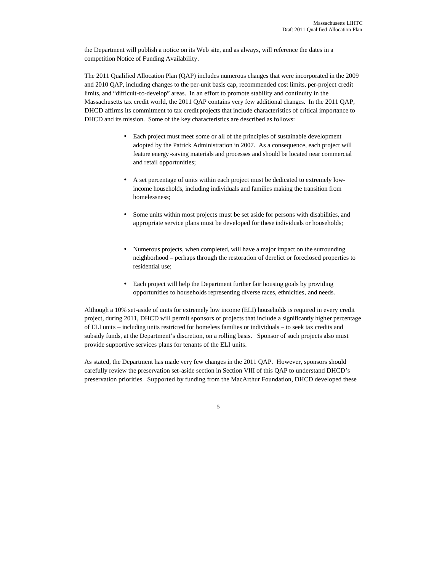the Department will publish a notice on its Web site, and as always, will reference the dates in a competition Notice of Funding Availability.

The 2011 Qualified Allocation Plan (QAP) includes numerous changes that were incorporated in the 2009 and 2010 QAP, including changes to the per-unit basis cap, recommended cost limits, per-project credit limits, and "difficult-to-develop" areas. In an effort to promote stability and continuity in the Massachusetts tax credit world, the 2011 QAP contains very few additional changes. In the 2011 QAP, DHCD affirms its commitment to tax credit projects that include characteristics of critical importance to DHCD and its mission. Some of the key characteristics are described as follows:

- Each project must meet some or all of the principles of sustainable development adopted by the Patrick Administration in 2007. As a consequence, each project will feature energy -saving materials and processes and should be located near commercial and retail opportunities;
- A set percentage of units within each project must be dedicated to extremely lowincome households, including individuals and families making the transition from homelessness;
- Some units within most projects must be set aside for persons with disabilities, and appropriate service plans must be developed for these individuals or households;
- Numerous projects, when completed, will have a major impact on the surrounding neighborhood – perhaps through the restoration of derelict or foreclosed properties to residential use;
- Each project will help the Department further fair housing goals by providing opportunities to households representing diverse races, ethnicities, and needs.

Although a 10% set-aside of units for extremely low income (ELI) households is required in every credit project, during 2011, DHCD will permit sponsors of projects that include a significantly higher percentage of ELI units – including units restricted for homeless families or individuals – to seek tax credits and subsidy funds, at the Department's discretion, on a rolling basis. Sponsor of such projects also must provide supportive services plans for tenants of the ELI units.

As stated, the Department has made very few changes in the 2011 QAP. However, sponsors should carefully review the preservation set-aside section in Section VIII of this QAP to understand DHCD's preservation priorities. Supported by funding from the MacArthur Foundation, DHCD developed these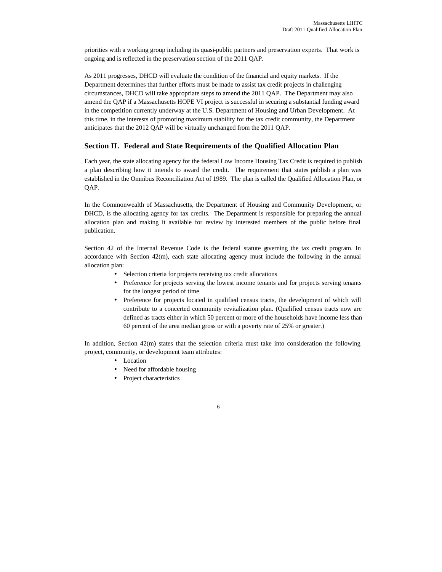priorities with a working group including its quasi-public partners and preservation experts. That work is ongoing and is reflected in the preservation section of the 2011 QAP.

As 2011 progresses, DHCD will evaluate the condition of the financial and equity markets. If the Department determines that further efforts must be made to assist tax credit projects in challenging circumstances, DHCD will take appropriate steps to amend the 2011 QAP. The Department may also amend the QAP if a Massachusetts HOPE VI project is successful in securing a substantial funding award in the competition currently underway at the U.S. Department of Housing and Urban Development. At this time, in the interests of promoting maximum stability for the tax credit community, the Department anticipates that the 2012 QAP will be virtually unchanged from the 2011 QAP.

## **Section II. Federal and State Requirements of the Qualified Allocation Plan**

Each year, the state allocating agency for the federal Low Income Housing Tax Credit is required to publish a plan describing how it intends to award the credit. The requirement that states publish a plan was established in the Omnibus Reconciliation Act of 1989. The plan is called the Qualified Allocation Plan, or QAP.

In the Commonwealth of Massachusetts, the Department of Housing and Community Development, or DHCD, is the allocating agency for tax credits. The Department is responsible for preparing the annual allocation plan and making it available for review by interested members of the public before final publication.

Section 42 of the Internal Revenue Code is the federal statute governing the tax credit program. In accordance with Section 42(m), each state allocating agency must include the following in the annual allocation plan:

- Selection criteria for projects receiving tax credit allocations
- Preference for projects serving the lowest income tenants and for projects serving tenants for the longest period of time
- Preference for projects located in qualified census tracts, the development of which will contribute to a concerted community revitalization plan. (Qualified census tracts now are defined as tracts either in which 50 percent or more of the households have income less than 60 percent of the area median gross or with a poverty rate of 25% or greater.)

In addition, Section 42(m) states that the selection criteria must take into consideration the following project, community, or development team attributes:

- Location
- Need for affordable housing
- Project characteristics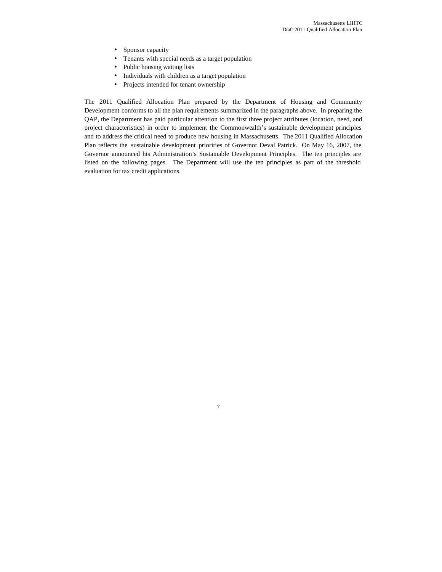- Sponsor capacity
- Tenants with special needs as a target population
- Public housing waiting lists
- Individuals with children as a target population
- Projects intended for tenant ownership

The 2011 Qualified Allocation Plan prepared by the Department of Housing and Community Development conforms to all the plan requirements summarized in the paragraphs above. In preparing the QAP, the Department has paid particular attention to the first three project attributes (location, need, and project characteristics) in order to implement the Commonwealth's sustainable development principles and to address the critical need to produce new housing in Massachusetts. The 2011 Qualified Allocation Plan reflects the sustainable development priorities of Governor Deval Patrick. On May 16, 2007, the Governor announced his Administration's Sustainable Development Principles. The ten principles are listed on the following pages. The Department will use the ten principles as part of the threshold evaluation for tax credit applications.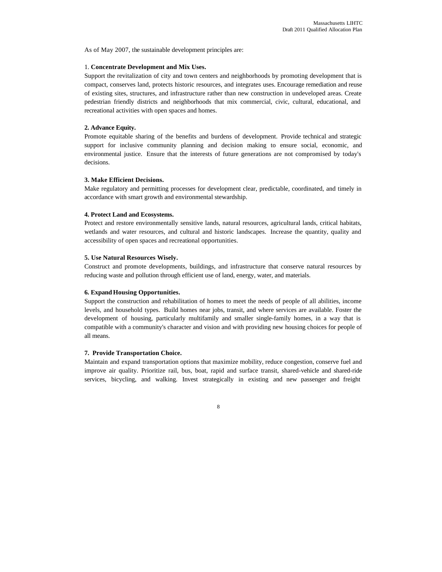As of May 2007, the sustainable development principles are:

## 1. **Concentrate Development and Mix Uses.**

Support the revitalization of city and town centers and neighborhoods by promoting development that is compact, conserves land, protects historic resources, and integrates uses. Encourage remediation and reuse of existing sites, structures, and infrastructure rather than new construction in undeveloped areas. Create pedestrian friendly districts and neighborhoods that mix commercial, civic, cultural, educational, and recreational activities with open spaces and homes.

## **2. Advance Equity.**

Promote equitable sharing of the benefits and burdens of development. Provide technical and strategic support for inclusive community planning and decision making to ensure social, economic, and environmental justice. Ensure that the interests of future generations are not compromised by today's decisions.

## **3. Make Efficient Decisions.**

Make regulatory and permitting processes for development clear, predictable, coordinated, and timely in accordance with smart growth and environmental stewardship.

#### **4. Protect Land and Ecosystems.**

Protect and restore environmentally sensitive lands, natural resources, agricultural lands, critical habitats, wetlands and water resources, and cultural and historic landscapes. Increase the quantity, quality and accessibility of open spaces and recreational opportunities.

#### **5. Use Natural Resources Wisely.**

Construct and promote developments, buildings, and infrastructure that conserve natural resources by reducing waste and pollution through efficient use of land, energy, water, and materials.

#### **6. Expand Housing Opportunities.**

Support the construction and rehabilitation of homes to meet the needs of people of all abilities, income levels, and household types. Build homes near jobs, transit, and where services are available. Foster the development of housing, particularly multifamily and smaller single-family homes, in a way that is compatible with a community's character and vision and with providing new housing choices for people of all means.

#### **7. Provide Transportation Choice.**

Maintain and expand transportation options that maximize mobility, reduce congestion, conserve fuel and improve air quality. Prioritize rail, bus, boat, rapid and surface transit, shared-vehicle and shared-ride services, bicycling, and walking. Invest strategically in existing and new passenger and freight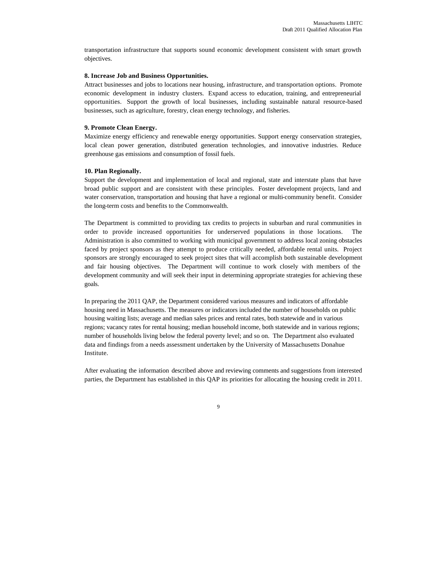transportation infrastructure that supports sound economic development consistent with smart growth objectives.

#### **8. Increase Job and Business Opportunities.**

Attract businesses and jobs to locations near housing, infrastructure, and transportation options. Promote economic development in industry clusters. Expand access to education, training, and entrepreneurial opportunities. Support the growth of local businesses, including sustainable natural resource-based businesses, such as agriculture, forestry, clean energy technology, and fisheries.

## **9. Promote Clean Energy.**

Maximize energy efficiency and renewable energy opportunities. Support energy conservation strategies, local clean power generation, distributed generation technologies, and innovative industries. Reduce greenhouse gas emissions and consumption of fossil fuels.

#### **10. Plan Regionally.**

Support the development and implementation of local and regional, state and interstate plans that have broad public support and are consistent with these principles. Foster development projects, land and water conservation, transportation and housing that have a regional or multi-community benefit. Consider the long-term costs and benefits to the Commonwealth.

The Department is committed to providing tax credits to projects in suburban and rural communities in order to provide increased opportunities for underserved populations in those locations. The Administration is also committed to working with municipal government to address local zoning obstacles faced by project sponsors as they attempt to produce critically needed, affordable rental units. Project sponsors are strongly encouraged to seek project sites that will accomplish both sustainable development and fair housing objectives. The Department will continue to work closely with members of the development community and will seek their input in determining appropriate strategies for achieving these goals.

In preparing the 2011 QAP, the Department considered various measures and indicators of affordable housing need in Massachusetts. The measures or indicators included the number of households on public housing waiting lists; average and median sales prices and rental rates, both statewide and in various regions; vacancy rates for rental housing; median household income, both statewide and in various regions; number of households living below the federal poverty level; and so on. The Department also evaluated data and findings from a needs assessment undertaken by the University of Massachusetts Donahue Institute.

After evaluating the information described above and reviewing comments and suggestions from interested parties, the Department has established in this QAP its priorities for allocating the housing credit in 2011.

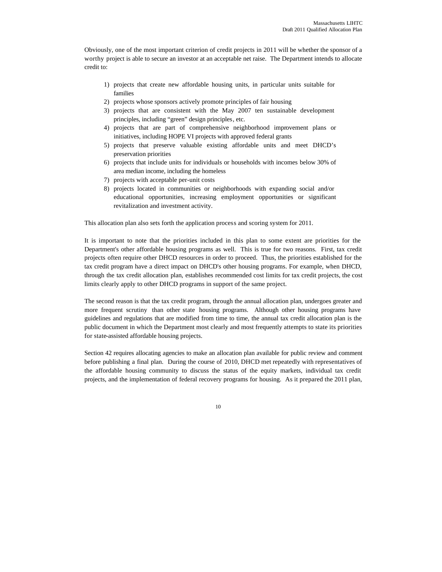Obviously, one of the most important criterion of credit projects in 2011 will be whether the sponsor of a worthy project is able to secure an investor at an acceptable net raise. The Department intends to allocate credit to:

- 1) projects that create new affordable housing units, in particular units suitable for families
- 2) projects whose sponsors actively promote principles of fair housing
- 3) projects that are consistent with the May 2007 ten sustainable development principles, including "green" design principles, etc.
- 4) projects that are part of comprehensive neighborhood improvement plans or initiatives, including HOPE VI projects with approved federal grants
- 5) projects that preserve valuable existing affordable units and meet DHCD's preservation priorities
- 6) projects that include units for individuals or households with incomes below 30% of area median income, including the homeless
- 7) projects with acceptable per-unit costs
- 8) projects located in communities or neighborhoods with expanding social and/or educational opportunities, increasing employment opportunities or significant revitalization and investment activity.

This allocation plan also sets forth the application process and scoring system for 2011.

It is important to note that the priorities included in this plan to some extent are priorities for the Department's other affordable housing programs as well. This is true for two reasons. First, tax credit projects often require other DHCD resources in order to proceed. Thus, the priorities established for the tax credit program have a direct impact on DHCD's other housing programs. For example, when DHCD, through the tax credit allocation plan, establishes recommended cost limits for tax credit projects, the cost limits clearly apply to other DHCD programs in support of the same project.

The second reason is that the tax credit program, through the annual allocation plan, undergoes greater and more frequent scrutiny than other state housing programs. Although other housing programs have guidelines and regulations that are modified from time to time, the annual tax credit allocation plan is the public document in which the Department most clearly and most frequently attempts to state its priorities for state-assisted affordable housing projects.

Section 42 requires allocating agencies to make an allocation plan available for public review and comment before publishing a final plan. During the course of 2010, DHCD met repeatedly with representatives of the affordable housing community to discuss the status of the equity markets, individual tax credit projects, and the implementation of federal recovery programs for housing. As it prepared the 2011 plan,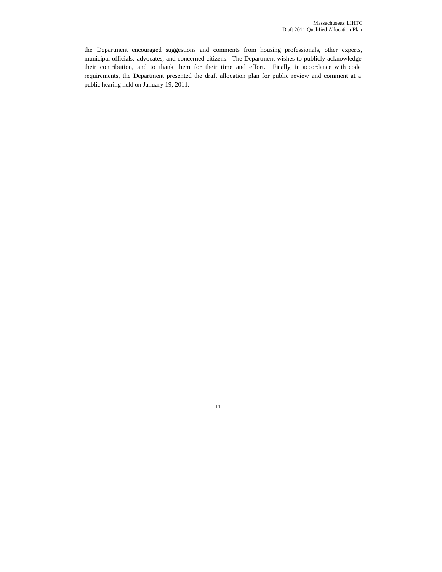the Department encouraged suggestions and comments from housing professionals, other experts, municipal officials, advocates, and concerned citizens. The Department wishes to publicly acknowledge their contribution, and to thank them for their time and effort. Finally, in accordance with code requirements, the Department presented the draft allocation plan for public review and comment at a public hearing held on January 19, 2011.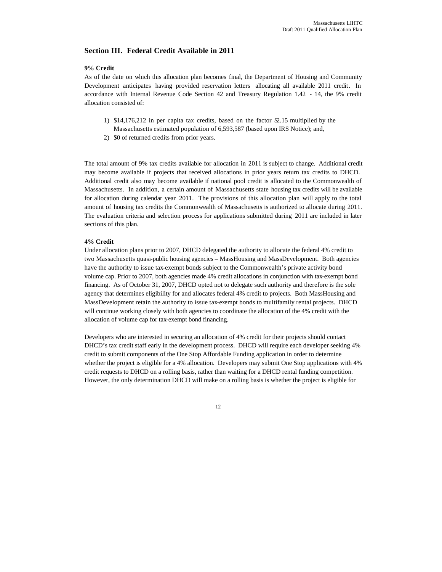## **Section III. Federal Credit Available in 2011**

#### **9% Credit**

As of the date on which this allocation plan becomes final, the Department of Housing and Community Development anticipates having provided reservation letters allocating all available 2011 credit. In accordance with Internal Revenue Code Section 42 and Treasury Regulation 1.42 - 14, the 9% credit allocation consisted of:

- 1) \$14,176,212 in per capita tax credits, based on the factor \$2.15 multiplied by the Massachusetts estimated population of 6,593,587 (based upon IRS Notice); and,
- 2) \$0 of returned credits from prior years.

The total amount of 9% tax credits available for allocation in 2011 is subject to change. Additional credit may become available if projects that received allocations in prior years return tax credits to DHCD. Additional credit also may become available if national pool credit is allocated to the Commonwealth of Massachusetts. In addition, a certain amount of Massachusetts state housing tax credits will be available for allocation during calendar year 2011. The provisions of this allocation plan will apply to the total amount of housing tax credits the Commonwealth of Massachusetts is authorized to allocate during 2011. The evaluation criteria and selection process for applications submitted during 2011 are included in later sections of this plan.

#### **4% Credit**

Under allocation plans prior to 2007, DHCD delegated the authority to allocate the federal 4% credit to two Massachusetts quasi-public housing agencies – MassHousing and MassDevelopment. Both agencies have the authority to issue tax-exempt bonds subject to the Commonwealth's private activity bond volume cap. Prior to 2007, both agencies made 4% credit allocations in conjunction with tax-exempt bond financing. As of October 31, 2007, DHCD opted not to delegate such authority and therefore is the sole agency that determines eligibility for and allocates federal 4% credit to projects. Both MassHousing and MassDevelopment retain the authority to issue tax-exempt bonds to multifamily rental projects. DHCD will continue working closely with both agencies to coordinate the allocation of the 4% credit with the allocation of volume cap for tax-exempt bond financing.

Developers who are interested in securing an allocation of 4% credit for their projects should contact DHCD's tax credit staff early in the development process. DHCD will require each developer seeking 4% credit to submit components of the One Stop Affordable Funding application in order to determine whether the project is eligible for a 4% allocation. Developers may submit One Stop applications with 4% credit requests to DHCD on a rolling basis, rather than waiting for a DHCD rental funding competition. However, the only determination DHCD will make on a rolling basis is whether the project is eligible for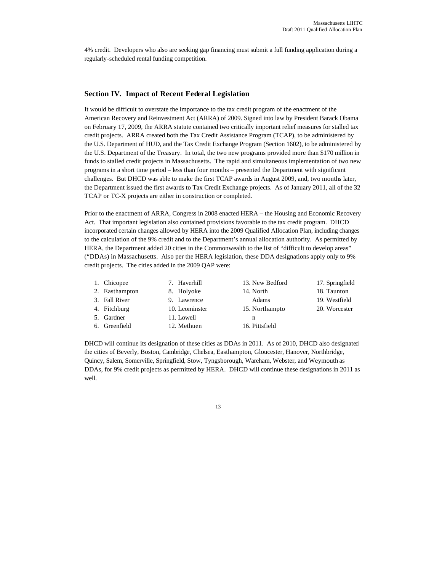4% credit. Developers who also are seeking gap financing must submit a full funding application during a regularly-scheduled rental funding competition.

## **Section IV. Impact of Recent Federal Legislation**

It would be difficult to overstate the importance to the tax credit program of the enactment of the American Recovery and Reinvestment Act (ARRA) of 2009. Signed into law by President Barack Obama on February 17, 2009, the ARRA statute contained two critically important relief measures for stalled tax credit projects. ARRA created both the Tax Credit Assistance Program (TCAP), to be administered by the U.S. Department of HUD, and the Tax Credit Exchange Program (Section 1602), to be administered by the U.S. Department of the Treasury. In total, the two new programs provided more than \$170 million in funds to stalled credit projects in Massachusetts. The rapid and simultaneous implementation of two new programs in a short time period – less than four months – presented the Department with significant challenges. But DHCD was able to make the first TCAP awards in August 2009, and, two months later, the Department issued the first awards to Tax Credit Exchange projects. As of January 2011, all of the 32 TCAP or TC-X projects are either in construction or completed.

Prior to the enactment of ARRA, Congress in 2008 enacted HERA – the Housing and Economic Recovery Act. That important legislation also contained provisions favorable to the tax credit program. DHCD incorporated certain changes allowed by HERA into the 2009 Qualified Allocation Plan, including changes to the calculation of the 9% credit and to the Department's annual allocation authority. As permitted by HERA, the Department added 20 cities in the Commonwealth to the list of "difficult to develop areas" ("DDAs) in Massachusetts. Also per the HERA legislation, these DDA designations apply only to 9% credit projects. The cities added in the 2009 QAP were:

| 1. Chicopee    | 7. Haverhill   | 13. New Bedford | 17. Springfield |
|----------------|----------------|-----------------|-----------------|
| 2. Easthampton | 8. Holyoke     | 14. North       | 18. Taunton     |
| 3. Fall River  | 9. Lawrence    | Adams           | 19. Westfield   |
| 4. Fitchburg   | 10. Leominster | 15. Northampto  | 20. Worcester   |
| 5. Gardner     | 11. Lowell     | n               |                 |
| 6. Greenfield  | 12. Methuen    | 16. Pittsfield  |                 |

DHCD will continue its designation of these cities as DDAs in 2011. As of 2010, DHCD also designated the cities of Beverly, Boston, Cambridge, Chelsea, Easthampton, Gloucester, Hanover, Northbridge, Quincy, Salem, Somerville, Springfield, Stow, Tyngsborough, Wareham, Webster, and Weymouth as DDAs, for 9% credit projects as permitted by HERA. DHCD will continue these designations in 2011 as well.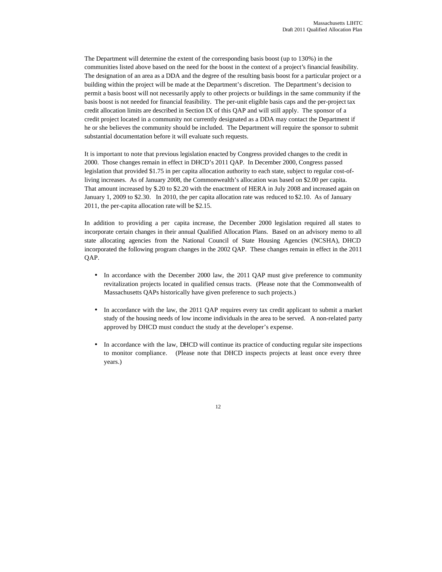The Department will determine the extent of the corresponding basis boost (up to 130%) in the communities listed above based on the need for the boost in the context of a project's financial feasibility. The designation of an area as a DDA and the degree of the resulting basis boost for a particular project or a building within the project will be made at the Department's discretion. The Department's decision to permit a basis boost will not necessarily apply to other projects or buildings in the same community if the basis boost is not needed for financial feasibility. The per-unit eligible basis caps and the per-project tax credit allocation limits are described in Section IX of this QAP and will still apply. The sponsor of a credit project located in a community not currently designated as a DDA may contact the Department if he or she believes the community should be included. The Department will require the sponsor to submit substantial documentation before it will evaluate such requests.

It is important to note that previous legislation enacted by Congress provided changes to the credit in 2000. Those changes remain in effect in DHCD's 2011 QAP. In December 2000, Congress passed legislation that provided \$1.75 in per capita allocation authority to each state, subject to regular cost-ofliving increases. As of January 2008, the Commonwealth's allocation was based on \$2.00 per capita. That amount increased by \$.20 to \$2.20 with the enactment of HERA in July 2008 and increased again on January 1, 2009 to \$2.30. In 2010, the per capita allocation rate was reduced to \$2.10. As of January 2011, the per-capita allocation rate will be \$2.15.

In addition to providing a per capita increase, the December 2000 legislation required all states to incorporate certain changes in their annual Qualified Allocation Plans. Based on an advisory memo to all state allocating agencies from the National Council of State Housing Agencies (NCSHA), DHCD incorporated the following program changes in the 2002 QAP. These changes remain in effect in the 2011 QAP.

- In accordance with the December 2000 law, the 2011 QAP must give preference to community revitalization projects located in qualified census tracts. (Please note that the Commonwealth of Massachusetts QAPs historically have given preference to such projects.)
- In accordance with the law, the 2011 QAP requires every tax credit applicant to submit a market study of the housing needs of low income individuals in the area to be served. A non-related party approved by DHCD must conduct the study at the developer's expense.
- In accordance with the law, DHCD will continue its practice of conducting regular site inspections to monitor compliance. (Please note that DHCD inspects projects at least once every three years.)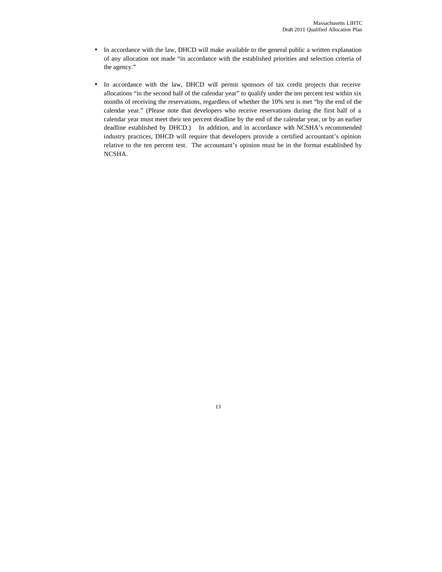- In accordance with the law, DHCD will make available to the general public a written explanation of any allocation not made "in accordance with the established priorities and selection criteria of the agency."
- In accordance with the law, DHCD will permit sponsors of tax credit projects that receive allocations "in the second half of the calendar year" to qualify under the ten percent test within six months of receiving the reservations, regardless of whether the 10% test is met "by the end of the calendar year." (Please note that developers who receive reservations during the first half of a calendar year must meet their ten percent deadline by the end of the calendar year, or by an earlier deadline established by DHCD.) In addition, and in accordance with NCSHA's recommended industry practices, DHCD will require that developers provide a certified accountant's opinion relative to the ten percent test. The accountant's opinion must be in the format established by NCSHA.

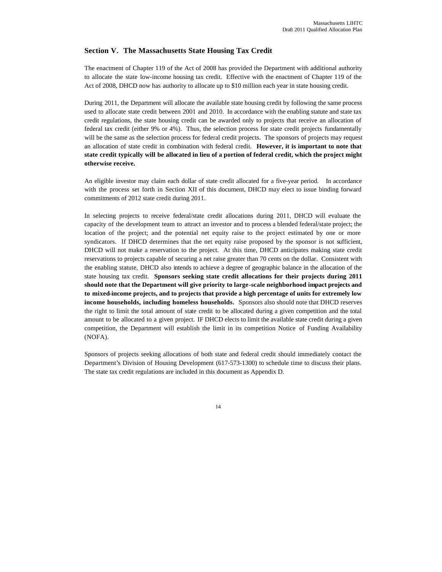## **Section V. The Massachusetts State Housing Tax Credit**

The enactment of Chapter 119 of the Act of 2008 has provided the Department with additional authority to allocate the state low-income housing tax credit. Effective with the enactment of Chapter 119 of the Act of 2008, DHCD now has authority to allocate up to \$10 million each year in state housing credit.

During 2011, the Department will allocate the available state housing credit by following the same process used to allocate state credit between 2001 and 2010. In accordance with the enabling statute and state tax credit regulations, the state housing credit can be awarded only to projects that receive an allocation of federal tax credit (either 9% or 4%). Thus, the selection process for state credit projects fundamentally will be the same as the selection process for federal credit projects. The sponsors of projects may request an allocation of state credit in combination with federal credit. **However, it is important to note that state credit typically will be allocated in lieu of a portion of federal credit, which the project might otherwise receive.** 

An eligible investor may claim each dollar of state credit allocated for a five-year period. In accordance with the process set forth in Section XII of this document, DHCD may elect to issue binding forward commitments of 2012 state credit during 2011.

In selecting projects to receive federal/state credit allocations during 2011, DHCD will evaluate the capacity of the development team to attract an investor and to process a blended federal/state project; the location of the project; and the potential net equity raise to the project estimated by one or more syndicators. If DHCD determines that the net equity raise proposed by the sponsor is not sufficient, DHCD will not make a reservation to the project. At this time, DHCD anticipates making state credit reservations to projects capable of securing a net raise greater than 70 cents on the dollar. Consistent with the enabling statute, DHCD also intends to achieve a degree of geographic balance in the allocation of the state housing tax credit. **Sponsors seeking state credit allocations for their projects during 2011 should note that the Department will give priority to large-scale neighborhood impact projects and to mixed-income projects, and to projects that provide a high percentage of units for extremely low income households, including homeless households.** Sponsors also should note that DHCD reserves the right to limit the total amount of state credit to be allocated during a given competition and the total amount to be allocated to a given project. IF DHCD elects to limit the available state credit during a given competition, the Department will establish the limit in its competition Notice of Funding Availability (NOFA).

Sponsors of projects seeking allocations of both state and federal credit should immediately contact the Department's Division of Housing Development (617-573-1300) to schedule time to discuss their plans. The state tax credit regulations are included in this document as Appendix D.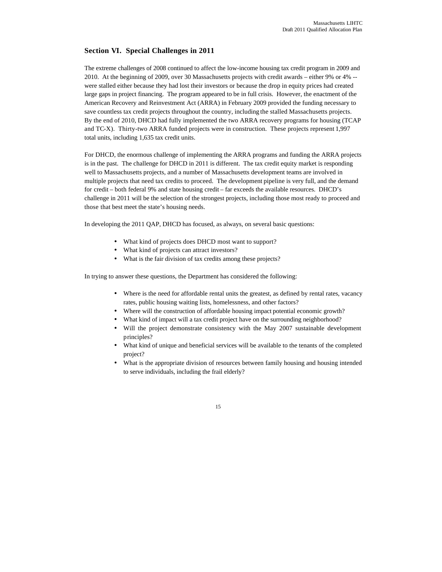## **Section VI. Special Challenges in 2011**

The extreme challenges of 2008 continued to affect the low-income housing tax credit program in 2009 and 2010. At the beginning of 2009, over 30 Massachusetts projects with credit awards – either 9% or 4% - were stalled either because they had lost their investors or because the drop in equity prices had created large gaps in project financing. The program appeared to be in full crisis. However, the enactment of the American Recovery and Reinvestment Act (ARRA) in February 2009 provided the funding necessary to save countless tax credit projects throughout the country, including the stalled Massachusetts projects. By the end of 2010, DHCD had fully implemented the two ARRA recovery programs for housing (TCAP and TC-X). Thirty-two ARRA funded projects were in construction. These projects represent 1,997 total units, including 1,635 tax credit units.

For DHCD, the enormous challenge of implementing the ARRA programs and funding the ARRA projects is in the past. The challenge for DHCD in 2011 is different. The tax credit equity market is responding well to Massachusetts projects, and a number of Massachusetts development teams are involved in multiple projects that need tax credits to proceed. The development pipeline is very full, and the demand for credit – both federal 9% and state housing credit – far exceeds the available resources. DHCD's challenge in 2011 will be the selection of the strongest projects, including those most ready to proceed and those that best meet the state's housing needs.

In developing the 2011 QAP, DHCD has focused, as always, on several basic questions:

- What kind of projects does DHCD most want to support?
- What kind of projects can attract investors?
- What is the fair division of tax credits among these projects?

In trying to answer these questions, the Department has considered the following:

- Where is the need for affordable rental units the greatest, as defined by rental rates, vacancy rates, public housing waiting lists, homelessness, and other factors?
- Where will the construction of affordable housing impact potential economic growth?
- What kind of impact will a tax credit project have on the surrounding neighborhood?
- Will the project demonstrate consistency with the May 2007 sustainable development principles?
- What kind of unique and beneficial services will be available to the tenants of the completed project?
- What is the appropriate division of resources between family housing and housing intended to serve individuals, including the frail elderly?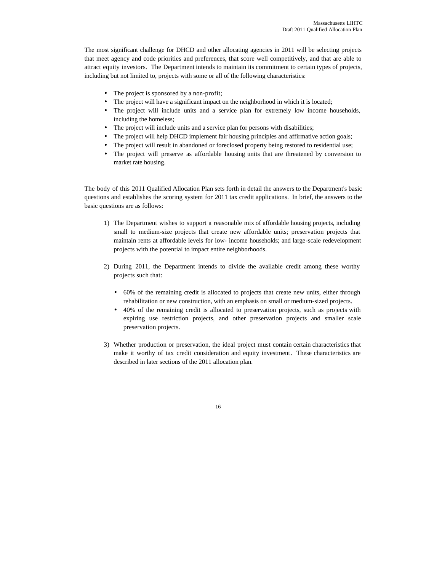The most significant challenge for DHCD and other allocating agencies in 2011 will be selecting projects that meet agency and code priorities and preferences, that score well competitively, and that are able to attract equity investors. The Department intends to maintain its commitment to certain types of projects, including but not limited to, projects with some or all of the following characteristics:

- The project is sponsored by a non-profit;
- The project will have a significant impact on the neighborhood in which it is located;
- The project will include units and a service plan for extremely low income households, including the homeless;
- The project will include units and a service plan for persons with disabilities;
- The project will help DHCD implement fair housing principles and affirmative action goals;
- The project will result in abandoned or foreclosed property being restored to residential use;
- The project will preserve as affordable housing units that are threatened by conversion to market rate housing.

The body of this 2011 Qualified Allocation Plan sets forth in detail the answers to the Department's basic questions and establishes the scoring system for 2011 tax credit applications. In brief, the answers to the basic questions are as follows:

- 1) The Department wishes to support a reasonable mix of affordable housing projects, including small to medium-size projects that create new affordable units; preservation projects that maintain rents at affordable levels for low- income households; and large-scale redevelopment projects with the potential to impact entire neighborhoods.
- 2) During 2011, the Department intends to divide the available credit among these worthy projects such that:
	- 60% of the remaining credit is allocated to projects that create new units, either through rehabilitation or new construction, with an emphasis on small or medium-sized projects.
	- 40% of the remaining credit is allocated to preservation projects, such as projects with expiring use restriction projects, and other preservation projects and smaller scale preservation projects.
- 3) Whether production or preservation, the ideal project must contain certain characteristics that make it worthy of tax credit consideration and equity investment. These characteristics are described in later sections of the 2011 allocation plan.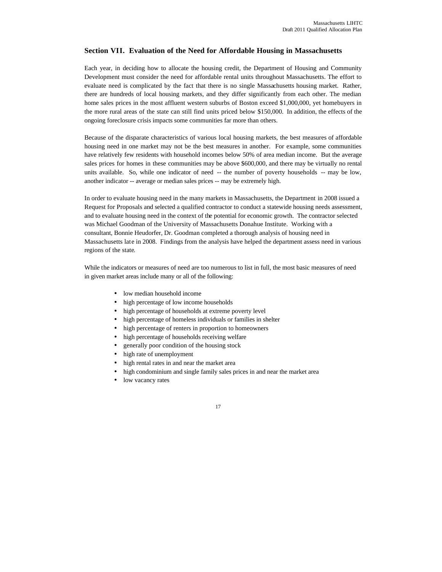## **Section VII. Evaluation of the Need for Affordable Housing in Massachusetts**

Each year, in deciding how to allocate the housing credit, the Department of Housing and Community Development must consider the need for affordable rental units throughout Massachusetts. The effort to evaluate need is complicated by the fact that there is no single Massachusetts housing market. Rather, there are hundreds of local housing markets, and they differ significantly from each other. The median home sales prices in the most affluent western suburbs of Boston exceed \$1,000,000, yet homebuyers in the more rural areas of the state can still find units priced below \$150,000. In addition, the effects of the ongoing foreclosure crisis impacts some communities far more than others.

Because of the disparate characteristics of various local housing markets, the best measures of affordable housing need in one market may not be the best measures in another. For example, some communities have relatively few residents with household incomes below 50% of area median income. But the average sales prices for homes in these communities may be above \$600,000, and there may be virtually no rental units available. So, while one indicator of need -- the number of poverty households -- may be low, another indicator -- average or median sales prices -- may be extremely high.

In order to evaluate housing need in the many markets in Massachusetts, the Department in 2008 issued a Request for Proposals and selected a qualified contractor to conduct a statewide housing needs assessment, and to evaluate housing need in the context of the potential for economic growth. The contractor selected was Michael Goodman of the University of Massachusetts Donahue Institute. Working with a consultant, Bonnie Heudorfer, Dr. Goodman completed a thorough analysis of housing need in Massachusetts late in 2008. Findings from the analysis have helped the department assess need in various regions of the state.

While the indicators or measures of need are too numerous to list in full, the most basic measures of need in given market areas include many or all of the following:

- low median household income
- high percentage of low income households
- high percentage of households at extreme poverty level
- high percentage of homeless individuals or families in shelter
- high percentage of renters in proportion to homeowners
- high percentage of households receiving welfare
- generally poor condition of the housing stock
- high rate of unemployment
- high rental rates in and near the market area
- high condominium and single family sales prices in and near the market area
- low vacancy rates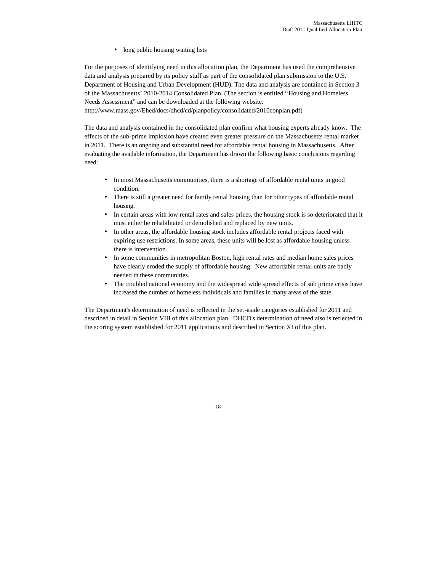• long public housing waiting lists

For the purposes of identifying need in this allocation plan, the Department has used the comprehensive data and analysis prepared by its policy staff as part of the consolidated plan submission to the U.S. Department of Housing and Urban Development (HUD). The data and analysis are contained in Section 3 of the Massachusetts' 2010-2014 Consolidated Plan. (The section is entitled "Housing and Homeless Needs Assessment" and can be downloaded at the following website:

http://www.mass.gov/Ehed/docs/dhcd/cd/planpolicy/consolidated/2010conplan.pdf)

The data and analysis contained in the consolidated plan confirm what housing experts already know. The effects of the sub-prime implosion have created even greater pressure on the Massachusetts rental market in 2011. There is an ongoing and substantial need for affordable rental housing in Massachusetts. After evaluating the available information, the Department has drawn the following basic conclusions regarding need:

- In most Massachusetts communities, there is a shortage of affordable rental units in good condition.
- There is still a greater need for family rental housing than for other types of affordable rental housing.
- In certain areas with low rental rates and sales prices, the housing stock is so deteriorated that it must either be rehabilitated or demolished and replaced by new units.
- In other areas, the affordable housing stock includes affordable rental projects faced with expiring use restrictions. In some areas, these units will be lost as affordable housing unless there is intervention.
- In some communities in metropolitan Boston, high rental rates and median home sales prices have clearly eroded the supply of affordable housing. New affordable rental units are badly needed in these communities.
- The troubled national economy and the widespread wide spread effects of sub prime crisis have increased the number of homeless individuals and families in many areas of the state.

The Department's determination of need is reflected in the set-aside categories established for 2011 and described in detail in Section VIII of this allocation plan. DHCD's determination of need also is reflected in the scoring system established for 2011 applications and described in Section XI of this plan.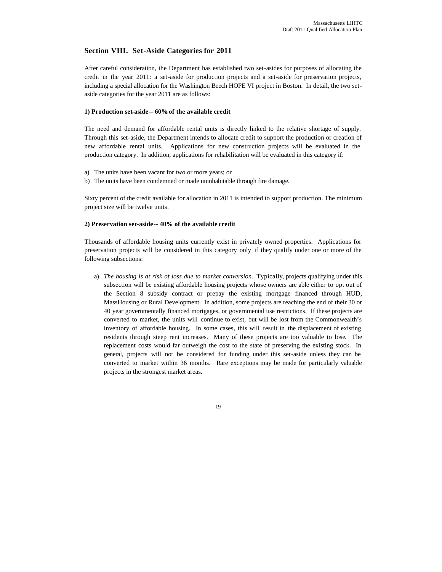## **Section VIII. Set-Aside Categories for 2011**

After careful consideration, the Department has established two set-asides for purposes of allocating the credit in the year 2011: a set-aside for production projects and a set-aside for preservation projects, including a special allocation for the Washington Beech HOPE VI project in Boston. In detail, the two setaside categories for the year 2011 are as follows:

#### **1) Production set-aside**-- **60%of the available credit**

The need and demand for affordable rental units is directly linked to the relative shortage of supply. Through this set-aside, the Department intends to allocate credit to support the production or creation of new affordable rental units. Applications for new construction projects will be evaluated in the production category. In addition, applications for rehabilitation will be evaluated in this category if:

- a) The units have been vacant for two or more years; or
- b) The units have been condemned or made uninhabitable through fire damage.

Sixty percent of the credit available for allocation in 2011 is intended to support production. The minimum project size will be twelve units.

#### **2) Preservation set-aside-- 40% of the available credit**

Thousands of affordable housing units currently exist in privately owned properties. Applications for preservation projects will be considered in this category only if they qualify under one or more of the following subsections:

a) *The housing is at risk of loss due to market conversion.* Typically, projects qualifying under this subsection will be existing affordable housing projects whose owners are able either to opt out of the Section 8 subsidy contract or prepay the existing mortgage financed through HUD, MassHousing or Rural Development. In addition, some projects are reaching the end of their 30 or 40 year governmentally financed mortgages, or governmental use restrictions. If these projects are converted to market, the units will continue to exist, but will be lost from the Commonwealth's inventory of affordable housing. In some cases, this will result in the displacement of existing residents through steep rent increases. Many of these projects are too valuable to lose. The replacement costs would far outweigh the cost to the state of preserving the existing stock. In general, projects will not be considered for funding under this set-aside unless they can be converted to market within 36 months. Rare exceptions may be made for particularly valuable projects in the strongest market areas.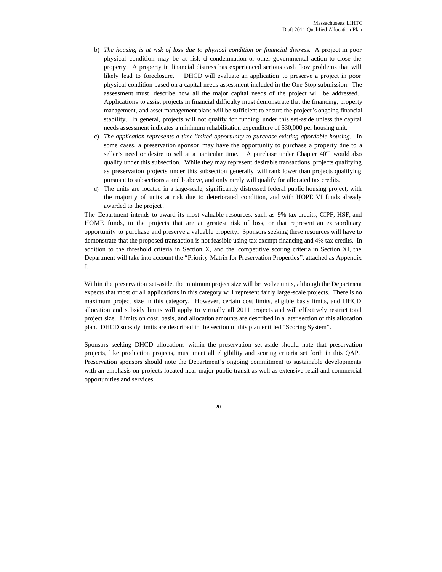- b) *The housing is at risk of loss due to physical condition or financial distress.* A project in poor physical condition may be at risk of condemnation or other governmental action to close the property. A property in financial distress has experienced serious cash flow problems that will likely lead to foreclosure. DHCD will evaluate an application to preserve a project in poor physical condition based on a capital needs assessment included in the One Stop submission. The assessment must describe how all the major capital needs of the project will be addressed. Applications to assist projects in financial difficulty must demonstrate that the financing, property management, and asset management plans will be sufficient to ensure the project's ongoing financial stability. In general, projects will not qualify for funding under this set-aside unless the capital needs assessment indicates a minimum rehabilitation expenditure of \$30,000 per housing unit.
- c) *The application represents a time-limited opportunity to purchase existing affordable housing.* In some cases, a preservation sponsor may have the opportunity to purchase a property due to a seller's need or desire to sell at a particular time. A purchase under Chapter 40T would also qualify under this subsection. While they may represent desirable transactions, projects qualifying as preservation projects under this subsection generally will rank lower than projects qualifying pursuant to subsections a and b above, and only rarely will qualify for allocated tax credits.
- d) The units are located in a large-scale, significantly distressed federal public housing project, with the majority of units at risk due to deteriorated condition, and with HOPE VI funds already awarded to the project.

The Department intends to award its most valuable resources, such as 9% tax credits, CIPF, HSF, and HOME funds, to the projects that are at greatest risk of loss, or that represent an extraordinary opportunity to purchase and preserve a valuable property. Sponsors seeking these resources will have to demonstrate that the proposed transaction is not feasible using tax-exempt financing and 4% tax credits. In addition to the threshold criteria in Section X, and the competitive scoring criteria in Section XI, the Department will take into account the "Priority Matrix for Preservation Properties", attached as Appendix J.

Within the preservation set-aside, the minimum project size will be twelve units, although the Department expects that most or all applications in this category will represent fairly large-scale projects. There is no maximum project size in this category. However, certain cost limits, eligible basis limits, and DHCD allocation and subsidy limits will apply to virtually all 2011 projects and will effectively restrict total project size. Limits on cost, basis, and allocation amounts are described in a later section of this allocation plan. DHCD subsidy limits are described in the section of this plan entitled "Scoring System".

Sponsors seeking DHCD allocations within the preservation set-aside should note that preservation projects, like production projects, must meet all eligibility and scoring criteria set forth in this QAP. Preservation sponsors should note the Department's ongoing commitment to sustainable developments with an emphasis on projects located near major public transit as well as extensive retail and commercial opportunities and services.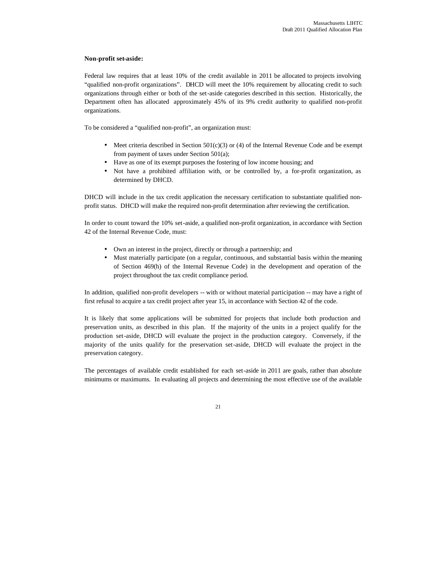## **Non-profit set-aside:**

Federal law requires that at least 10% of the credit available in 2011 be allocated to projects involving "qualified non-profit organizations". DHCD will meet the 10% requirement by allocating credit to such organizations through either or both of the set-aside categories described in this section. Historically, the Department often has allocated approximately 45% of its 9% credit authority to qualified non-profit organizations.

To be considered a "qualified non-profit", an organization must:

- Meet criteria described in Section  $501(c)(3)$  or (4) of the Internal Revenue Code and be exempt from payment of taxes under Section 501(a);
- Have as one of its exempt purposes the fostering of low income housing; and
- Not have a prohibited affiliation with, or be controlled by, a for-profit organization, as determined by DHCD.

DHCD will include in the tax credit application the necessary certification to substantiate qualified nonprofit status. DHCD will make the required non-profit determination after reviewing the certification.

In order to count toward the 10% set-aside, a qualified non-profit organization, in accordance with Section 42 of the Internal Revenue Code, must:

- Own an interest in the project, directly or through a partnership; and
- Must materially participate (on a regular, continuous, and substantial basis within the meaning of Section 469(h) of the Internal Revenue Code) in the development and operation of the project throughout the tax credit compliance period.

In addition, qualified non-profit developers -- with or without material participation -- may have a right of first refusal to acquire a tax credit project after year 15, in accordance with Section 42 of the code.

It is likely that some applications will be submitted for projects that include both production and preservation units, as described in this plan. If the majority of the units in a project qualify for the production set-aside, DHCD will evaluate the project in the production category. Conversely, if the majority of the units qualify for the preservation set-aside, DHCD will evaluate the project in the preservation category.

The percentages of available credit established for each set-aside in 2011 are goals, rather than absolute minimums or maximums. In evaluating all projects and determining the most effective use of the available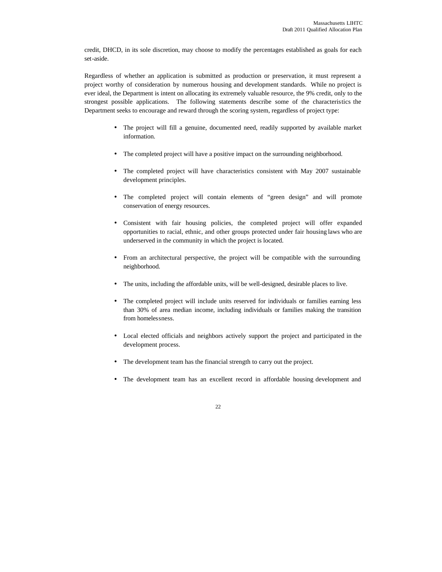credit, DHCD, in its sole discretion, may choose to modify the percentages established as goals for each set-aside.

Regardless of whether an application is submitted as production or preservation, it must represent a project worthy of consideration by numerous housing and development standards. While no project is ever ideal, the Department is intent on allocating its extremely valuable resource, the 9% credit, only to the strongest possible applications. The following statements describe some of the characteristics the Department seeks to encourage and reward through the scoring system, regardless of project type:

- The project will fill a genuine, documented need, readily supported by available market information.
- The completed project will have a positive impact on the surrounding neighborhood.
- The completed project will have characteristics consistent with May 2007 sustainable development principles.
- The completed project will contain elements of "green design" and will promote conservation of energy resources.
- Consistent with fair housing policies, the completed project will offer expanded opportunities to racial, ethnic, and other groups protected under fair housing laws who are underserved in the community in which the project is located.
- From an architectural perspective, the project will be compatible with the surrounding neighborhood.
- The units, including the affordable units, will be well-designed, desirable places to live.
- The completed project will include units reserved for individuals or families earning less than 30% of area median income, including individuals or families making the transition from homelessness.
- Local elected officials and neighbors actively support the project and participated in the development process.
- The development team has the financial strength to carry out the project.
- The development team has an excellent record in affordable housing development and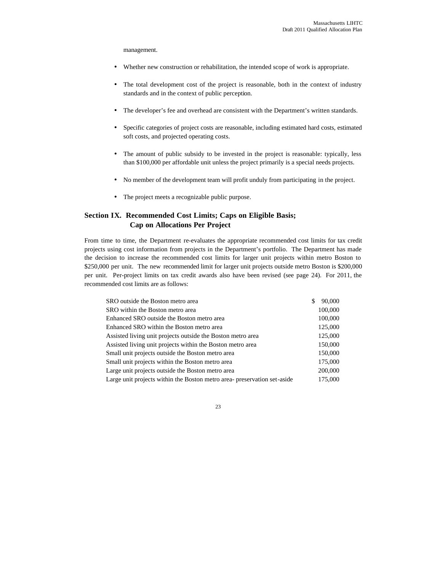management.

- Whether new construction or rehabilitation, the intended scope of work is appropriate.
- The total development cost of the project is reasonable, both in the context of industry standards and in the context of public perception.
- The developer's fee and overhead are consistent with the Department's written standards.
- Specific categories of project costs are reasonable, including estimated hard costs, estimated soft costs, and projected operating costs.
- The amount of public subsidy to be invested in the project is reasonable: typically, less than \$100,000 per affordable unit unless the project primarily is a special needs projects.
- No member of the development team will profit unduly from participating in the project.
- The project meets a recognizable public purpose.

## **Section IX. Recommended Cost Limits; Caps on Eligible Basis; Cap on Allocations Per Project**

From time to time, the Department re-evaluates the appropriate recommended cost limits for tax credit projects using cost information from projects in the Department's portfolio. The Department has made the decision to increase the recommended cost limits for larger unit projects within metro Boston to \$250,000 per unit. The new recommended limit for larger unit projects outside metro Boston is \$200,000 per unit. Per-project limits on tax credit awards also have been revised (see page 24). For 2011, the recommended cost limits are as follows:

| SRO outside the Boston metro area                                        | \$<br>90,000 |
|--------------------------------------------------------------------------|--------------|
| SRO within the Boston metro area                                         | 100,000      |
| Enhanced SRO outside the Boston metro area                               | 100,000      |
| Enhanced SRO within the Boston metro area                                | 125,000      |
| Assisted living unit projects outside the Boston metro area              | 125,000      |
| Assisted living unit projects within the Boston metro area               | 150,000      |
| Small unit projects outside the Boston metro area                        | 150,000      |
| Small unit projects within the Boston metro area                         | 175,000      |
| Large unit projects outside the Boston metro area                        | 200,000      |
| Large unit projects within the Boston metro area- preservation set-aside | 175,000      |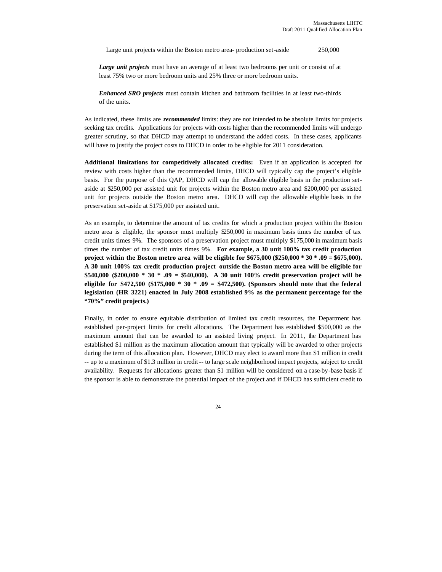Large unit projects within the Boston metro area- production set-aside 250,000

*Large unit projects* must have an average of at least two bedrooms per unit or consist of at least 75% two or more bedroom units and 25% three or more bedroom units.

*Enhanced SRO projects* must contain kitchen and bathroom facilities in at least two-thirds of the units.

As indicated, these limits are *recommended* limits: they are not intended to be absolute limits for projects seeking tax credits. Applications for projects with costs higher than the recommended limits will undergo greater scrutiny, so that DHCD may attempt to understand the added costs. In these cases, applicants will have to justify the project costs to DHCD in order to be eligible for 2011 consideration.

**Additional limitations for competitively allocated credits:** Even if an application is accepted for review with costs higher than the recommended limits, DHCD will typically cap the project's eligible basis. For the purpose of this QAP, DHCD will cap the allowable eligible basis in the production setaside at \$250,000 per assisted unit for projects within the Boston metro area and \$200,000 per assisted unit for projects outside the Boston metro area. DHCD will cap the allowable eligible basis in the preservation set-aside at \$175,000 per assisted unit.

As an example, to determine the amount of tax credits for which a production project within the Boston metro area is eligible, the sponsor must multiply  $$250,000$  in maximum basis times the number of tax credit units times 9%. The sponsors of a preservation project must multiply \$175,000 in maximum basis times the number of tax credit units times 9%. **For example, a 30 unit 100% tax credit production project within the Boston metro area will be eligible for \$675,000 (\$250,000 \* 30 \* .09 = \$675,000). A 30 unit 100% tax credit production project outside the Boston metro area will be eligible for \$540,000 (\$200,000 \* 30 \* .09 = \$540,000). A 30 unit 100% credit preservation project will be eligible for \$472,500 (\$175,000 \* 30 \* .09 = \$472,500). (Sponsors should note that the federal legislation (HR 3221) enacted in July 2008 established 9% as the permanent percentage for the "70%" credit projects.)**

Finally, in order to ensure equitable distribution of limited tax credit resources, the Department has established per-project limits for credit allocations. The Department has established \$500,000 as the maximum amount that can be awarded to an assisted living project. In 2011, the Department has established \$1 million as the maximum allocation amount that typically will be awarded to other projects during the term of this allocation plan. However, DHCD may elect to award more than \$1 million in credit -- up to a maximum of \$1.3 million in credit -- to large scale neighborhood impact projects, subject to credit availability. Requests for allocations greater than \$1 million will be considered on a case-by-base basis if the sponsor is able to demonstrate the potential impact of the project and if DHCD has sufficient credit to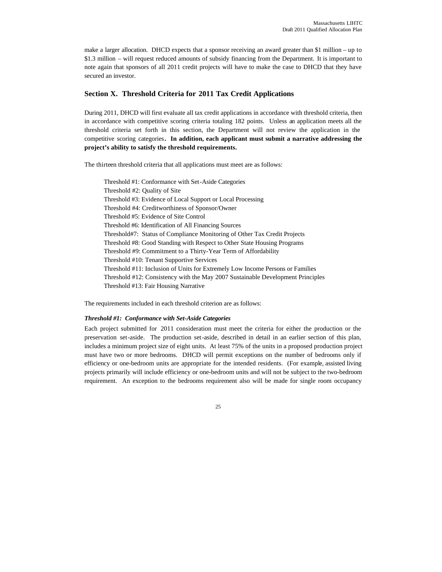make a larger allocation. DHCD expects that a sponsor receiving an award greater than \$1 million – up to \$1.3 million – will request reduced amounts of subsidy financing from the Department. It is important to note again that sponsors of all 2011 credit projects will have to make the case to DHCD that they have secured an investor.

## **Section X. Threshold Criteria for 2011 Tax Credit Applications**

During 2011, DHCD will first evaluate all tax credit applications in accordance with threshold criteria, then in accordance with competitive scoring criteria totaling 182 points. Unless an application meets all the threshold criteria set forth in this section, the Department will not review the application in the competitive scoring categories**. In addition, each applicant must submit a narrative addressing the project's ability to satisfy the threshold requirements.** 

The thirteen threshold criteria that all applications must meet are as follows:

Threshold #1: Conformance with Set-Aside Categories Threshold #2: Quality of Site Threshold #3: Evidence of Local Support or Local Processing Threshold #4: Creditworthiness of Sponsor/Owner Threshold #5: Evidence of Site Control Threshold #6: Identification of All Financing Sources Threshold#7: Status of Compliance Monitoring of Other Tax Credit Projects Threshold #8: Good Standing with Respect to Other State Housing Programs Threshold #9: Commitment to a Thirty-Year Term of Affordability Threshold #10: Tenant Supportive Services Threshold #11: Inclusion of Units for Extremely Low Income Persons or Families Threshold #12: Consistency with the May 2007 Sustainable Development Principles Threshold #13: Fair Housing Narrative

The requirements included in each threshold criterion are as follows:

#### *Threshold #1: Conformance with Set-Aside Categories*

Each project submitted for 2011 consideration must meet the criteria for either the production or the preservation set-aside. The production set-aside, described in detail in an earlier section of this plan, includes a minimum project size of eight units. At least 75% of the units in a proposed production project must have two or more bedrooms. DHCD will permit exceptions on the number of bedrooms only if efficiency or one-bedroom units are appropriate for the intended residents. (For example, assisted living projects primarily will include efficiency or one-bedroom units and will not be subject to the two-bedroom requirement. An exception to the bedrooms requirement also will be made for single room occupancy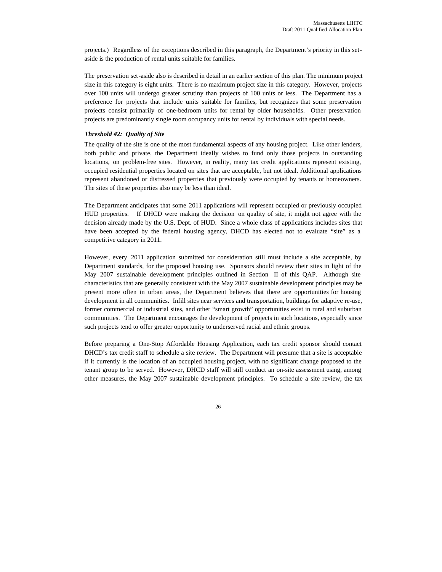projects.) Regardless of the exceptions described in this paragraph, the Department's priority in this setaside is the production of rental units suitable for families.

The preservation set-aside also is described in detail in an earlier section of this plan. The minimum project size in this category is eight units. There is no maximum project size in this category. However, projects over 100 units will undergo greater scrutiny than projects of 100 units or less. The Department has a preference for projects that include units suitable for families, but recognizes that some preservation projects consist primarily of one-bedroom units for rental by older households. Other preservation projects are predominantly single room occupancy units for rental by individuals with special needs.

#### *Threshold #2: Quality of Site*

The quality of the site is one of the most fundamental aspects of any housing project. Like other lenders, both public and private, the Department ideally wishes to fund only those projects in outstanding locations, on problem-free sites. However, in reality, many tax credit applications represent existing, occupied residential properties located on sites that are acceptable, but not ideal. Additional applications represent abandoned or distressed properties that previously were occupied by tenants or homeowners. The sites of these properties also may be less than ideal.

The Department anticipates that some 2011 applications will represent occupied or previously occupied HUD properties. If DHCD were making the decision on quality of site, it might not agree with the decision already made by the U.S. Dept. of HUD. Since a whole class of applications includes sites that have been accepted by the federal housing agency, DHCD has elected not to evaluate "site" as a competitive category in 2011.

However, every 2011 application submitted for consideration still must include a site acceptable, by Department standards, for the proposed housing use. Sponsors should review their sites in light of the May 2007 sustainable development principles outlined in Section II of this QAP. Although site characteristics that are generally consistent with the May 2007 sustainable development principles may be present more often in urban areas, the Department believes that there are opportunities for housing development in all communities. Infill sites near services and transportation, buildings for adaptive re-use, former commercial or industrial sites, and other "smart growth" opportunities exist in rural and suburban communities. The Department encourages the development of projects in such locations, especially since such projects tend to offer greater opportunity to underserved racial and ethnic groups.

Before preparing a One-Stop Affordable Housing Application, each tax credit sponsor should contact DHCD's tax credit staff to schedule a site review. The Department will presume that a site is acceptable if it currently is the location of an occupied housing project, with no significant change proposed to the tenant group to be served. However, DHCD staff will still conduct an on-site assessment using, among other measures, the May 2007 sustainable development principles. To schedule a site review, the tax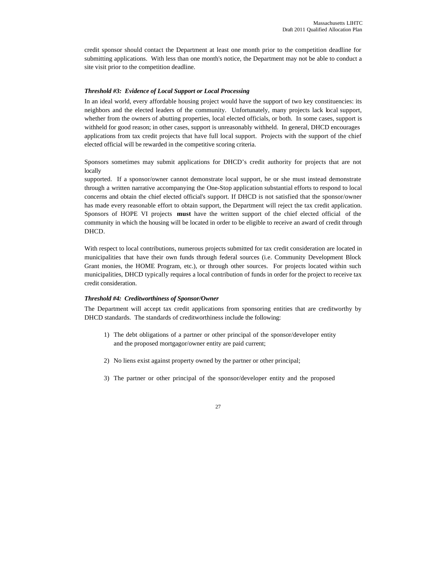credit sponsor should contact the Department at least one month prior to the competition deadline for submitting applications. With less than one month's notice, the Department may not be able to conduct a site visit prior to the competition deadline.

#### *Threshold #3: Evidence of Local Support or Local Processing*

In an ideal world, every affordable housing project would have the support of two key constituencies: its neighbors and the elected leaders of the community. Unfortunately, many projects lack local support, whether from the owners of abutting properties, local elected officials, or both. In some cases, support is withheld for good reason; in other cases, support is unreasonably withheld. In general, DHCD encourages applications from tax credit projects that have full local support. Projects with the support of the chief elected official will be rewarded in the competitive scoring criteria.

Sponsors sometimes may submit applications for DHCD's credit authority for projects that are not locally

supported. If a sponsor/owner cannot demonstrate local support, he or she must instead demonstrate through a written narrative accompanying the One-Stop application substantial efforts to respond to local concerns and obtain the chief elected official's support. If DHCD is not satisfied that the sponsor/owner has made every reasonable effort to obtain support, the Department will reject the tax credit application. Sponsors of HOPE VI projects **must** have the written support of the chief elected official of the community in which the housing will be located in order to be eligible to receive an award of credit through DHCD.

With respect to local contributions, numerous projects submitted for tax credit consideration are located in municipalities that have their own funds through federal sources (i.e. Community Development Block Grant monies, the HOME Program, etc.), or through other sources. For projects located within such municipalities, DHCD typically requires a local contribution of funds in order for the project to receive tax credit consideration.

#### *Threshold #4: Creditworthiness of Sponsor/Owner*

The Department will accept tax credit applications from sponsoring entities that are creditworthy by DHCD standards. The standards of creditworthiness include the following:

- 1) The debt obligations of a partner or other principal of the sponsor/developer entity and the proposed mortgagor/owner entity are paid current;
- 2) No liens exist against property owned by the partner or other principal;
- 3) The partner or other principal of the sponsor/developer entity and the proposed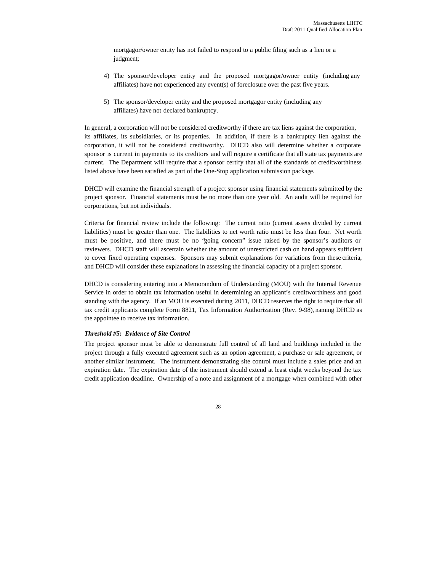mortgagor/owner entity has not failed to respond to a public filing such as a lien or a judgment;

- 4) The sponsor/developer entity and the proposed mortgagor/owner entity (including any affiliates) have not experienced any event(s) of foreclosure over the past five years.
- 5) The sponsor/developer entity and the proposed mortgagor entity (including any affiliates) have not declared bankruptcy.

In general, a corporation will not be considered creditworthy if there are tax liens against the corporation, its affiliates, its subsidiaries, or its properties. In addition, if there is a bankruptcy lien against the corporation, it will not be considered creditworthy. DHCD also will determine whether a corporate sponsor is current in payments to its creditors and will require a certificate that all state tax payments are current. The Department will require that a sponsor certify that all of the standards of creditworthiness listed above have been satisfied as part of the One-Stop application submission package.

DHCD will examine the financial strength of a project sponsor using financial statements submitted by the project sponsor. Financial statements must be no more than one year old. An audit will be required for corporations, but not individuals.

Criteria for financial review include the following: The current ratio (current assets divided by current liabilities) must be greater than one. The liabilities to net worth ratio must be less than four. Net worth must be positive, and there must be no "going concern" issue raised by the sponsor's auditors or reviewers. DHCD staff will ascertain whether the amount of unrestricted cash on hand appears sufficient to cover fixed operating expenses. Sponsors may submit explanations for variations from these criteria, and DHCD will consider these explanations in assessing the financial capacity of a project sponsor.

DHCD is considering entering into a Memorandum of Understanding (MOU) with the Internal Revenue Service in order to obtain tax information useful in determining an applicant's creditworthiness and good standing with the agency. If an MOU is executed during 2011, DHCD reserves the right to require that all tax credit applicants complete Form 8821, Tax Information Authorization (Rev. 9-98), naming DHCD as the appointee to receive tax information.

#### *Threshold #5: Evidence of Site Control*

The project sponsor must be able to demonstrate full control of all land and buildings included in the project through a fully executed agreement such as an option agreement, a purchase or sale agreement, or another similar instrument. The instrument demonstrating site control must include a sales price and an expiration date. The expiration date of the instrument should extend at least eight weeks beyond the tax credit application deadline. Ownership of a note and assignment of a mortgage when combined with other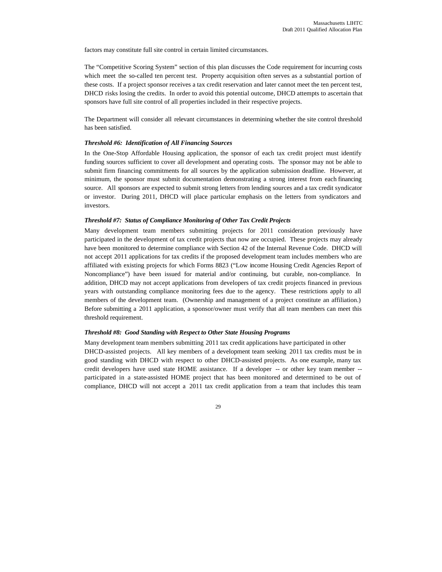factors may constitute full site control in certain limited circumstances.

The "Competitive Scoring System" section of this plan discusses the Code requirement for incurring costs which meet the so-called ten percent test. Property acquisition often serves as a substantial portion of these costs. If a project sponsor receives a tax credit reservation and later cannot meet the ten percent test, DHCD risks losing the credits. In order to avoid this potential outcome, DHCD attempts to ascertain that sponsors have full site control of all properties included in their respective projects.

The Department will consider all relevant circumstances in determining whether the site control threshold has been satisfied.

## *Threshold #6: Identification of All Financing Sources*

In the One-Stop Affordable Housing application, the sponsor of each tax credit project must identify funding sources sufficient to cover all development and operating costs. The sponsor may not be able to submit firm financing commitments for all sources by the application submission deadline. However, at minimum, the sponsor must submit documentation demonstrating a strong interest from each financing source. All sponsors are expected to submit strong letters from lending sources and a tax credit syndicator or investor. During 2011, DHCD will place particular emphasis on the letters from syndicators and investors.

#### *Threshold #7: Status of Compliance Monitoring of Other Tax Credit Projects*

Many development team members submitting projects for 2011 consideration previously have participated in the development of tax credit projects that now are occupied. These projects may already have been monitored to determine compliance with Section 42 of the Internal Revenue Code. DHCD will not accept 2011 applications for tax credits if the proposed development team includes members who are affiliated with existing projects for which Forms 8823 ("Low income Housing Credit Agencies Report of Noncompliance") have been issued for material and/or continuing, but curable, non-compliance. In addition, DHCD may not accept applications from developers of tax credit projects financed in previous years with outstanding compliance monitoring fees due to the agency. These restrictions apply to all members of the development team. (Ownership and management of a project constitute an affiliation.) Before submitting a 2011 application, a sponsor/owner must verify that all team members can meet this threshold requirement.

#### *Threshold #8: Good Standing with Respect to Other State Housing Programs*

Many development team members submitting 2011 tax credit applications have participated in other DHCD-assisted projects. All key members of a development team seeking 2011 tax credits must be in good standing with DHCD with respect to other DHCD-assisted projects. As one example, many tax credit developers have used state HOME assistance. If a developer -- or other key team member - participated in a state-assisted HOME project that has been monitored and determined to be out of compliance, DHCD will not accept a 2011 tax credit application from a team that includes this team

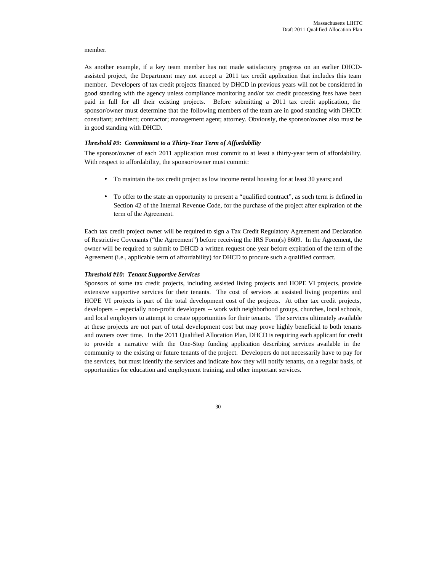#### member.

As another example, if a key team member has not made satisfactory progress on an earlier DHCDassisted project, the Department may not accept a 2011 tax credit application that includes this team member. Developers of tax credit projects financed by DHCD in previous years will not be considered in good standing with the agency unless compliance monitoring and/or tax credit processing fees have been paid in full for all their existing projects. Before submitting a 2011 tax credit application, the sponsor/owner must determine that the following members of the team are in good standing with DHCD: consultant; architect; contractor; management agent; attorney. Obviously, the sponsor/owner also must be in good standing with DHCD.

## *Threshold #9: Commitment to a Thirty-Year Term of Affordability*

The sponsor/owner of each 2011 application must commit to at least a thirty-year term of affordability. With respect to affordability, the sponsor/owner must commit:

- To maintain the tax credit project as low income rental housing for at least 30 years; and
- To offer to the state an opportunity to present a "qualified contract", as such term is defined in Section 42 of the Internal Revenue Code, for the purchase of the project after expiration of the term of the Agreement.

Each tax credit project owner will be required to sign a Tax Credit Regulatory Agreement and Declaration of Restrictive Covenants ("the Agreement") before receiving the IRS Form(s) 8609. In the Agreement, the owner will be required to submit to DHCD a written request one year before expiration of the term of the Agreement (i.e., applicable term of affordability) for DHCD to procure such a qualified contract.

#### *Threshold #10: Tenant Supportive Services*

Sponsors of some tax credit projects, including assisted living projects and HOPE VI projects, provide extensive supportive services for their tenants. The cost of services at assisted living properties and HOPE VI projects is part of the total development cost of the projects. At other tax credit projects, developers – especially non-profit developers -- work with neighborhood groups, churches, local schools, and local employers to attempt to create opportunities for their tenants. The services ultimately available at these projects are not part of total development cost but may prove highly beneficial to both tenants and owners over time. In the 2011 Qualified Allocation Plan, DHCD is requiring each applicant for credit to provide a narrative with the One-Stop funding application describing services available in the community to the existing or future tenants of the project. Developers do not necessarily have to pay for the services, but must identify the services and indicate how they will notify tenants, on a regular basis, of opportunities for education and employment training, and other important services.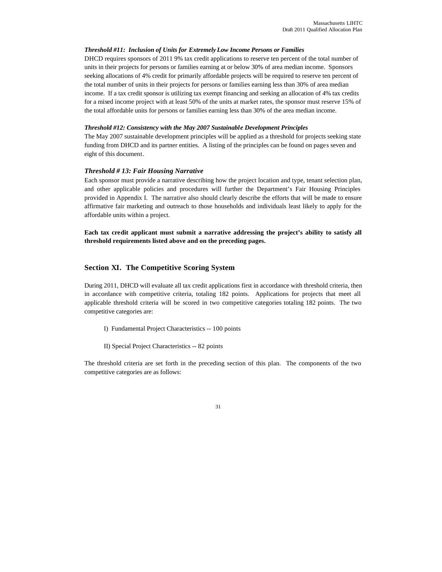#### *Threshold #11: Inclusion of Units for Extremely Low Income Persons or Families*

DHCD requires sponsors of 2011 9% tax credit applications to reserve ten percent of the total number of units in their projects for persons or families earning at or below 30% of area median income. Sponsors seeking allocations of 4% credit for primarily affordable projects will be required to reserve ten percent of the total number of units in their projects for persons or families earning less than 30% of area median income. If a tax credit sponsor is utilizing tax exempt financing and seeking an allocation of 4% tax credits for a mixed income project with at least 50% of the units at market rates, the sponsor must reserve 15% of the total affordable units for persons or families earning less than 30% of the area median income.

#### *Threshold #12: Consistency with the May 2007 Sustainable Development Principles*

The May 2007 sustainable development principles will be applied as a threshold for projects seeking state funding from DHCD and its partner entities. A listing of the principles can be found on pages seven and eight of this document.

#### *Threshold # 13: Fair Housing Narrative*

Each sponsor must provide a narrative describing how the project location and type, tenant selection plan, and other applicable policies and procedures will further the Department's Fair Housing Principles provided in Appendix I. The narrative also should clearly describe the efforts that will be made to ensure affirmative fair marketing and outreach to those households and individuals least likely to apply for the affordable units within a project.

**Each tax credit applicant must submit a narrative addressing the project's ability to satisfy all threshold requirements listed above and on the preceding pages.** 

## **Section XI. The Competitive Scoring System**

During 2011, DHCD will evaluate all tax credit applications first in accordance with threshold criteria, then in accordance with competitive criteria, totaling 182 points. Applications for projects that meet all applicable threshold criteria will be scored in two competitive categories totaling 182 points. The two competitive categories are:

- I) Fundamental Project Characteristics -- 100 points
- II) Special Project Characteristics -- 82 points

The threshold criteria are set forth in the preceding section of this plan. The components of the two competitive categories are as follows: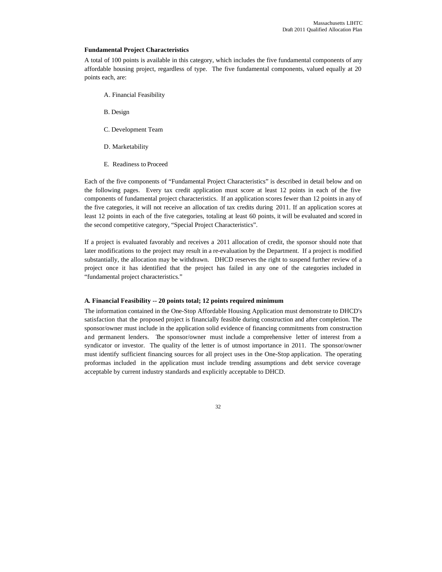#### **Fundamental Project Characteristics**

A total of 100 points is available in this category, which includes the five fundamental components of any affordable housing project, regardless of type. The five fundamental components, valued equally at 20 points each, are:

- A. Financial Feasibility
- B. Design
- C. Development Team
- D. Marketability
- E. Readiness to Proceed

Each of the five components of "Fundamental Project Characteristics" is described in detail below and on the following pages. Every tax credit application must score at least 12 points in each of the five components of fundamental project characteristics. If an application scores fewer than 12 points in any of the five categories, it will not receive an allocation of tax credits during 2011. If an application scores at least 12 points in each of the five categories, totaling at least 60 points, it will be evaluated and scored in the second competitive category, "Special Project Characteristics".

If a project is evaluated favorably and receives a 2011 allocation of credit, the sponsor should note that later modifications to the project may result in a re-evaluation by the Department. If a project is modified substantially, the allocation may be withdrawn. DHCD reserves the right to suspend further review of a project once it has identified that the project has failed in any one of the categories included in "fundamental project characteristics."

#### **A. Financial Feasibility -- 20 points total; 12 points required minimum**

The information contained in the One-Stop Affordable Housing Application must demonstrate to DHCD's satisfaction that the proposed project is financially feasible during construction and after completion. The sponsor/owner must include in the application solid evidence of financing commitments from construction and permanent lenders. The sponsor/owner must include a comprehensive letter of interest from a syndicator or investor. The quality of the letter is of utmost importance in 2011. The sponsor/owner must identify sufficient financing sources for all project uses in the One-Stop application. The operating proformas included in the application must include trending assumptions and debt service coverage acceptable by current industry standards and explicitly acceptable to DHCD.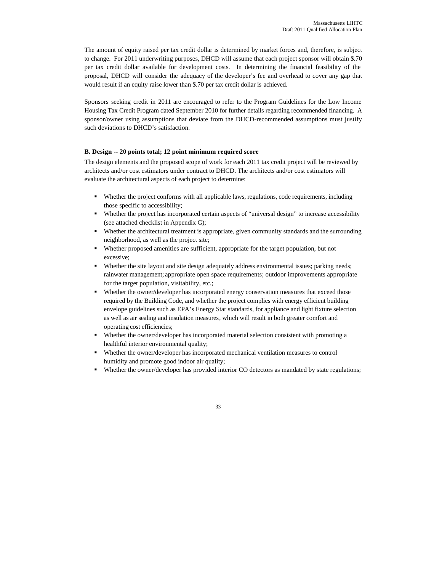The amount of equity raised per tax credit dollar is determined by market forces and, therefore, is subject to change. For 2011 underwriting purposes, DHCD will assume that each project sponsor will obtain \$.70 per tax credit dollar available for development costs. In determining the financial feasibility of the proposal, DHCD will consider the adequacy of the developer's fee and overhead to cover any gap that would result if an equity raise lower than \$.70 per tax credit dollar is achieved.

Sponsors seeking credit in 2011 are encouraged to refer to the Program Guidelines for the Low Income Housing Tax Credit Program dated September 2010 for further details regarding recommended financing. A sponsor/owner using assumptions that deviate from the DHCD-recommended assumptions must justify such deviations to DHCD's satisfaction.

## **B. Design -- 20 points total; 12 point minimum required score**

The design elements and the proposed scope of work for each 2011 tax credit project will be reviewed by architects and/or cost estimators under contract to DHCD. The architects and/or cost estimators will evaluate the architectural aspects of each project to determine:

- ß Whether the project conforms with all applicable laws, regulations, code requirements, including those specific to accessibility;
- ß Whether the project has incorporated certain aspects of "universal design" to increase accessibility (see attached checklist in Appendix G);
- Whether the architectural treatment is appropriate, given community standards and the surrounding neighborhood, as well as the project site;
- ß Whether proposed amenities are sufficient, appropriate for the target population, but not excessive;
- Whether the site layout and site design adequately address environmental issues; parking needs; rainwater management; appropriate open space requirements; outdoor improvements appropriate for the target population, visitability, etc.;
- Whether the owner/developer has incorporated energy conservation measures that exceed those required by the Building Code, and whether the project complies with energy efficient building envelope guidelines such as EPA's Energy Star standards, for appliance and light fixture selection as well as air sealing and insulation measures, which will result in both greater comfort and operating cost efficiencies;
- ß Whether the owner/developer has incorporated material selection consistent with promoting a healthful interior environmental quality;
- Whether the owner/developer has incorporated mechanical ventilation measures to control humidity and promote good indoor air quality;
- Whether the owner/developer has provided interior CO detectors as mandated by state regulations;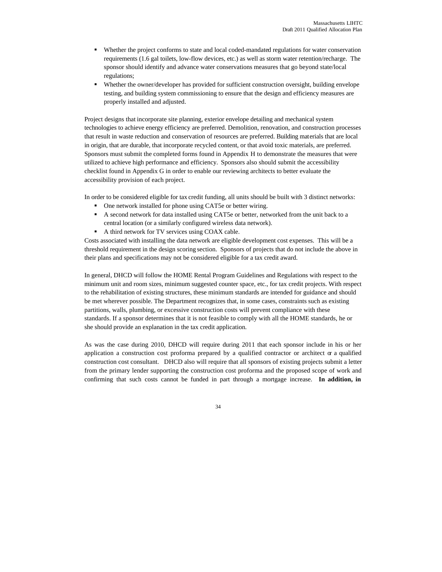- ß Whether the project conforms to state and local coded-mandated regulations for water conservation requirements (1.6 gal toilets, low-flow devices, etc.) as well as storm water retention/recharge. The sponsor should identify and advance water conservations measures that go beyond state/local regulations;
- ß Whether the owner/developer has provided for sufficient construction oversight, building envelope testing, and building system commissioning to ensure that the design and efficiency measures are properly installed and adjusted.

Project designs that incorporate site planning, exterior envelope detailing and mechanical system technologies to achieve energy efficiency are preferred. Demolition, renovation, and construction processes that result in waste reduction and conservation of resources are preferred. Building materials that are local in origin, that are durable, that incorporate recycled content, or that avoid toxic materials, are preferred. Sponsors must submit the completed forms found in Appendix H to demonstrate the measures that were utilized to achieve high performance and efficiency. Sponsors also should submit the accessibility checklist found in Appendix G in order to enable our reviewing architects to better evaluate the accessibility provision of each project.

In order to be considered eligible for tax credit funding, all units should be built with 3 distinct networks:

- ß One network installed for phone using CAT5e or better wiring.
- A second network for data installed using CAT5e or better, networked from the unit back to a central location (or a similarly configured wireless data network).
- A third network for TV services using COAX cable.

Costs associated with installing the data network are eligible development cost expenses. This will be a threshold requirement in the design scoring section. Sponsors of projects that do not include the above in their plans and specifications may not be considered eligible for a tax credit award.

In general, DHCD will follow the HOME Rental Program Guidelines and Regulations with respect to the minimum unit and room sizes, minimum suggested counter space, etc., for tax credit projects. With respect to the rehabilitation of existing structures, these minimum standards are intended for guidance and should be met wherever possible. The Department recognizes that, in some cases, constraints such as existing partitions, walls, plumbing, or excessive construction costs will prevent compliance with these standards. If a sponsor determines that it is not feasible to comply with all the HOME standards, he or she should provide an explanation in the tax credit application.

As was the case during 2010, DHCD will require during 2011 that each sponsor include in his or her application a construction cost proforma prepared by a qualified contractor or architect  $\alpha$  a qualified construction cost consultant. DHCD also will require that all sponsors of existing projects submit a letter from the primary lender supporting the construction cost proforma and the proposed scope of work and confirming that such costs cannot be funded in part through a mortgage increase. **In addition, in**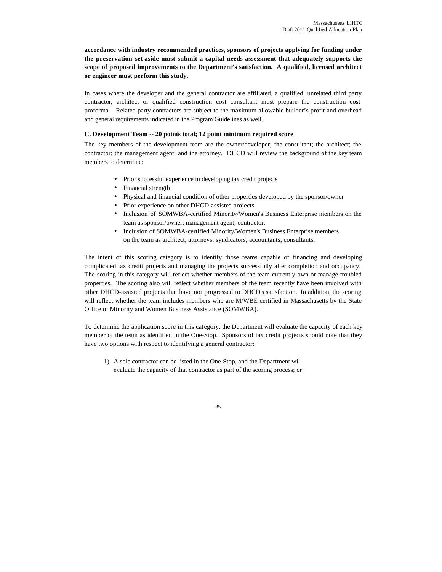**accordance with industry recommended practices, sponsors of projects applying for funding under the preservation set-aside must submit a capital needs assessment that adequately supports the scope of proposed improvements to the Department's satisfaction. A qualified, licensed architect or engineer must perform this study.** 

In cases where the developer and the general contractor are affiliated, a qualified, unrelated third party contractor, architect or qualified construction cost consultant must prepare the construction cost proforma. Related party contractors are subject to the maximum allowable builder's profit and overhead and general requirements indicated in the Program Guidelines as well.

#### **C. Development Team -- 20 points total; 12 point minimum required score**

The key members of the development team are the owner/developer; the consultant; the architect; the contractor; the management agent; and the attorney. DHCD will review the background of the key team members to determine:

- Prior successful experience in developing tax credit projects
- Financial strength
- Physical and financial condition of other properties developed by the sponsor/owner
- Prior experience on other DHCD-assisted projects
- Inclusion of SOMWBA-certified Minority/Women's Business Enterprise members on the team as sponsor/owner; management agent; contractor.
- Inclusion of SOMWBA-certified Minority/Women's Business Enterprise members on the team as architect; attorneys; syndicators; accountants; consultants.

The intent of this scoring category is to identify those teams capable of financing and developing complicated tax credit projects and managing the projects successfully after completion and occupancy. The scoring in this category will reflect whether members of the team currently own or manage troubled properties. The scoring also will reflect whether members of the team recently have been involved with other DHCD-assisted projects that have not progressed to DHCD's satisfaction. In addition, the scoring will reflect whether the team includes members who are M/WBE certified in Massachusetts by the State Office of Minority and Women Business Assistance (SOMWBA).

To determine the application score in this category, the Department will evaluate the capacity of each key member of the team as identified in the One-Stop. Sponsors of tax credit projects should note that they have two options with respect to identifying a general contractor:

1) A sole contractor can be listed in the One-Stop, and the Department will evaluate the capacity of that contractor as part of the scoring process; or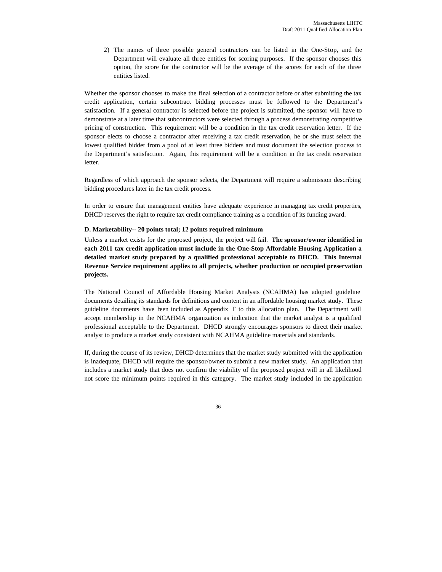2) The names of three possible general contractors can be listed in the One-Stop, and the Department will evaluate all three entities for scoring purposes. If the sponsor chooses this option, the score for the contractor will be the average of the scores for each of the three entities listed.

Whether the sponsor chooses to make the final selection of a contractor before or after submitting the tax credit application, certain subcontract bidding processes must be followed to the Department's satisfaction. If a general contractor is selected before the project is submitted, the sponsor will have to demonstrate at a later time that subcontractors were selected through a process demonstrating competitive pricing of construction. This requirement will be a condition in the tax credit reservation letter. If the sponsor elects to choose a contractor after receiving a tax credit reservation, he or she must select the lowest qualified bidder from a pool of at least three bidders and must document the selection process to the Department's satisfaction. Again, this requirement will be a condition in the tax credit reservation letter.

Regardless of which approach the sponsor selects, the Department will require a submission describing bidding procedures later in the tax credit process.

In order to ensure that management entities have adequate experience in managing tax credit properties, DHCD reserves the right to require tax credit compliance training as a condition of its funding award.

### **D. Marketability-- 20 points total; 12 points required minimum**

Unless a market exists for the proposed project, the project will fail. **The sponsor/owner identified in each 2011 tax credit application must include in the One-Stop Affordable Housing Application a detailed market study prepared by a qualified professional acceptable to DHCD. This Internal Revenue Service requirement applies to all projects, whether production or occupied preservation projects.**

The National Council of Affordable Housing Market Analysts (NCAHMA) has adopted guideline documents detailing its standards for definitions and content in an affordable housing market study. These guideline documents have been included as Appendix F to this allocation plan. The Department will accept membership in the NCAHMA organization as indication that the market analyst is a qualified professional acceptable to the Department. DHCD strongly encourages sponsors to direct their market analyst to produce a market study consistent with NCAHMA guideline materials and standards.

If, during the course of its review, DHCD determines that the market study submitted with the application is inadequate, DHCD will require the sponsor/owner to submit a new market study. An application that includes a market study that does not confirm the viability of the proposed project will in all likelihood not score the minimum points required in this category. The market study included in the application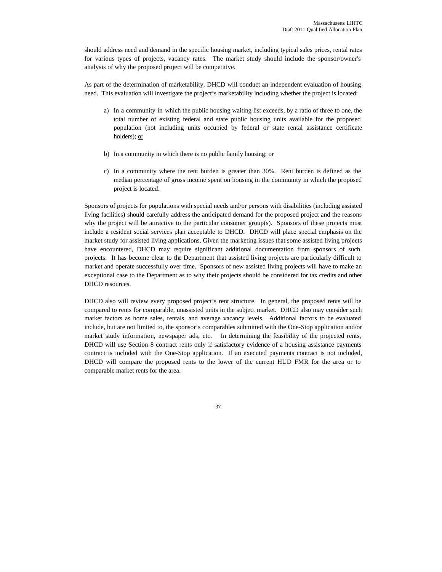should address need and demand in the specific housing market, including typical sales prices, rental rates for various types of projects, vacancy rates. The market study should include the sponsor/owner's analysis of why the proposed project will be competitive.

As part of the determination of marketability, DHCD will conduct an independent evaluation of housing need. This evaluation will investigate the project's marketability including whether the project is located:

- a) In a community in which the public housing waiting list exceeds, by a ratio of three to one, the total number of existing federal and state public housing units available for the proposed population (not including units occupied by federal or state rental assistance certificate holders); or
- b) In a community in which there is no public family housing; or
- c) In a community where the rent burden is greater than 30%. Rent burden is defined as the median percentage of gross income spent on housing in the community in which the proposed project is located.

Sponsors of projects for populations with special needs and/or persons with disabilities (including assisted living facilities) should carefully address the anticipated demand for the proposed project and the reasons why the project will be attractive to the particular consumer group(s). Sponsors of these projects must include a resident social services plan acceptable to DHCD. DHCD will place special emphasis on the market study for assisted living applications. Given the marketing issues that some assisted living projects have encountered, DHCD may require significant additional documentation from sponsors of such projects. It has become clear to the Department that assisted living projects are particularly difficult to market and operate successfully over time. Sponsors of new assisted living projects will have to make an exceptional case to the Department as to why their projects should be considered for tax credits and other DHCD resources.

DHCD also will review every proposed project's rent structure. In general, the proposed rents will be compared to rents for comparable, unassisted units in the subject market. DHCD also may consider such market factors as home sales, rentals, and average vacancy levels. Additional factors to be evaluated include, but are not limited to, the sponsor's comparables submitted with the One-Stop application and/or market study information, newspaper ads, etc. In determining the feasibility of the projected rents, DHCD will use Section 8 contract rents only if satisfactory evidence of a housing assistance payments contract is included with the One-Stop application. If an executed payments contract is not included, DHCD will compare the proposed rents to the lower of the current HUD FMR for the area or to comparable market rents for the area.

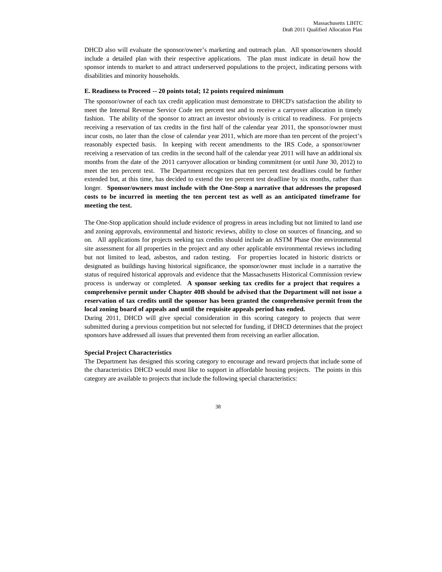DHCD also will evaluate the sponsor/owner's marketing and outreach plan. All sponsor/owners should include a detailed plan with their respective applications. The plan must indicate in detail how the sponsor intends to market to and attract underserved populations to the project, indicating persons with disabilities and minority households.

#### **E. Readiness to Proceed -- 20 points total; 12 points required minimum**

The sponsor/owner of each tax credit application must demonstrate to DHCD's satisfaction the ability to meet the Internal Revenue Service Code ten percent test and to receive a carryover allocation in timely fashion. The ability of the sponsor to attract an investor obviously is critical to readiness. For projects receiving a reservation of tax credits in the first half of the calendar year 2011, the sponsor/owner must incur costs, no later than the close of calendar year 2011, which are more than ten percent of the project's reasonably expected basis. In keeping with recent amendments to the IRS Code, a sponsor/owner receiving a reservation of tax credits in the second half of the calendar year 2011 will have an additional six months from the date of the 2011 carryover allocation or binding commitment (or until June 30, 2012) to meet the ten percent test. The Department recognizes that ten percent test deadlines could be further extended but, at this time, has decided to extend the ten percent test deadline by six months, rather than longer. **Sponsor/owners must include with the One-Stop a narrative that addresses the proposed costs to be incurred in meeting the ten percent test as well as an anticipated timeframe for meeting the test.**

The One-Stop application should include evidence of progress in areas including but not limited to land use and zoning approvals, environmental and historic reviews, ability to close on sources of financing, and so on. All applications for projects seeking tax credits should include an ASTM Phase One environmental site assessment for all properties in the project and any other applicable environmental reviews including but not limited to lead, asbestos, and radon testing. For properties located in historic districts or designated as buildings having historical significance, the sponsor/owner must include in a narrative the status of required historical approvals and evidence that the Massachusetts Historical Commission review process is underway or completed. **A sponsor seeking tax credits for a project that requires a comprehensive permit under Chapter 40B should be advised that the Department will not issue a reservation of tax credits until the sponsor has been granted the comprehensive permit from the local zoning board of appeals and until the requisite appeals period has ended.** 

During 2011, DHCD will give special consideration in this scoring category to projects that were submitted during a previous competition but not selected for funding, if DHCD determines that the project sponsors have addressed all issues that prevented them from receiving an earlier allocation.

## **Special Project Characteristics**

The Department has designed this scoring category to encourage and reward projects that include some of the characteristics DHCD would most like to support in affordable housing projects. The points in this category are available to projects that include the following special characteristics: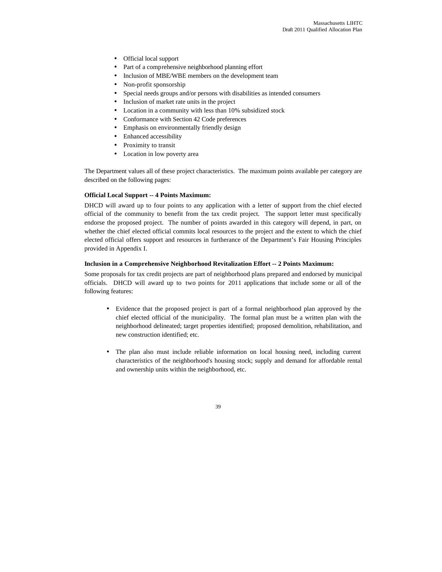- Official local support
- Part of a comprehensive neighborhood planning effort
- Inclusion of MBE/WBE members on the development team
- Non-profit sponsorship
- Special needs groups and/or persons with disabilities as intended consumers
- Inclusion of market rate units in the project
- Location in a community with less than 10% subsidized stock
- Conformance with Section 42 Code preferences
- Emphasis on environmentally friendly design
- Enhanced accessibility
- Proximity to transit
- Location in low poverty area

The Department values all of these project characteristics. The maximum points available per category are described on the following pages:

## **Official Local Support -- 4 Points Maximum:**

DHCD will award up to four points to any application with a letter of support from the chief elected official of the community to benefit from the tax credit project. The support letter must specifically endorse the proposed project. The number of points awarded in this category will depend, in part, on whether the chief elected official commits local resources to the project and the extent to which the chief elected official offers support and resources in furtherance of the Department's Fair Housing Principles provided in Appendix I.

## **Inclusion in a Comprehensive Neighborhood Revitalization Effort -- 2 Points Maximum:**

Some proposals for tax credit projects are part of neighborhood plans prepared and endorsed by municipal officials. DHCD will award up to two points for 2011 applications that include some or all of the following features:

- Evidence that the proposed project is part of a formal neighborhood plan approved by the chief elected official of the municipality. The formal plan must be a written plan with the neighborhood delineated; target properties identified; proposed demolition, rehabilitation, and new construction identified; etc.
- The plan also must include reliable information on local housing need, including current characteristics of the neighborhood's housing stock; supply and demand for affordable rental and ownership units within the neighborhood, etc.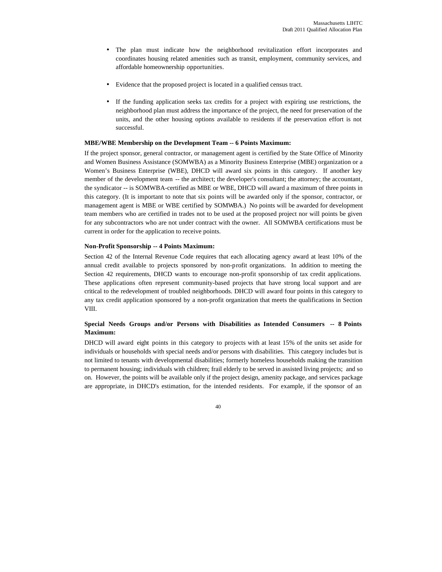- The plan must indicate how the neighborhood revitalization effort incorporates and coordinates housing related amenities such as transit, employment, community services, and affordable homeownership opportunities.
- Evidence that the proposed project is located in a qualified census tract.
- If the funding application seeks tax credits for a project with expiring use restrictions, the neighborhood plan must address the importance of the project, the need for preservation of the units, and the other housing options available to residents if the preservation effort is not successful.

## **MBE/WBE Membership on the Development Team -- 6 Points Maximum:**

If the project sponsor, general contractor, or management agent is certified by the State Office of Minority and Women Business Assistance (SOMWBA) as a Minority Business Enterprise (MBE) organization or a Women's Business Enterprise (WBE), DHCD will award six points in this category. If another key member of the development team -- the architect; the developer's consultant; the attorney; the accountant, the syndicator -- is SOMWBA-certified as MBE or WBE, DHCD will award a maximum of three points in this category. (It is important to note that six points will be awarded only if the sponsor, contractor, or management agent is MBE or WBE certified by SOMWBA.) No points will be awarded for development team members who are certified in trades not to be used at the proposed project nor will points be given for any subcontractors who are not under contract with the owner. All SOMWBA certifications must be current in order for the application to receive points.

#### **Non-Profit Sponsorship -- 4 Points Maximum:**

Section 42 of the Internal Revenue Code requires that each allocating agency award at least 10% of the annual credit available to projects sponsored by non-profit organizations. In addition to meeting the Section 42 requirements, DHCD wants to encourage non-profit sponsorship of tax credit applications. These applications often represent community-based projects that have strong local support and are critical to the redevelopment of troubled neighborhoods. DHCD will award four points in this category to any tax credit application sponsored by a non-profit organization that meets the qualifications in Section VIII.

## **Special Needs Groups and/or Persons with Disabilities as Intended Consumers -- 8 Points Maximum:**

DHCD will award eight points in this category to projects with at least 15% of the units set aside for individuals or households with special needs and/or persons with disabilities. This category includes but is not limited to tenants with developmental disabilities; formerly homeless households making the transition to permanent housing; individuals with children; frail elderly to be served in assisted living projects; and so on. However, the points will be available only if the project design, amenity package, and services package are appropriate, in DHCD's estimation, for the intended residents. For example, if the sponsor of an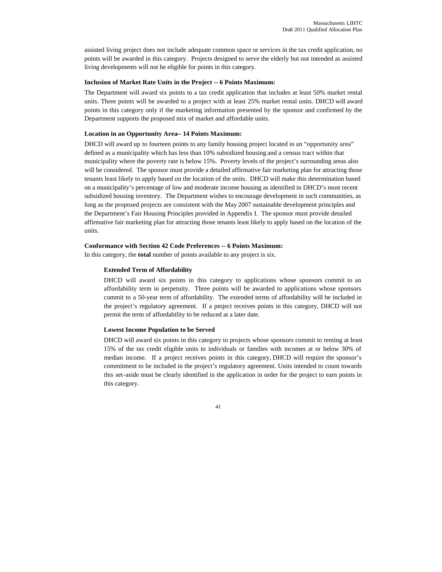assisted living project does not include adequate common space or services in the tax credit application, no points will be awarded in this category. Projects designed to serve the elderly but not intended as assisted living developments will not be eligible for points in this category.

#### **Inclusion of Market Rate Units in the Project -- 6 Points Maximum:**

The Department will award six points to a tax credit application that includes at least 50% market rental units. Three points will be awarded to a project with at least 25% market rental units. DHCD will award points in this category only if the marketing information presented by the sponsor and confirmed by the Department supports the proposed mix of market and affordable units.

## **Location in an Opportunity Area-- 14 Points Maximum:**

DHCD will award up to fourteen points to any family housing project located in an "opportunity area" defined as a municipality which has less than 10% subsidized housing and a census tract within that municipality where the poverty rate is below 15%. Poverty levels of the project's surrounding areas also will be considered. The sponsor must provide a detailed affirmative fair marketing plan for attracting those tenants least likely to apply based on the location of the units. DHCD will make this determination based on a municipality's percentage of low and moderate income housing as identified in DHCD's most recent subsidized housing inventory. The Department wishes to encourage development in such communities, as long as the proposed projects are consistent with the May 2007 sustainable development principles and the Department's Fair Housing Principles provided in Appendix I. The sponsor must provide detailed affirmative fair marketing plan for attracting those tenants least likely to apply based on the location of the units.

#### **Conformance with Section 42 Code Preferences -- 6 Points Maximum:**

In this category, the **total** number of points available to any project is six.

#### **Extended Term of Affordability**

DHCD will award six points in this category to applications whose sponsors commit to an affordability term in perpetuity. Three points will be awarded to applications whose sponsors commit to a 50-year term of affordability. The extended terms of affordability will be included in the project's regulatory agreement. If a project receives points in this category, DHCD will not permit the term of affordability to be reduced at a later date.

#### **Lowest Income Population to be Served**

DHCD will award six points in this category to projects whose sponsors commit to renting at least 15% of the tax credit eligible units to individuals or families with incomes at or below 30% of median income. If a project receives points in this category, DHCD will require the sponsor's commitment to be included in the project's regulatory agreement. Units intended to count towards this set-aside must be clearly identified in the application in order for the project to earn points in this category.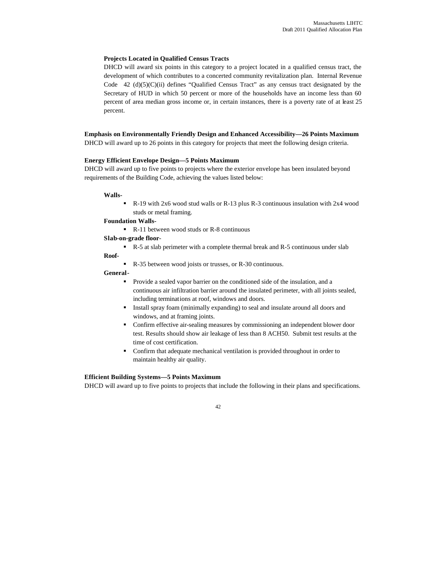## **Projects Located in Qualified Census Tracts**

DHCD will award six points in this category to a project located in a qualified census tract, the development of which contributes to a concerted community revitalization plan. Internal Revenue Code  $42$  (d)(5)(C)(ii) defines "Qualified Census Tract" as any census tract designated by the Secretary of HUD in which 50 percent or more of the households have an income less than 60 percent of area median gross income or, in certain instances, there is a poverty rate of at least 25 percent.

## **Emphasis on Environmentally Friendly Design and Enhanced Accessibility—26 Points Maximum**

DHCD will award up to 26 points in this category for projects that meet the following design criteria.

## **Energy Efficient Envelope Design—5 Points Maximum**

DHCD will award up to five points to projects where the exterior envelope has been insulated beyond requirements of the Building Code, achieving the values listed below:

#### **Walls-**

 $\blacksquare$  R-19 with 2x6 wood stud walls or R-13 plus R-3 continuous insulation with 2x4 wood studs or metal framing.

#### **Foundation Walls-**

 $\blacksquare$  R-11 between wood studs or R-8 continuous

## **Slab-on-grade floor**-

ß R-5 at slab perimeter with a complete thermal break and R-5 continuous under slab

## **Roof-**

R-35 between wood joists or trusses, or R-30 continuous.

## **General-**

- ß Provide a sealed vapor barrier on the conditioned side of the insulation, and a continuous air infiltration barrier around the insulated perimeter, with all joints sealed, including terminations at roof, windows and doors.
- **Install spray foam (minimally expanding) to seal and insulate around all doors and** windows, and at framing joints.
- **•** Confirm effective air-sealing measures by commissioning an independent blower door test. Results should show air leakage of less than 8 ACH50. Submit test results at the time of cost certification.
- Confirm that adequate mechanical ventilation is provided throughout in order to maintain healthy air quality.

#### **Efficient Building Systems—5 Points Maximum**

DHCD will award up to five points to projects that include the following in their plans and specifications.

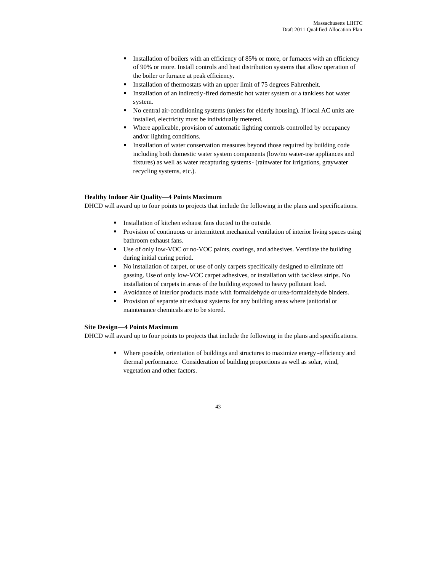- **Installation of boilers with an efficiency of 85% or more, or furnaces with an efficiency** of 90% or more. Install controls and heat distribution systems that allow operation of the boiler or furnace at peak efficiency.
- ß Installation of thermostats with an upper limit of 75 degrees Fahrenheit.
- **Installation of an indirectly-fired domestic hot water system or a tankless hot water** system.
- No central air-conditioning systems (unless for elderly housing). If local AC units are installed, electricity must be individually metered.
- Where applicable, provision of automatic lighting controls controlled by occupancy and/or lighting conditions.
- ß Installation of water conservation measures beyond those required by building code including both domestic water system components (low/no water-use appliances and fixtures) as well as water recapturing systems- (rainwater for irrigations, graywater recycling systems, etc.).

## **Healthy Indoor Air Quality—4 Points Maximum**

DHCD will award up to four points to projects that include the following in the plans and specifications.

- **Installation of kitchen exhaust fans ducted to the outside.**
- **•** Provision of continuous or intermittent mechanical ventilation of interior living spaces using bathroom exhaust fans.
- **Use of only low-VOC or no-VOC paints, coatings, and adhesives. Ventilate the building** during initial curing period.
- No installation of carpet, or use of only carpets specifically designed to eliminate off gassing. Use of only low-VOC carpet adhesives, or installation with tackless strips. No installation of carpets in areas of the building exposed to heavy pollutant load.
- **•** Avoidance of interior products made with formaldehyde or urea-formaldehyde binders.
- **•** Provision of separate air exhaust systems for any building areas where janitorial or maintenance chemicals are to be stored.

## **Site Design—4 Points Maximum**

DHCD will award up to four points to projects that include the following in the plans and specifications.

ß Where possible, orientation of buildings and structures to maximize energy -efficiency and thermal performance. Consideration of building proportions as well as solar, wind, vegetation and other factors.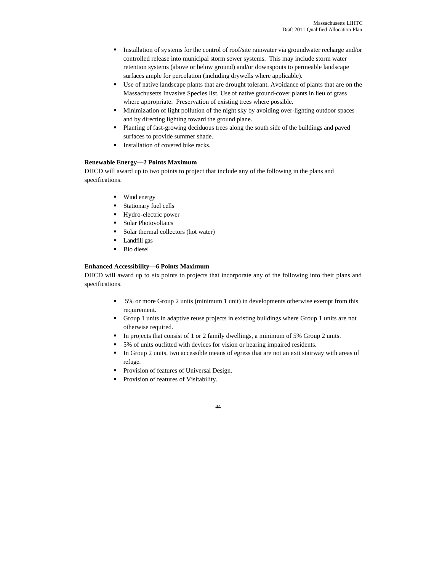- **Installation of systems for the control of roof/site rainwater via groundwater recharge and/or** controlled release into municipal storm sewer systems. This may include storm water retention systems (above or below ground) and/or downspouts to permeable landscape surfaces ample for percolation (including drywells where applicable).
- ß Use of native landscape plants that are drought tolerant. Avoidance of plants that are on the Massachusetts Invasive Species list. Use of native ground-cover plants in lieu of grass where appropriate. Preservation of existing trees where possible.
- **•** Minimization of light pollution of the night sky by avoiding over-lighting outdoor spaces and by directing lighting toward the ground plane.
- ß Planting of fast-growing deciduous trees along the south side of the buildings and paved surfaces to provide summer shade.
- **Installation of covered bike racks.**

## **Renewable Energy—2 Points Maximum**

DHCD will award up to two points to project that include any of the following in the plans and specifications.

- Wind energy
- **Stationary fuel cells**
- **Hydro-electric power**
- **Solar Photovoltaics**
- Solar thermal collectors (hot water)
- **Landfill** gas
- **Bio diesel**

## **Enhanced Accessibility—6 Points Maximum**

DHCD will award up to six points to projects that incorporate any of the following into their plans and specifications.

- ß 5% or more Group 2 units (minimum 1 unit) in developments otherwise exempt from this requirement.
- ß Group 1 units in adaptive reuse projects in existing buildings where Group 1 units are not otherwise required.
- In projects that consist of 1 or 2 family dwellings, a minimum of 5% Group 2 units.
- **5%** of units outfitted with devices for vision or hearing impaired residents.
- In Group 2 units, two accessible means of egress that are not an exit stairway with areas of refuge.
- **•** Provision of features of Universal Design.
- **•** Provision of features of Visitability.

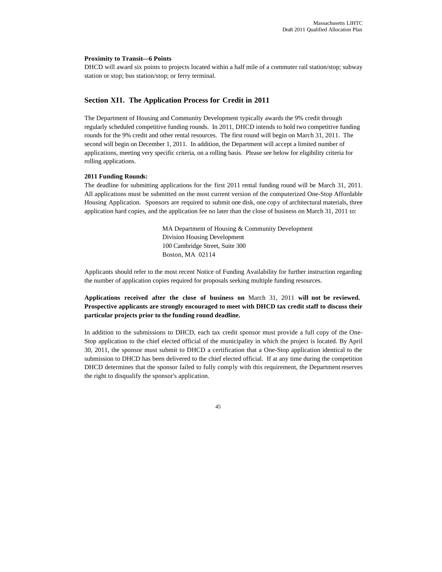#### **Proximity to Transit—6 Points**

DHCD will award six points to projects located within a half mile of a commuter rail station/stop; subway station or stop; bus station/stop; or ferry terminal.

## **Section XII. The Application Process for Credit in 2011**

The Department of Housing and Community Development typically awards the 9% credit through regularly scheduled competitive funding rounds. In 2011, DHCD intends to hold two competitive funding rounds for the 9% credit and other rental resources. The first round will begin on March 31, 2011. The second will begin on December 1, 2011. In addition, the Department will accept a limited number of applications, meeting very specific criteria, on a rolling basis. Please see below for eligibility criteria for rolling applications.

#### **2011 Funding Rounds:**

The deadline for submitting applications for the first 2011 rental funding round will be March 31, 2011. All applications must be submitted on the most current version of the computerized One-Stop Affordable Housing Application. Sponsors are required to submit one disk, one copy of architectural materials, three application hard copies, and the application fee no later than the close of business on March 31, 2011 to:

> MA Department of Housing & Community Development Division Housing Development 100 Cambridge Street, Suite 300 Boston, MA 02114

Applicants should refer to the most recent Notice of Funding Availability for further instruction regarding the number of application copies required for proposals seeking multiple funding resources.

**Applications received after the close of business on** March 31, 2011 **will not be reviewed. Prospective applicants are strongly encouraged to meet with DHCD tax credit staff to discuss their particular projects prior to the funding round deadline.**

In addition to the submissions to DHCD, each tax credit sponsor must provide a full copy of the One-Stop application to the chief elected official of the municipality in which the project is located. By April 30, 2011, the sponsor must submit to DHCD a certification that a One-Stop application identical to the submission to DHCD has been delivered to the chief elected official. If at any time during the competition DHCD determines that the sponsor failed to fully comply with this requirement, the Department reserves the right to disqualify the sponsor's application.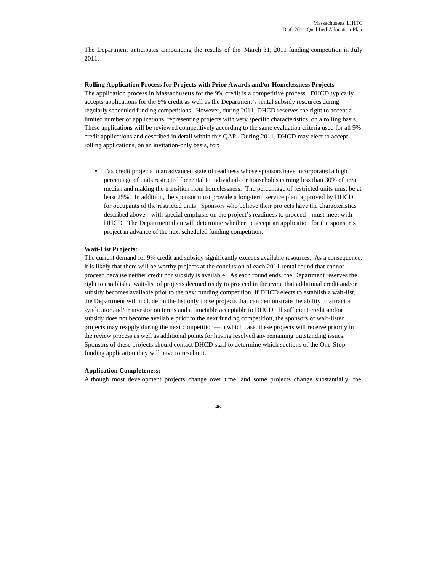The Department anticipates announcing the results of the March 31, 2011 funding competition in July 2011.

**Rolling Application Process for Projects with Prior Awards and/or Homelessness Projects** The application process in Massachusetts for the 9% credit is a competitive process. DHCD typically accepts applications for the 9% credit as well as the Department's rental subsidy resources during regularly scheduled funding competitions. However, during 2011, DHCD reserves the right to accept a limited number of applications, representing projects with very specific characteristics, on a rolling basis. These applications will be reviewed competitively according to the same evaluation criteria used for all 9% credit applications and described in detail within this QAP. During 2011, DHCD may elect to accept rolling applications, on an invitation-only basis, for:

• Tax credit projects in an advanced state of readiness whose sponsors have incorporated a high percentage of units restricted for rental to individuals or households earning less than 30% of area median and making the transition from homelessness. The percentage of restricted units must be at least 25%. In addition, the sponsor must provide a long-term service plan, approved by DHCD, for occupants of the restricted units. Sponsors who believe their projects have the characteristics described above-- with special emphasis on the project's readiness to proceed-- must meet with DHCD. The Department then will determine whether to accept an application for the sponsor's project in advance of the next scheduled funding competition.

#### **Wait-List Projects:**

The current demand for 9% credit and subsidy significantly exceeds available resources. As a consequence, it is likely that there will be worthy projects at the conclusion of each 2011 rental round that cannot proceed because neither credit nor subsidy is available. As each round ends, the Department reserves the right to establish a wait-list of projects deemed ready to proceed in the event that additional credit and/or subsidy becomes available prior to the next funding competition. If DHCD elects to establish a wait-list, the Department will include on the list only those projects that can demonstrate the ability to attract a syndicator and/or investor on terms and a timetable acceptable to DHCD. If sufficient credit and/or subsidy does not become available prior to the next funding competition, the sponsors of wait-listed projects may reapply during the next competition—in which case, these projects will receive priority in the review process as well as additional points for having resolved any remaining outstanding issues. Sponsors of these projects should contact DHCD staff to determine which sections of the One-Stop funding application they will have to resubmit.

#### **Application Completeness:**

Although most development projects change over time, and some projects change substantially, the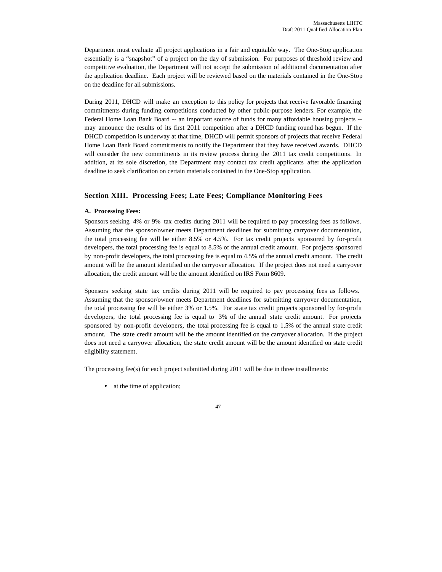Department must evaluate all project applications in a fair and equitable way. The One-Stop application essentially is a "snapshot" of a project on the day of submission. For purposes of threshold review and competitive evaluation, the Department will not accept the submission of additional documentation after the application deadline. Each project will be reviewed based on the materials contained in the One-Stop on the deadline for all submissions.

During 2011, DHCD will make an exception to this policy for projects that receive favorable financing commitments during funding competitions conducted by other public-purpose lenders. For example, the Federal Home Loan Bank Board -- an important source of funds for many affordable housing projects -may announce the results of its first 2011 competition after a DHCD funding round has begun. If the DHCD competition is underway at that time, DHCD will permit sponsors of projects that receive Federal Home Loan Bank Board commitments to notify the Department that they have received awards. DHCD will consider the new commitments in its review process during the 2011 tax credit competitions. In addition, at its sole discretion, the Department may contact tax credit applicants after the application deadline to seek clarification on certain materials contained in the One-Stop application.

## **Section XIII. Processing Fees; Late Fees; Compliance Monitoring Fees**

#### **A. Processing Fees:**

Sponsors seeking 4% or 9% tax credits during 2011 will be required to pay processing fees as follows. Assuming that the sponsor/owner meets Department deadlines for submitting carryover documentation, the total processing fee will be either 8.5% or 4.5%. For tax credit projects sponsored by for-profit developers, the total processing fee is equal to 8.5% of the annual credit amount. For projects sponsored by non-profit developers, the total processing fee is equal to 4.5% of the annual credit amount. The credit amount will be the amount identified on the carryover allocation. If the project does not need a carryover allocation, the credit amount will be the amount identified on IRS Form 8609.

Sponsors seeking state tax credits during 2011 will be required to pay processing fees as follows. Assuming that the sponsor/owner meets Department deadlines for submitting carryover documentation, the total processing fee will be either 3% or 1.5%. For state tax credit projects sponsored by for-profit developers, the total processing fee is equal to 3% of the annual state credit amount. For projects sponsored by non-profit developers, the total processing fee is equal to 1.5% of the annual state credit amount. The state credit amount will be the amount identified on the carryover allocation. If the project does not need a carryover allocation, the state credit amount will be the amount identified on state credit eligibility statement.

The processing fee(s) for each project submitted during 2011 will be due in three installments:

• at the time of application;

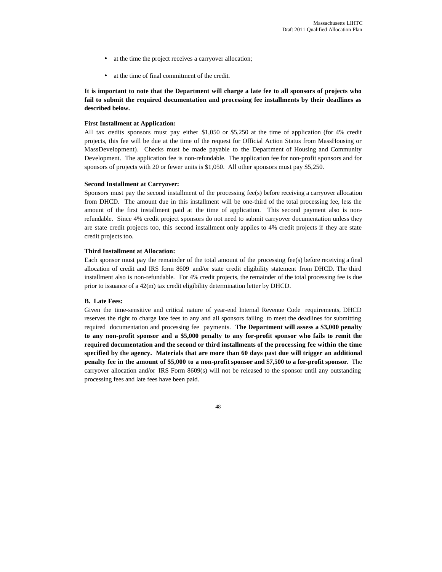- at the time the project receives a carryover allocation;
- at the time of final commitment of the credit.

**It is important to note that the Department will charge a late fee to all sponsors of projects who fail to submit the required documentation and processing fee installments by their deadlines as described below.**

#### **First Installment at Application:**

All tax credits sponsors must pay either \$1,050 or \$5,250 at the time of application (for 4% credit projects, this fee will be due at the time of the request for Official Action Status from MassHousing or MassDevelopment). Checks must be made payable to the Department of Housing and Community Development. The application fee is non-refundable. The application fee for non-profit sponsors and for sponsors of projects with 20 or fewer units is \$1,050. All other sponsors must pay \$5,250.

#### **Second Installment at Carryover:**

Sponsors must pay the second installment of the processing fee(s) before receiving a carryover allocation from DHCD. The amount due in this installment will be one-third of the total processing fee, less the amount of the first installment paid at the time of application. This second payment also is nonrefundable. Since 4% credit project sponsors do not need to submit carryover documentation unless they are state credit projects too, this second installment only applies to 4% credit projects if they are state credit projects too.

#### **Third Installment at Allocation:**

Each sponsor must pay the remainder of the total amount of the processing fee(s) before receiving a final allocation of credit and IRS form 8609 and/or state credit eligibility statement from DHCD. The third installment also is non-refundable. For 4% credit projects, the remainder of the total processing fee is due prior to issuance of a 42(m) tax credit eligibility determination letter by DHCD.

#### **B. Late Fees:**

Given the time-sensitive and critical nature of year-end Internal Revenue Code requirements, DHCD reserves the right to charge late fees to any and all sponsors failing to meet the deadlines for submitting required documentation and processing fee payments. **The Department will assess a \$3,000 penalty to any non-profit sponsor and a \$5,000 penalty to any for-profit sponsor who fails to remit the required documentation and the second or third installments of the processing fee within the time specified by the agency. Materials that are more than 60 days past due will trigger an additional penalty fee in the amount of \$5,000 to a non-profit sponsor and \$7,500 to a for-profit sponsor.** The carryover allocation and/or IRS Form 8609(s) will not be released to the sponsor until any outstanding processing fees and late fees have been paid.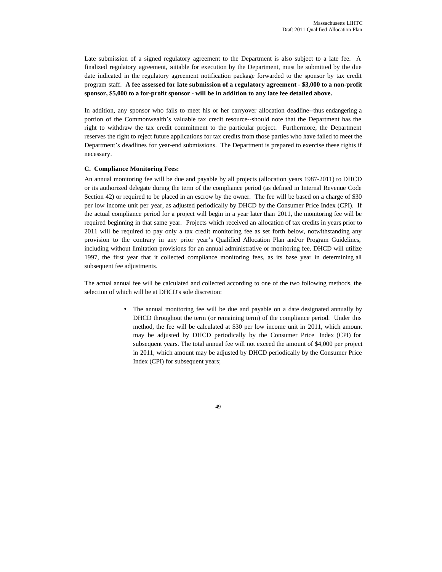Late submission of a signed regulatory agreement to the Department is also subject to a late fee. A finalized regulatory agreement, suitable for execution by the Department, must be submitted by the due date indicated in the regulatory agreement notification package forwarded to the sponsor by tax credit program staff. **A fee assessed for late submission of a regulatory agreement - \$3,000 to a non-profit sponsor, \$5,000 to a for-profit sponsor - will be in addition to any late fee detailed above.**

In addition, any sponsor who fails to meet his or her carryover allocation deadline--thus endangering a portion of the Commonwealth's valuable tax credit resource--should note that the Department has the right to withdraw the tax credit commitment to the particular project. Furthermore, the Department reserves the right to reject future applications for tax credits from those parties who have failed to meet the Department's deadlines for year-end submissions. The Department is prepared to exercise these rights if necessary.

## **C. Compliance Monitoring Fees:**

An annual monitoring fee will be due and payable by all projects (allocation years 1987-2011) to DHCD or its authorized delegate during the term of the compliance period (as defined in Internal Revenue Code Section 42) or required to be placed in an escrow by the owner. The fee will be based on a charge of \$30 per low income unit per year, as adjusted periodically by DHCD by the Consumer Price Index (CPI). If the actual compliance period for a project will begin in a year later than 2011, the monitoring fee will be required beginning in that same year. Projects which received an allocation of tax credits in years prior to 2011 will be required to pay only a tax credit monitoring fee as set forth below, notwithstanding any provision to the contrary in any prior year's Qualified Allocation Plan and/or Program Guidelines, including without limitation provisions for an annual administrative or monitoring fee. DHCD will utilize 1997, the first year that it collected compliance monitoring fees, as its base year in determining all subsequent fee adjustments.

The actual annual fee will be calculated and collected according to one of the two following methods, the selection of which will be at DHCD's sole discretion:

> • The annual monitoring fee will be due and payable on a date designated annually by DHCD throughout the term (or remaining term) of the compliance period. Under this method, the fee will be calculated at \$30 per low income unit in 2011, which amount may be adjusted by DHCD periodically by the Consumer Price Index (CPI) for subsequent years. The total annual fee will not exceed the amount of \$4,000 per project in 2011, which amount may be adjusted by DHCD periodically by the Consumer Price Index (CPI) for subsequent years;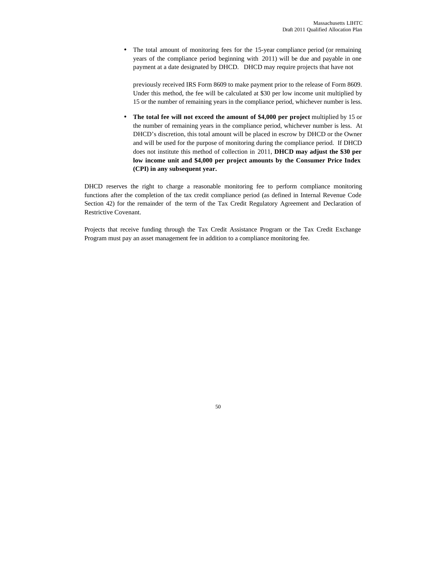• The total amount of monitoring fees for the 15-year compliance period (or remaining years of the compliance period beginning with 2011) will be due and payable in one payment at a date designated by DHCD. DHCD may require projects that have not

previously received IRS Form 8609 to make payment prior to the release of Form 8609. Under this method, the fee will be calculated at \$30 per low income unit multiplied by 15 or the number of remaining years in the compliance period, whichever number is less.

• **The total fee will not exceed the amount of \$4,000 per project** multiplied by 15 or the number of remaining years in the compliance period, whichever number is less. At DHCD's discretion, this total amount will be placed in escrow by DHCD or the Owner and will be used for the purpose of monitoring during the compliance period. If DHCD does not institute this method of collection in 2011, **DHCD may adjust the \$30 per low income unit and \$4,000 per project amounts by the Consumer Price Index (CPI) in any subsequent year.** 

DHCD reserves the right to charge a reasonable monitoring fee to perform compliance monitoring functions after the completion of the tax credit compliance period (as defined in Internal Revenue Code Section 42) for the remainder of the term of the Tax Credit Regulatory Agreement and Declaration of Restrictive Covenant.

Projects that receive funding through the Tax Credit Assistance Program or the Tax Credit Exchange Program must pay an asset management fee in addition to a compliance monitoring fee.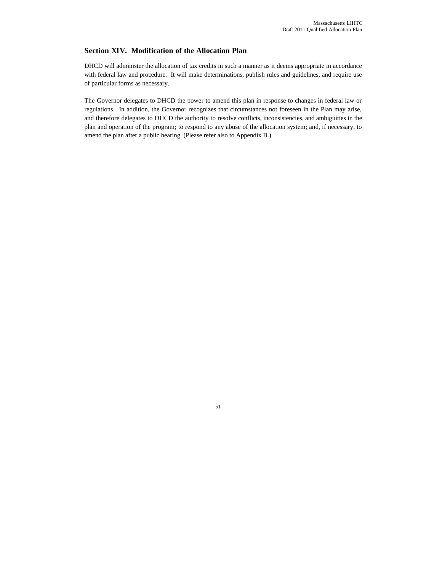## **Section XIV. Modification of the Allocation Plan**

DHCD will administer the allocation of tax credits in such a manner as it deems appropriate in accordance with federal law and procedure. It will make determinations, publish rules and guidelines, and require use of particular forms as necessary.

The Governor delegates to DHCD the power to amend this plan in response to changes in federal law or regulations. In addition, the Governor recognizes that circumstances not foreseen in the Plan may arise, and therefore delegates to DHCD the authority to resolve conflicts, inconsistencies, and ambiguities in the plan and operation of the program; to respond to any abuse of the allocation system; and, if necessary, to amend the plan after a public hearing. (Please refer also to Appendix B.)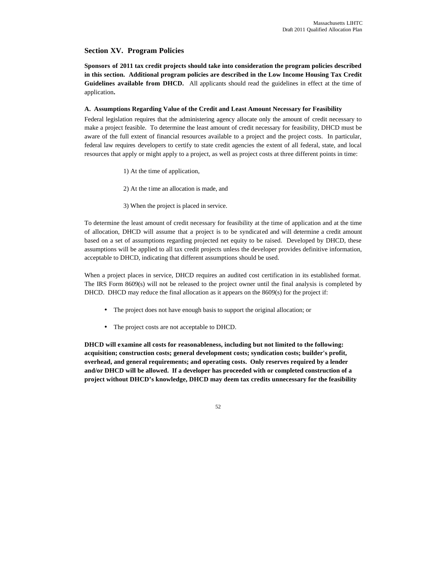## **Section XV. Program Policies**

**Sponsors of 2011 tax credit projects should take into consideration the program policies described in this section. Additional program policies are described in the Low Income Housing Tax Credit Guidelines available from DHCD.** All applicants should read the guidelines in effect at the time of application**.**

## **A. Assumptions Regarding Value of the Credit and Least Amount Necessary for Feasibility**

Federal legislation requires that the administering agency allocate only the amount of credit necessary to make a project feasible. To determine the least amount of credit necessary for feasibility, DHCD must be aware of the full extent of financial resources available to a project and the project costs. In particular, federal law requires developers to certify to state credit agencies the extent of all federal, state, and local resources that apply or might apply to a project, as well as project costs at three different points in time:

- 1) At the time of application,
- 2) At the time an allocation is made, and
- 3) When the project is placed in service.

To determine the least amount of credit necessary for feasibility at the time of application and at the time of allocation, DHCD will assume that a project is to be syndicated and will determine a credit amount based on a set of assumptions regarding projected net equity to be raised. Developed by DHCD, these assumptions will be applied to all tax credit projects unless the developer provides definitive information, acceptable to DHCD, indicating that different assumptions should be used.

When a project places in service, DHCD requires an audited cost certification in its established format. The IRS Form 8609(s) will not be released to the project owner until the final analysis is completed by DHCD. DHCD may reduce the final allocation as it appears on the  $8609(s)$  for the project if:

- The project does not have enough basis to support the original allocation; or
- The project costs are not acceptable to DHCD.

**DHCD will examine all costs for reasonableness, including but not limited to the following: acquisition; construction costs; general development costs; syndication costs; builder's profit, overhead, and general requirements; and operating costs. Only reserves required by a lender and/or DHCD will be allowed. If a developer has proceeded with or completed construction of a project without DHCD's knowledge, DHCD may deem tax credits unnecessary for the feasibility**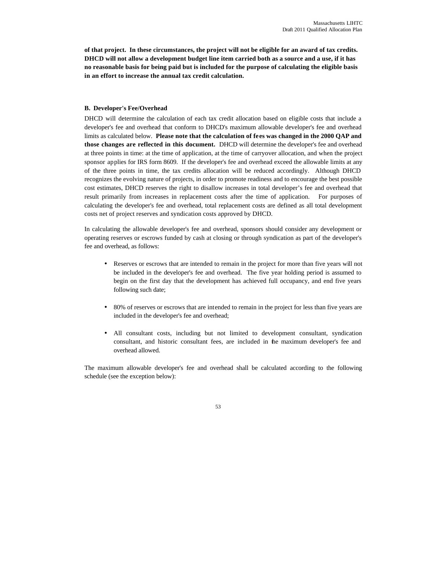**of that project. In these circumstances, the project will not be eligible for an award of tax credits. DHCD will not allow a development budget line item carried both as a source and a use, if it has no reasonable basis for being paid but is included for the purpose of calculating the eligible basis in an effort to increase the annual tax credit calculation.**

#### **B. Developer's Fee/Overhead**

DHCD will determine the calculation of each tax credit allocation based on eligible costs that include a developer's fee and overhead that conform to DHCD's maximum allowable developer's fee and overhead limits as calculated below. **Please note that the calculation of fees was changed in the 2000 QAP and those changes are reflected in this document.** DHCD will determine the developer's fee and overhead at three points in time: at the time of application, at the time of carryover allocation, and when the project sponsor applies for IRS form 8609. If the developer's fee and overhead exceed the allowable limits at any of the three points in time, the tax credits allocation will be reduced accordingly. Although DHCD recognizes the evolving nature of projects, in order to promote readiness and to encourage the best possible cost estimates, DHCD reserves the right to disallow increases in total developer's fee and overhead that result primarily from increases in replacement costs after the time of application. For purposes of calculating the developer's fee and overhead, total replacement costs are defined as all total development costs net of project reserves and syndication costs approved by DHCD.

In calculating the allowable developer's fee and overhead, sponsors should consider any development or operating reserves or escrows funded by cash at closing or through syndication as part of the developer's fee and overhead, as follows:

- Reserves or escrows that are intended to remain in the project for more than five years will not be included in the developer's fee and overhead. The five year holding period is assumed to begin on the first day that the development has achieved full occupancy, and end five years following such date;
- 80% of reserves or escrows that are intended to remain in the project for less than five years are included in the developer's fee and overhead;
- All consultant costs, including but not limited to development consultant, syndication consultant, and historic consultant fees, are included in the maximum developer's fee and overhead allowed.

The maximum allowable developer's fee and overhead shall be calculated according to the following schedule (see the exception below):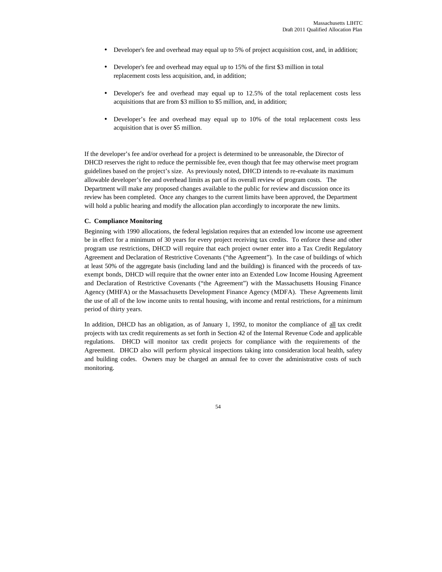- Developer's fee and overhead may equal up to 5% of project acquisition cost, and, in addition;
- Developer's fee and overhead may equal up to 15% of the first \$3 million in total replacement costs less acquisition, and, in addition;
- Developer's fee and overhead may equal up to 12.5% of the total replacement costs less acquisitions that are from \$3 million to \$5 million, and, in addition;
- Developer's fee and overhead may equal up to 10% of the total replacement costs less acquisition that is over \$5 million.

If the developer's fee and/or overhead for a project is determined to be unreasonable, the Director of DHCD reserves the right to reduce the permissible fee, even though that fee may otherwise meet program guidelines based on the project's size. As previously noted, DHCD intends to re-evaluate its maximum allowable developer's fee and overhead limits as part of its overall review of program costs. The Department will make any proposed changes available to the public for review and discussion once its review has been completed. Once any changes to the current limits have been approved, the Department will hold a public hearing and modify the allocation plan accordingly to incorporate the new limits.

## **C. Compliance Monitoring**

Beginning with 1990 allocations, the federal legislation requires that an extended low income use agreement be in effect for a minimum of 30 years for every project receiving tax credits. To enforce these and other program use restrictions, DHCD will require that each project owner enter into a Tax Credit Regulatory Agreement and Declaration of Restrictive Covenants ("the Agreement"). In the case of buildings of which at least 50% of the aggregate basis (including land and the building) is financed with the proceeds of taxexempt bonds, DHCD will require that the owner enter into an Extended Low Income Housing Agreement and Declaration of Restrictive Covenants ("the Agreement") with the Massachusetts Housing Finance Agency (MHFA) or the Massachusetts Development Finance Agency (MDFA). These Agreements limit the use of all of the low income units to rental housing, with income and rental restrictions, for a minimum period of thirty years.

In addition, DHCD has an obligation, as of January 1, 1992, to monitor the compliance of all tax credit projects with tax credit requirements as set forth in Section 42 of the Internal Revenue Code and applicable regulations. DHCD will monitor tax credit projects for compliance with the requirements of the Agreement. DHCD also will perform physical inspections taking into consideration local health, safety and building codes. Owners may be charged an annual fee to cover the administrative costs of such monitoring.

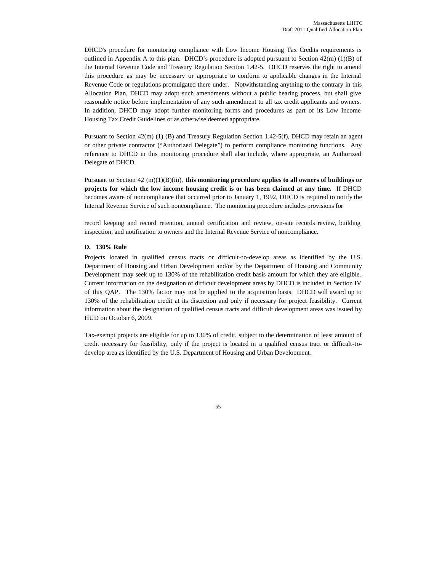DHCD's procedure for monitoring compliance with Low Income Housing Tax Credits requirements is outlined in Appendix A to this plan. DHCD's procedure is adopted pursuant to Section  $42(m)(1)(B)$  of the Internal Revenue Code and Treasury Regulation Section 1.42-5. DHCD reserves the right to amend this procedure as may be necessary or appropriate to conform to applicable changes in the Internal Revenue Code or regulations promulgated there under. Notwithstanding anything to the contrary in this Allocation Plan, DHCD may adopt such amendments without a public hearing process, but shall give reasonable notice before implementation of any such amendment to all tax credit applicants and owners. In addition, DHCD may adopt further monitoring forms and procedures as part of its Low Income Housing Tax Credit Guidelines or as otherwise deemed appropriate.

Pursuant to Section 42(m) (1) (B) and Treasury Regulation Section 1.42-5(f), DHCD may retain an agent or other private contractor ("Authorized Delegate") to perform compliance monitoring functions. Any reference to DHCD in this monitoring procedure shall also include, where appropriate, an Authorized Delegate of DHCD.

Pursuant to Section 42 (m)(1)(B)(iii), **this monitoring procedure applies to all owners of buildings or projects for which the low income housing credit is or has been claimed at any time.** If DHCD becomes aware of noncompliance that occurred prior to January 1, 1992, DHCD is required to notify the Internal Revenue Service of such noncompliance. The monitoring procedure includes provisions for

record keeping and record retention, annual certification and review, on-site records review, building inspection, and notification to owners and the Internal Revenue Service of noncompliance.

#### **D. 130% Rule**

Projects located in qualified census tracts or difficult-to-develop areas as identified by the U.S. Department of Housing and Urban Development and/or by the Department of Housing and Community Development may seek up to 130% of the rehabilitation credit basis amount for which they are eligible. Current information on the designation of difficult development areas by DHCD is included in Section IV of this QAP. The 130% factor may not be applied to the acquisition basis. DHCD will award up to 130% of the rehabilitation credit at its discretion and only if necessary for project feasibility. Current information about the designation of qualified census tracts and difficult development areas was issued by HUD on October 6, 2009.

Tax-exempt projects are eligible for up to 130% of credit, subject to the determination of least amount of credit necessary for feasibility, only if the project is located in a qualified census tract or difficult-todevelop area as identified by the U.S. Department of Housing and Urban Development.

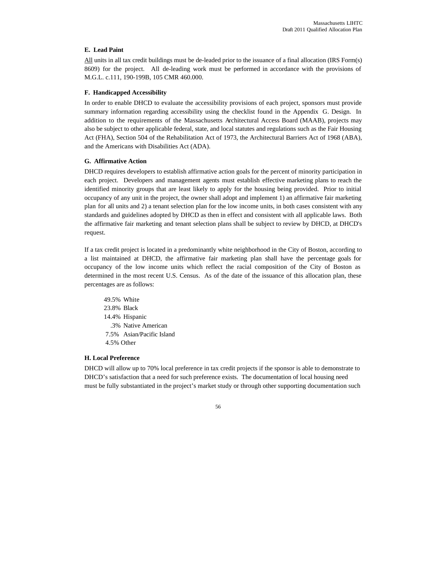## **E. Lead Paint**

All units in all tax credit buildings must be de-leaded prior to the issuance of a final allocation (IRS Form(s) 8609) for the project. All de-leading work must be performed in accordance with the provisions of M.G.L. c.111, 190-199B, 105 CMR 460.000.

#### **F. Handicapped Accessibility**

In order to enable DHCD to evaluate the accessibility provisions of each project, sponsors must provide summary information regarding accessibility using the checklist found in the Appendix G. Design. In addition to the requirements of the Massachusetts Architectural Access Board (MAAB), projects may also be subject to other applicable federal, state, and local statutes and regulations such as the Fair Housing Act (FHA), Section 504 of the Rehabilitation Act of 1973, the Architectural Barriers Act of 1968 (ABA), and the Americans with Disabilities Act (ADA).

#### **G. Affirmative Action**

DHCD requires developers to establish affirmative action goals for the percent of minority participation in each project. Developers and management agents must establish effective marketing plans to reach the identified minority groups that are least likely to apply for the housing being provided. Prior to initial occupancy of any unit in the project, the owner shall adopt and implement 1) an affirmative fair marketing plan for all units and 2) a tenant selection plan for the low income units, in both cases consistent with any standards and guidelines adopted by DHCD as then in effect and consistent with all applicable laws. Both the affirmative fair marketing and tenant selection plans shall be subject to review by DHCD, at DHCD's request.

If a tax credit project is located in a predominantly white neighborhood in the City of Boston, according to a list maintained at DHCD, the affirmative fair marketing plan shall have the percentage goals for occupancy of the low income units which reflect the racial composition of the City of Boston as determined in the most recent U.S. Census. As of the date of the issuance of this allocation plan, these percentages are as follows:

49.5% White 23.8% Black 14.4% Hispanic .3% Native American 7.5% Asian/Pacific Island 4.5% Other

## **H. Local Preference**

DHCD will allow up to 70% local preference in tax credit projects if the sponsor is able to demonstrate to DHCD's satisfaction that a need for such preference exists. The documentation of local housing need must be fully substantiated in the project's market study or through other supporting documentation such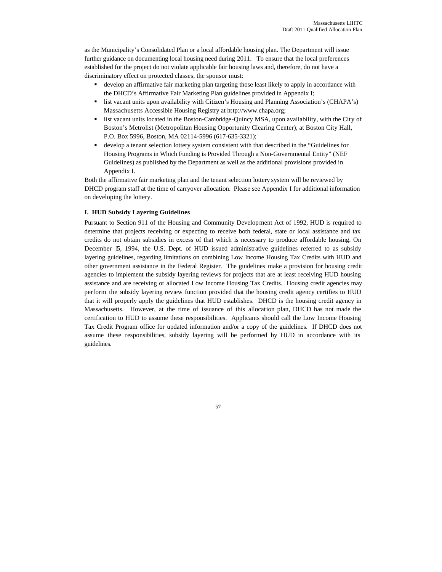as the Municipality's Consolidated Plan or a local affordable housing plan. The Department will issue further guidance on documenting local housing need during 2011. To ensure that the local preferences established for the project do not violate applicable fair housing laws and, therefore, do not have a discriminatory effect on protected classes, the sponsor must:

- ß develop an affirmative fair marketing plan targeting those least likely to apply in accordance with the DHCD's Affirmative Fair Marketing Plan guidelines provided in Appendix I;
- list vacant units upon availability with Citizen's Housing and Planning Association's (CHAPA's) Massachusetts Accessible Housing Registry at http://www.chapa.org;
- list vacant units located in the Boston-Cambridge-Quincy MSA, upon availability, with the City of Boston's Metrolist (Metropolitan Housing Opportunity Clearing Center), at Boston City Hall, P.O. Box 5996, Boston, MA 02114-5996 (617-635-3321);
- ß develop a tenant selection lottery system consistent with that described in the "Guidelines for Housing Programs in Which Funding is Provided Through a Non-Governmental Entity" (NEF Guidelines) as published by the Department as well as the additional provisions provided in Appendix I.

Both the affirmative fair marketing plan and the tenant selection lottery system will be reviewed by DHCD program staff at the time of carryover allocation. Please see Appendix I for additional information on developing the lottery.

## **I. HUD Subsidy Layering Guidelines**

Pursuant to Section 911 of the Housing and Community Development Act of 1992, HUD is required to determine that projects receiving or expecting to receive both federal, state or local assistance and tax credits do not obtain subsidies in excess of that which is necessary to produce affordable housing. On December 15, 1994, the U.S. Dept. of HUD issued administrative guidelines referred to as subsidy layering guidelines, regarding limitations on combining Low Income Housing Tax Credits with HUD and other government assistance in the Federal Register. The guidelines make a provision for housing credit agencies to implement the subsidy layering reviews for projects that are at least receiving HUD housing assistance and are receiving or allocated Low Income Housing Tax Credits. Housing credit agencies may perform the subsidy layering review function provided that the housing credit agency certifies to HUD that it will properly apply the guidelines that HUD establishes. DHCD is the housing credit agency in Massachusetts. However, at the time of issuance of this allocation plan, DHCD has not made the certification to HUD to assume these responsibilities. Applicants should call the Low Income Housing Tax Credit Program office for updated information and/or a copy of the guidelines. If DHCD does not assume these responsibilities, subsidy layering will be performed by HUD in accordance with its guidelines.

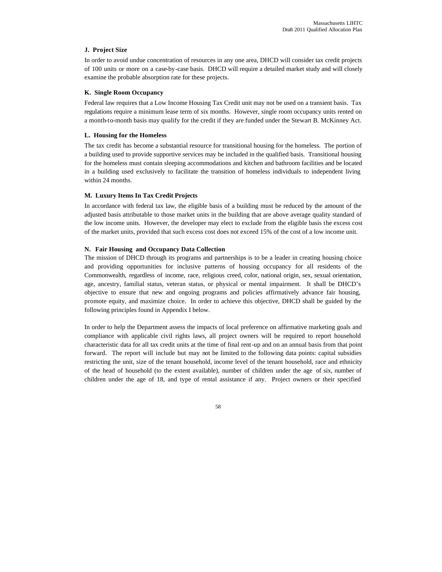#### **J. Project Size**

In order to avoid undue concentration of resources in any one area, DHCD will consider tax credit projects of 100 units or more on a case-by-case basis. DHCD will require a detailed market study and will closely examine the probable absorption rate for these projects.

#### **K. Single Room Occupancy**

Federal law requires that a Low Income Housing Tax Credit unit may not be used on a transient basis. Tax regulations require a minimum lease term of six months. However, single room occupancy units rented on a month-to-month basis may qualify for the credit if they are funded under the Stewart B. McKinney Act.

#### **L. Housing for the Homeless**

The tax credit has become a substantial resource for transitional housing for the homeless. The portion of a building used to provide supportive services may be included in the qualified basis. Transitional housing for the homeless must contain sleeping accommodations and kitchen and bathroom facilities and be located in a building used exclusively to facilitate the transition of homeless individuals to independent living within 24 months.

#### **M. Luxury Items In Tax Credit Projects**

In accordance with federal tax law, the eligible basis of a building must be reduced by the amount of the adjusted basis attributable to those market units in the building that are above average quality standard of the low income units. However, the developer may elect to exclude from the eligible basis the excess cost of the market units, provided that such excess cost does not exceed 15% of the cost of a low income unit.

#### **N. Fair Housing and Occupancy Data Collection**

The mission of DHCD through its programs and partnerships is to be a leader in creating housing choice and providing opportunities for inclusive patterns of housing occupancy for all residents of the Commonwealth, regardless of income, race, religious creed, color, national origin, sex, sexual orientation, age, ancestry, familial status, veteran status, or physical or mental impairment. It shall be DHCD's objective to ensure that new and ongoing programs and policies affirmatively advance fair housing, promote equity, and maximize choice. In order to achieve this objective, DHCD shall be guided by the following principles found in Appendix I below.

In order to help the Department assess the impacts of local preference on affirmative marketing goals and compliance with applicable civil rights laws, all project owners will be required to report household characteristic data for all tax credit units at the time of final rent-up and on an annual basis from that point forward. The report will include but may not be limited to the following data points: capital subsidies restricting the unit, size of the tenant household, income level of the tenant household, race and ethnicity of the head of household (to the extent available), number of children under the age of six, number of children under the age of 18, and type of rental assistance if any. Project owners or their specified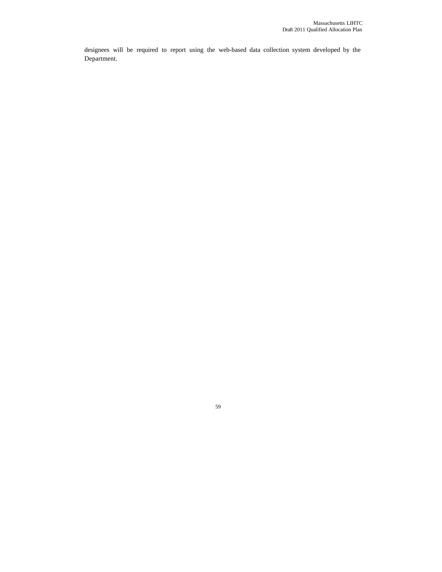designees will be required to report using the web-based data collection system developed by the Department.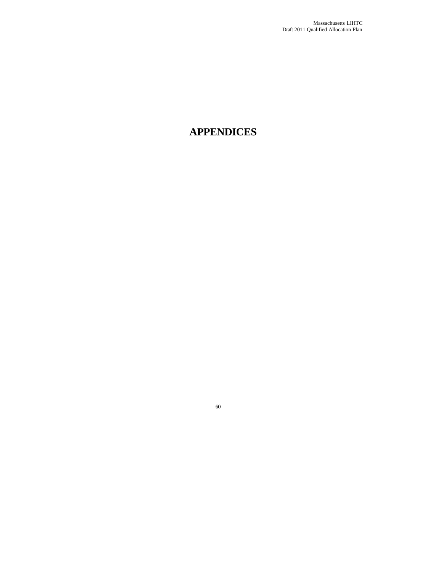# **APPENDICES**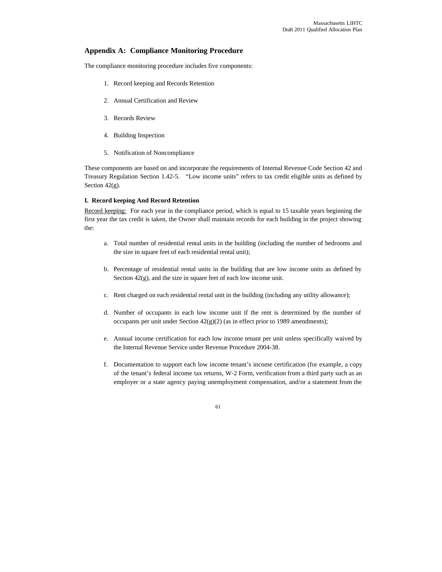## **Appendix A: Compliance Monitoring Procedure**

The compliance monitoring procedure includes five components:

- 1. Record keeping and Records Retention
- 2. Annual Certification and Review
- 3. Records Review
- 4. Building Inspection
- 5. Notification of Noncompliance

These components are based on and incorporate the requirements of Internal Revenue Code Section 42 and Treasury Regulation Section 1.42-5. "Low income units" refers to tax credit eligible units as defined by Section 42(g).

## **I. Record keeping And Record Retention**

Record keeping: For each year in the compliance period, which is equal to 15 taxable years beginning the first year the tax credit is taken, the Owner shall maintain records for each building in the project showing the:

- a. Total number of residential rental units in the building (including the number of bedrooms and the size in square feet of each residential rental unit);
- b. Percentage of residential rental units in the building that are low income units as defined by Section 42(g), and the size in square feet of each low income unit.
- c. Rent charged on each residential rental unit in the building (including any utility allowance);
- d. Number of occupants in each low income unit if the rent is determined by the number of occupants per unit under Section 42(g)(2) (as in effect prior to 1989 amendments);
- e. Annual income certification for each low income tenant per unit unless specifically waived by the Internal Revenue Service under Revenue Procedure 2004-38.
- f. Documentation to support each low income tenant's income certification (for example, a copy of the tenant's federal income tax returns, W-2 Form, verification from a third party such as an employer or a state agency paying unemployment compensation, and/or a statement from the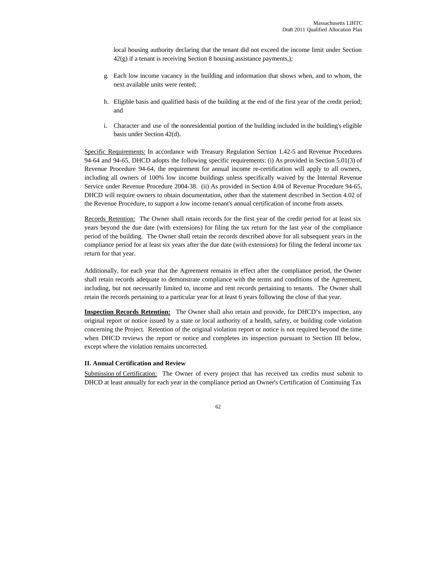local housing authority declaring that the tenant did not exceed the income limit under Section 42(g) if a tenant is receiving Section 8 housing assistance payments,);

- g. Each low income vacancy in the building and information that shows when, and to whom, the next available units were rented;
- h. Eligible basis and qualified basis of the building at the end of the first year of the credit period; and
- i. Character and use of the nonresidential portion of the building included in the building's eligible basis under Section 42(d).

Specific Requirements: In accordance with Treasury Regulation Section 1.42-5 and Revenue Procedures 94-64 and 94-65, DHCD adopts the following specific requirements: (i) As provided in Section 5.01(3) of Revenue Procedure 94-64, the requirement for annual income re-certification will apply to all owners, including all owners of 100% low income buildings unless specifically waived by the Internal Revenue Service under Revenue Procedure 2004-38. (ii) As provided in Section 4.04 of Revenue Procedure 94-65, DHCD will require owners to obtain documentation, other than the statement described in Section 4.02 of the Revenue Procedure, to support a low income tenant's annual certification of income from assets.

Records Retention: The Owner shall retain records for the first year of the credit period for at least six years beyond the due date (with extensions) for filing the tax return for the last year of the compliance period of the building. The Owner shall retain the records described above for all subsequent years in the compliance period for at least six years after the due date (with extensions) for filing the federal income tax return for that year.

Additionally, for each year that the Agreement remains in effect after the compliance period, the Owner shall retain records adequate to demonstrate compliance with the terms and conditions of the Agreement, including, but not necessarily limited to, income and rent records pertaining to tenants. The Owner shall retain the records pertaining to a particular year for at least 6 years following the close of that year.

**Inspection Records Retention:** The Owner shall also retain and provide, for DHCD's inspection, any original report or notice issued by a state or local authority of a health, safety, or building code violation concerning the Project. Retention of the original violation report or notice is not required beyond the time when DHCD reviews the report or notice and completes its inspection pursuant to Section III below, except where the violation remains uncorrected*.*

#### **II. Annual Certification and Review**

Submission of Certification: The Owner of every project that has received tax credits must submit to DHCD at least annually for each year in the compliance period an Owner's Certification of Continuing Tax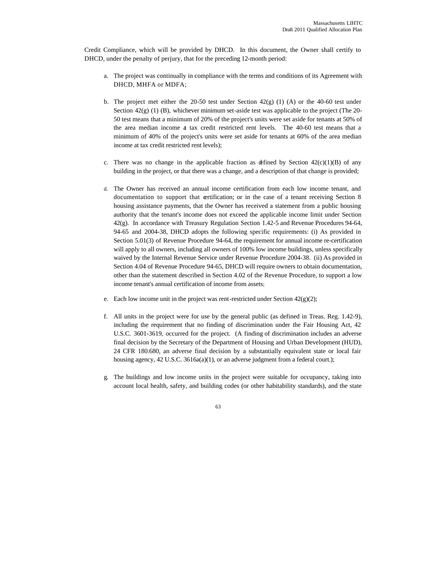Credit Compliance, which will be provided by DHCD. In this document, the Owner shall certify to DHCD, under the penalty of perjury, that for the preceding 12-month period:

- a. The project was continually in compliance with the terms and conditions of its Agreement with DHCD, MHFA or MDFA;
- b. The project met either the 20-50 test under Section  $42(g)$  (1) (A) or the 40-60 test under Section  $42(g)$  (1) (B), whichever minimum set-aside test was applicable to the project (The 20-50 test means that a minimum of 20% of the project's units were set aside for tenants at 50% of the area median income at tax credit restricted rent levels. The 40-60 test means that a minimum of 40% of the project's units were set aside for tenants at 60% of the area median income at tax credit restricted rent levels);
- c. There was no change in the applicable fraction as defined by Section  $42(c)(1)(B)$  of any building in the project, or that there was a change, and a description of that change is provided;
- d. The Owner has received an annual income certification from each low income tenant, and documentation to support that certification; or in the case of a tenant receiving Section 8 housing assistance payments, that the Owner has received a statement from a public housing authority that the tenant's income does not exceed the applicable income limit under Section 42(g). In accordance with Treasury Regulation Section 1.42-5 and Revenue Procedures 94-64, 94-65 and 2004-38, DHCD adopts the following specific requirements: (i) As provided in Section 5.01(3) of Revenue Procedure 94-64, the requirement for annual income re-certification will apply to all owners, including all owners of 100% low income buildings, unless specifically waived by the Internal Revenue Service under Revenue Procedure 2004-38. (ii) As provided in Section 4.04 of Revenue Procedure 94-65, DHCD will require owners to obtain documentation, other than the statement described in Section 4.02 of the Revenue Procedure, to support a low income tenant's annual certification of income from assets;
- e. Each low income unit in the project was rent-restricted under Section  $42(g)(2)$ ;
- f. All units in the project were for use by the general public (as defined in Treas. Reg. 1.42-9), including the requirement that no finding of discrimination under the Fair Housing Act, 42 U.S.C. 3601-3619, occurred for the project. (A finding of discrimination includes an adverse final decision by the Secretary of the Department of Housing and Urban Development (HUD), 24 CFR 180.680, an adverse final decision by a substantially equivalent state or local fair housing agency, 42 U.S.C. 3616a(a)(1), or an adverse judgment from a federal court.);
- g. The buildings and low income units in the project were suitable for occupancy, taking into account local health, safety, and building codes (or other habitability standards), and the state

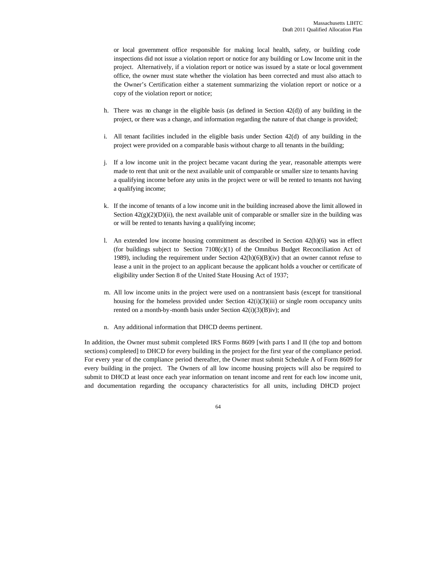or local government office responsible for making local health, safety, or building code inspections did not issue a violation report or notice for any building or Low Income unit in the project. Alternatively, if a violation report or notice was issued by a state or local government office, the owner must state whether the violation has been corrected and must also attach to the Owner's Certification either a statement summarizing the violation report or notice or a copy of the violation report or notice;

- h. There was no change in the eligible basis (as defined in Section  $42(d)$ ) of any building in the project, or there was a change, and information regarding the nature of that change is provided;
- i. All tenant facilities included in the eligible basis under Section 42(d) of any building in the project were provided on a comparable basis without charge to all tenants in the building;
- j. If a low income unit in the project became vacant during the year, reasonable attempts were made to rent that unit or the next available unit of comparable or smaller size to tenants having a qualifying income before any units in the project were or will be rented to tenants not having a qualifying income;
- k. If the income of tenants of a low income unit in the building increased above the limit allowed in Section  $42(g)(2)(D)(ii)$ , the next available unit of comparable or smaller size in the building was or will be rented to tenants having a qualifying income;
- l. An extended low income housing commitment as described in Section  $42(h)(6)$  was in effect (for buildings subject to Section 7108(c)(1) of the Omnibus Budget Reconciliation Act of 1989), including the requirement under Section 42(h)(6)(B)(iv) that an owner cannot refuse to lease a unit in the project to an applicant because the applicant holds a voucher or certificate of eligibility under Section 8 of the United State Housing Act of 1937;
- m. All low income units in the project were used on a nontransient basis (except for transitional housing for the homeless provided under Section  $42(i)(3)(iii)$  or single room occupancy units rented on a month-by-month basis under Section 42(i)(3)(B)iv); and
- n. Any additional information that DHCD deems pertinent.

In addition, the Owner must submit completed IRS Forms 8609 [with parts I and II (the top and bottom sections) completed] to DHCD for every building in the project for the first year of the compliance period. For every year of the compliance period thereafter, the Owner must submit Schedule A of Form 8609 for every building in the project. The Owners of all low income housing projects will also be required to submit to DHCD at least once each year information on tenant income and rent for each low income unit, and documentation regarding the occupancy characteristics for all units, including DHCD project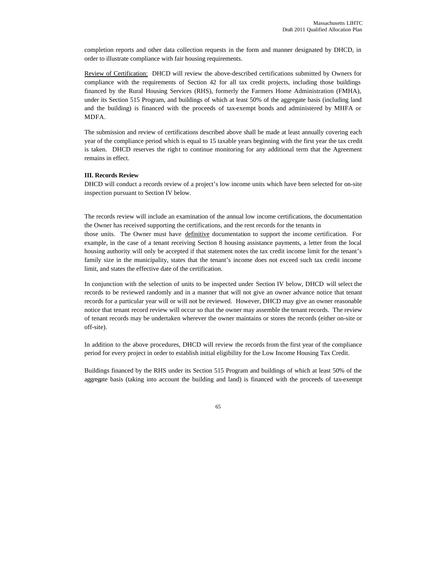completion reports and other data collection requests in the form and manner designated by DHCD, in order to illustrate compliance with fair housing requirements.

Review of Certification: DHCD will review the above-described certifications submitted by Owners for compliance with the requirements of Section 42 for all tax credit projects, including those buildings financed by the Rural Housing Services (RHS), formerly the Farmers Home Administration (FMHA), under its Section 515 Program, and buildings of which at least 50% of the aggregate basis (including land and the building) is financed with the proceeds of tax-exempt bonds and administered by MHFA or MDFA.

The submission and review of certifications described above shall be made at least annually covering each year of the compliance period which is equal to 15 taxable years beginning with the first year the tax credit is taken. DHCD reserves the right to continue monitoring for any additional term that the Agreement remains in effect.

#### **III. Records Review**

DHCD will conduct a records review of a project's low income units which have been selected for on-site inspection pursuant to Section IV below.

The records review will include an examination of the annual low income certifications, the documentation the Owner has received supporting the certifications, and the rent records for the tenants in

those units. The Owner must have definitive documentation to support the income certification. For example, in the case of a tenant receiving Section 8 housing assistance payments, a letter from the local housing authority will only be accepted if that statement notes the tax credit income limit for the tenant's family size in the municipality, states that the tenant's income does not exceed such tax credit income limit, and states the effective date of the certification.

In conjunction with the selection of units to be inspected under Section IV below, DHCD will select the records to be reviewed randomly and in a manner that will not give an owner advance notice that tenant records for a particular year will or will not be reviewed. However, DHCD may give an owner reasonable notice that tenant record review will occur so that the owner may assemble the tenant records. The review of tenant records may be undertaken wherever the owner maintains or stores the records (either on-site or off-site).

In addition to the above procedures, DHCD will review the records from the first year of the compliance period for every project in order to establish initial eligibility for the Low Income Housing Tax Credit.

Buildings financed by the RHS under its Section 515 Program and buildings of which at least 50% of the aggregate basis (taking into account the building and land) is financed with the proceeds of tax-exempt

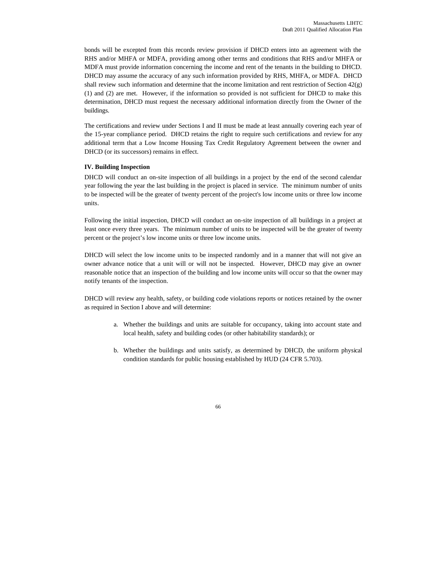bonds will be excepted from this records review provision if DHCD enters into an agreement with the RHS and/or MHFA or MDFA, providing among other terms and conditions that RHS and/or MHFA or MDFA must provide information concerning the income and rent of the tenants in the building to DHCD. DHCD may assume the accuracy of any such information provided by RHS, MHFA, or MDFA. DHCD shall review such information and determine that the income limitation and rent restriction of Section 42(g) (1) and (2) are met. However, if the information so provided is not sufficient for DHCD to make this determination, DHCD must request the necessary additional information directly from the Owner of the buildings.

The certifications and review under Sections I and II must be made at least annually covering each year of the 15-year compliance period. DHCD retains the right to require such certifications and review for any additional term that a Low Income Housing Tax Credit Regulatory Agreement between the owner and DHCD (or its successors) remains in effect.

## **IV. Building Inspection**

DHCD will conduct an on-site inspection of all buildings in a project by the end of the second calendar year following the year the last building in the project is placed in service. The minimum number of units to be inspected will be the greater of twenty percent of the project's low income units or three low income units.

Following the initial inspection, DHCD will conduct an on-site inspection of all buildings in a project at least once every three years. The minimum number of units to be inspected will be the greater of twenty percent or the project's low income units or three low income units.

DHCD will select the low income units to be inspected randomly and in a manner that will not give an owner advance notice that a unit will or will not be inspected. However, DHCD may give an owner reasonable notice that an inspection of the building and low income units will occur so that the owner may notify tenants of the inspection.

DHCD will review any health, safety, or building code violations reports or notices retained by the owner as required in Section I above and will determine:

- a. Whether the buildings and units are suitable for occupancy, taking into account state and local health, safety and building codes (or other habitability standards); or
- b. Whether the buildings and units satisfy, as determined by DHCD, the uniform physical condition standards for public housing established by HUD (24 CFR 5.703).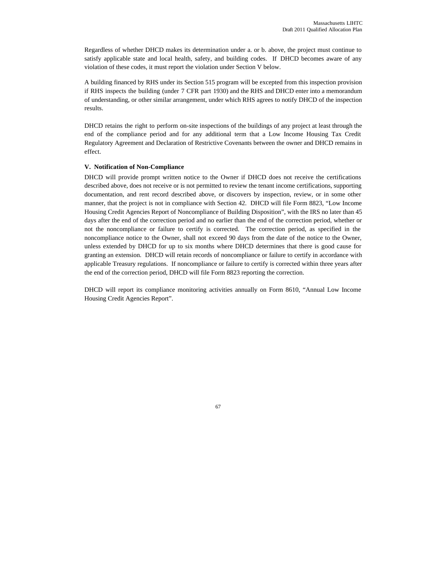Regardless of whether DHCD makes its determination under a. or b. above, the project must continue to satisfy applicable state and local health, safety, and building codes. If DHCD becomes aware of any violation of these codes, it must report the violation under Section V below.

A building financed by RHS under its Section 515 program will be excepted from this inspection provision if RHS inspects the building (under 7 CFR part 1930) and the RHS and DHCD enter into a memorandum of understanding, or other similar arrangement, under which RHS agrees to notify DHCD of the inspection results.

DHCD retains the right to perform on-site inspections of the buildings of any project at least through the end of the compliance period and for any additional term that a Low Income Housing Tax Credit Regulatory Agreement and Declaration of Restrictive Covenants between the owner and DHCD remains in effect.

#### **V. Notification of Non-Compliance**

DHCD will provide prompt written notice to the Owner if DHCD does not receive the certifications described above, does not receive or is not permitted to review the tenant income certifications, supporting documentation, and rent record described above, or discovers by inspection, review, or in some other manner, that the project is not in compliance with Section 42. DHCD will file Form 8823, "Low Income Housing Credit Agencies Report of Noncompliance of Building Disposition", with the IRS no later than 45 days after the end of the correction period and no earlier than the end of the correction period, whether or not the noncompliance or failure to certify is corrected. The correction period, as specified in the noncompliance notice to the Owner, shall not exceed 90 days from the date of the notice to the Owner, unless extended by DHCD for up to six months where DHCD determines that there is good cause for granting an extension. DHCD will retain records of noncompliance or failure to certify in accordance with applicable Treasury regulations. If noncompliance or failure to certify is corrected within three years after the end of the correction period, DHCD will file Form 8823 reporting the correction.

DHCD will report its compliance monitoring activities annually on Form 8610, "Annual Low Income Housing Credit Agencies Report".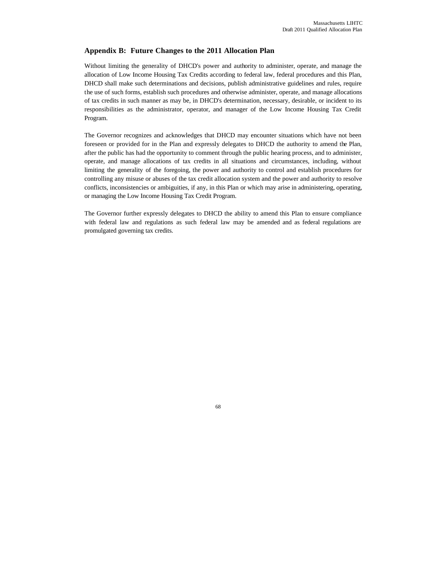## **Appendix B: Future Changes to the 2011 Allocation Plan**

Without limiting the generality of DHCD's power and authority to administer, operate, and manage the allocation of Low Income Housing Tax Credits according to federal law, federal procedures and this Plan, DHCD shall make such determinations and decisions, publish administrative guidelines and rules, require the use of such forms, establish such procedures and otherwise administer, operate, and manage allocations of tax credits in such manner as may be, in DHCD's determination, necessary, desirable, or incident to its responsibilities as the administrator, operator, and manager of the Low Income Housing Tax Credit Program.

The Governor recognizes and acknowledges that DHCD may encounter situations which have not been foreseen or provided for in the Plan and expressly delegates to DHCD the authority to amend the Plan, after the public has had the opportunity to comment through the public hearing process, and to administer, operate, and manage allocations of tax credits in all situations and circumstances, including, without limiting the generality of the foregoing, the power and authority to control and establish procedures for controlling any misuse or abuses of the tax credit allocation system and the power and authority to resolve conflicts, inconsistencies or ambiguities, if any, in this Plan or which may arise in administering, operating, or managing the Low Income Housing Tax Credit Program.

The Governor further expressly delegates to DHCD the ability to amend this Plan to ensure compliance with federal law and regulations as such federal law may be amended and as federal regulations are promulgated governing tax credits.

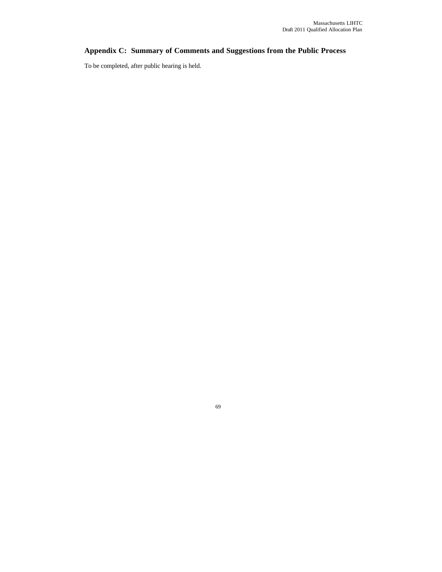## **Appendix C: Summary of Comments and Suggestions from the Public Process**

To be completed, after public hearing is held.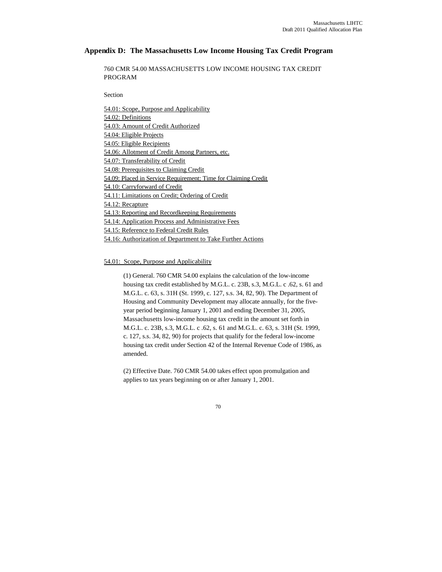## **Appendix D: The Massachusetts Low Income Housing Tax Credit Program**

760 CMR 54.00 MASSACHUSETTS LOW INCOME HOUSING TAX CREDIT PROGRAM

Section

54.01: Scope, Purpose and Applicability 54.02: Definitions 54.03: Amount of Credit Authorized 54.04: Eligible Projects 54.05: Eligible Recipients 54.06: Allotment of Credit Among Partners, etc. 54.07: Transferability of Credit 54.08: Prerequisites to Claiming Credit 54.09: Placed in Service Requirement; Time for Claiming Credit 54.10: Carryforward of Credit 54.11: Limitations on Credit; Ordering of Credit 54.12: Recapture 54.13: Reporting and Recordkeeping Requirements 54.14: Application Process and Administrative Fees 54.15: Reference to Federal Credit Rules 54.16: Authorization of Department to Take Further Actions

54.01: Scope, Purpose and Applicability

(1) General. 760 CMR 54.00 explains the calculation of the low-income housing tax credit established by M.G.L. c. 23B, s.3, M.G.L. c .62, s. 61 and M.G.L. c. 63, s. 31H (St. 1999, c. 127, s.s. 34, 82, 90). The Department of Housing and Community Development may allocate annually, for the fiveyear period beginning January 1, 2001 and ending December 31, 2005, Massachusetts low-income housing tax credit in the amount set forth in M.G.L. c. 23B, s.3, M.G.L. c .62, s. 61 and M.G.L. c. 63, s. 31H (St. 1999, c. 127, s.s. 34, 82, 90) for projects that qualify for the federal low-income housing tax credit under Section 42 of the Internal Revenue Code of 1986, as amended.

(2) Effective Date. 760 CMR 54.00 takes effect upon promulgation and applies to tax years beginning on or after January 1, 2001.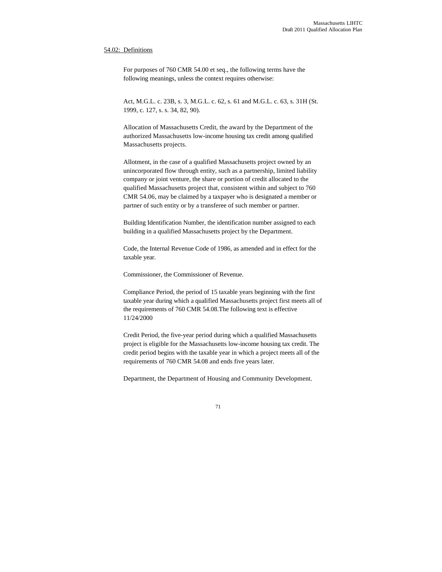### 54.02: Definitions

For purposes of 760 CMR 54.00 et seq., the following terms have the following meanings, unless the context requires otherwise:

Act, M.G.L. c. 23B, s. 3, M.G.L. c. 62, s. 61 and M.G.L. c. 63, s. 31H (St. 1999, c. 127, s. s. 34, 82, 90).

Allocation of Massachusetts Credit, the award by the Department of the authorized Massachusetts low-income housing tax credit among qualified Massachusetts projects.

Allotment, in the case of a qualified Massachusetts project owned by an unincorporated flow through entity, such as a partnership, limited liability company or joint venture, the share or portion of credit allocated to the qualified Massachusetts project that, consistent within and subject to 760 CMR 54.06, may be claimed by a taxpayer who is designated a member or partner of such entity or by a transferee of such member or partner.

Building Identification Number, the identification number assigned to each building in a qualified Massachusetts project by the Department.

Code, the Internal Revenue Code of 1986, as amended and in effect for the taxable year.

Commissioner, the Commissioner of Revenue.

Compliance Period, the period of 15 taxable years beginning with the first taxable year during which a qualified Massachusetts project first meets all of the requirements of 760 CMR 54.08.The following text is effective 11/24/2000

Credit Period, the five-year period during which a qualified Massachusetts project is eligible for the Massachusetts low-income housing tax credit. The credit period begins with the taxable year in which a project meets all of the requirements of 760 CMR 54.08 and ends five years later.

Department, the Department of Housing and Community Development.

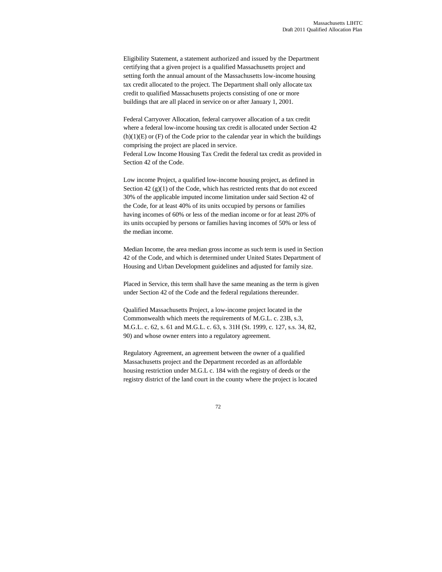Eligibility Statement, a statement authorized and issued by the Department certifying that a given project is a qualified Massachusetts project and setting forth the annual amount of the Massachusetts low-income housing tax credit allocated to the project. The Department shall only allocate tax credit to qualified Massachusetts projects consisting of one or more buildings that are all placed in service on or after January 1, 2001.

Federal Carryover Allocation, federal carryover allocation of a tax credit where a federal low-income housing tax credit is allocated under Section 42  $(h)(1)(E)$  or  $(F)$  of the Code prior to the calendar year in which the buildings comprising the project are placed in service. Federal Low Income Housing Tax Credit the federal tax credit as provided in Section 42 of the Code.

Low income Project, a qualified low-income housing project, as defined in Section 42  $(g)(1)$  of the Code, which has restricted rents that do not exceed 30% of the applicable imputed income limitation under said Section 42 of the Code, for at least 40% of its units occupied by persons or families having incomes of 60% or less of the median income or for at least 20% of its units occupied by persons or families having incomes of 50% or less of the median income.

Median Income, the area median gross income as such term is used in Section 42 of the Code, and which is determined under United States Department of Housing and Urban Development guidelines and adjusted for family size.

Placed in Service, this term shall have the same meaning as the term is given under Section 42 of the Code and the federal regulations thereunder.

Qualified Massachusetts Project, a low-income project located in the Commonwealth which meets the requirements of M.G.L. c. 23B, s.3, M.G.L. c. 62, s. 61 and M.G.L. c. 63, s. 31H (St. 1999, c. 127, s.s. 34, 82, 90) and whose owner enters into a regulatory agreement.

Regulatory Agreement, an agreement between the owner of a qualified Massachusetts project and the Department recorded as an affordable housing restriction under M.G.L c. 184 with the registry of deeds or the registry district of the land court in the county where the project is located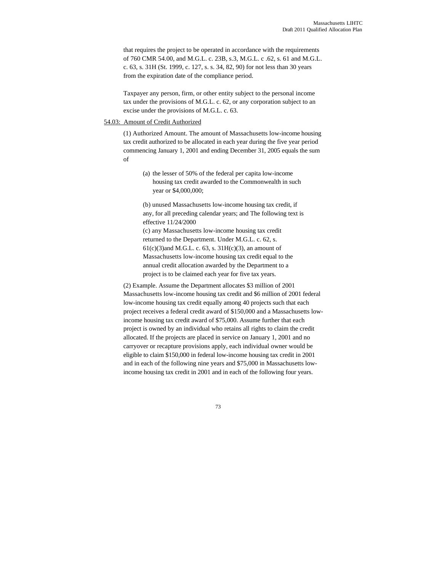that requires the project to be operated in accordance with the requirements of 760 CMR 54.00, and M.G.L. c. 23B, s.3, M.G.L. c .62, s. 61 and M.G.L. c. 63, s. 31H (St. 1999, c. 127, s. s. 34, 82, 90) for not less than 30 years from the expiration date of the compliance period.

Taxpayer any person, firm, or other entity subject to the personal income tax under the provisions of M.G.L. c. 62, or any corporation subject to an excise under the provisions of M.G.L. c. 63.

#### 54.03: Amount of Credit Authorized

(1) Authorized Amount. The amount of Massachusetts low-income housing tax credit authorized to be allocated in each year during the five year period commencing January 1, 2001 and ending December 31, 2005 equals the sum of

(a) the lesser of 50% of the federal per capita low-income housing tax credit awarded to the Commonwealth in such year or \$4,000,000;

(b) unused Massachusetts low-income housing tax credit, if any, for all preceding calendar years; and The following text is effective 11/24/2000

(c) any Massachusetts low-income housing tax credit returned to the Department. Under M.G.L. c. 62, s.  $61(c)(3)$  and M.G.L. c. 63, s.  $31H(c)(3)$ , an amount of Massachusetts low-income housing tax credit equal to the annual credit allocation awarded by the Department to a project is to be claimed each year for five tax years.

(2) Example. Assume the Department allocates \$3 million of 2001 Massachusetts low-income housing tax credit and \$6 million of 2001 federal low-income housing tax credit equally among 40 projects such that each project receives a federal credit award of \$150,000 and a Massachusetts lowincome housing tax credit award of \$75,000. Assume further that each project is owned by an individual who retains all rights to claim the credit allocated. If the projects are placed in service on January 1, 2001 and no carryover or recapture provisions apply, each individual owner would be eligible to claim \$150,000 in federal low-income housing tax credit in 2001 and in each of the following nine years and \$75,000 in Massachusetts lowincome housing tax credit in 2001 and in each of the following four years.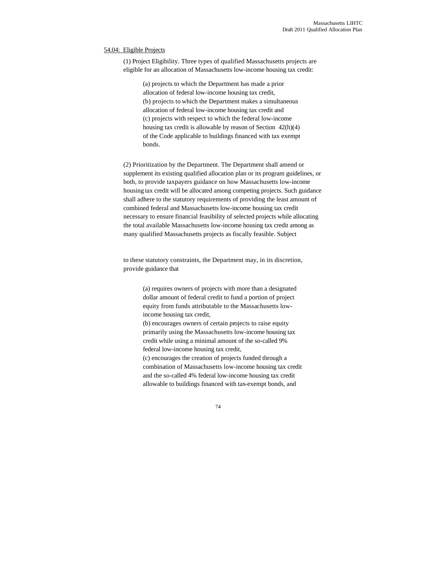#### 54.04: Eligible Projects

(1) Project Eligibility. Three types of qualified Massachusetts projects are eligible for an allocation of Massachusetts low-income housing tax credit:

> (a) projects to which the Department has made a prior allocation of federal low-income housing tax credit, (b) projects to which the Department makes a simultaneous allocation of federal low-income housing tax credit and (c) projects with respect to which the federal low-income housing tax credit is allowable by reason of Section 42(h)(4) of the Code applicable to buildings financed with tax exempt bonds.

(2) Prioritization by the Department. The Department shall amend or supplement its existing qualified allocation plan or its program guidelines, or both, to provide taxpayers guidance on how Massachusetts low-income housing tax credit will be allocated among competing projects. Such guidance shall adhere to the statutory requirements of providing the least amount of combined federal and Massachusetts low-income housing tax credit necessary to ensure financial feasibility of selected projects while allocating the total available Massachusetts low-income housing tax credit among as many qualified Massachusetts projects as fiscally feasible. Subject

to these statutory constraints, the Department may, in its discretion, provide guidance that

> (a) requires owners of projects with more than a designated dollar amount of federal credit to fund a portion of project equity from funds attributable to the Massachusetts lowincome housing tax credit,

(b) encourages owners of certain projects to raise equity primarily using the Massachusetts low-income housing tax credit while using a minimal amount of the so-called 9% federal low-income housing tax credit,

(c) encourages the creation of projects funded through a combination of Massachusetts low-income housing tax credit and the so-called 4% federal low-income housing tax credit allowable to buildings financed with tax-exempt bonds, and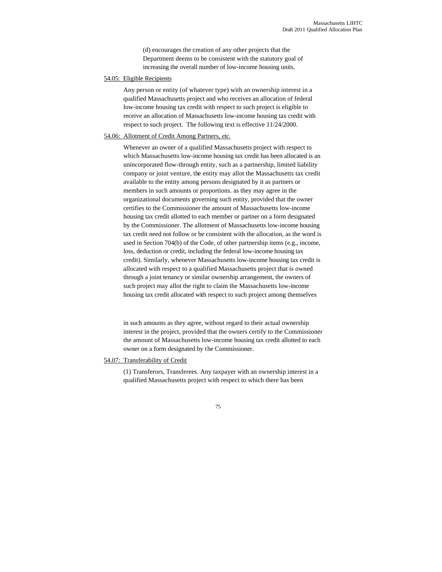(d) encourages the creation of any other projects that the Department deems to be consistent with the statutory goal of increasing the overall number of low-income housing units.

### 54.05: Eligible Recipients

Any person or entity (of whatever type) with an ownership interest in a qualified Massachusetts project and who receives an allocation of federal low-income housing tax credit with respect to such project is eligible to receive an allocation of Massachusetts low-income housing tax credit with respect to such project. The following text is effective 11/24/2000.

### 54.06: Allotment of Credit Among Partners, *etc.*

Whenever an owner of a qualified Massachusetts project with respect to which Massachusetts low-income housing tax credit has been allocated is an unincorporated flow-through entity, such as a partnership, limited liability company or joint venture, the entity may allot the Massachusetts tax credit available to the entity among persons designated by it as partners or members in such amounts or proportions. as they may agree in the organizational documents governing such entity, provided that the owner certifies to the Commissioner the amount of Massachusetts low-income housing tax credit allotted to each member or partner on a form designated by the Commissioner. The allotment of Massachusetts low-income housing tax credit need not follow or be consistent with the allocation, as the word is used in Section 704(b) of the Code, of other partnership items (e.g., income, loss, deduction or credit, including the federal low-income housing tax credit). Similarly, whenever Massachusetts low-income housing tax credit is allocated with respect to a qualified Massachusetts project that is owned through a joint tenancy or similar ownership arrangement, the owners of such project may allot the right to claim the Massachusetts low-income housing tax credit allocated with respect to such project among themselves

in such amounts as they agree, without regard to their actual ownership interest in the project, provided that the owners certify to the Commissioner the amount of Massachusetts low-income housing tax credit allotted to each owner on a form designated by the Commissioner.

## 54.07: Transferability of Credit

(1) Transferors, Transferees. Any taxpayer with an ownership interest in a qualified Massachusetts project with respect to which there has been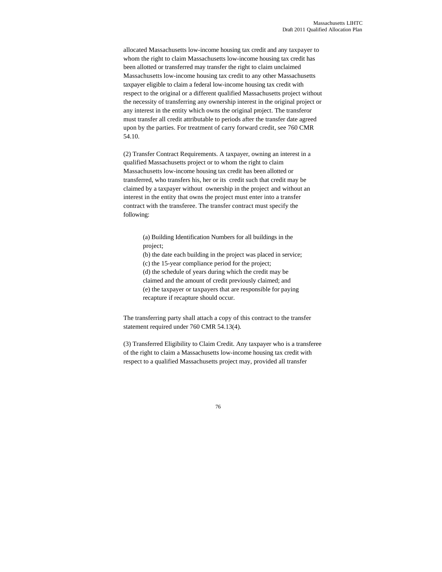allocated Massachusetts low-income housing tax credit and any taxpayer to whom the right to claim Massachusetts low-income housing tax credit has been allotted or transferred may transfer the right to claim unclaimed Massachusetts low-income housing tax credit to any other Massachusetts taxpayer eligible to claim a federal low-income housing tax credit with respect to the original or a different qualified Massachusetts project without the necessity of transferring any ownership interest in the original project or any interest in the entity which owns the original project. The transferor must transfer all credit attributable to periods after the transfer date agreed upon by the parties. For treatment of carry forward credit, see 760 CMR 54.10.

(2) Transfer Contract Requirements. A taxpayer, owning an interest in a qualified Massachusetts project or to whom the right to claim Massachusetts low-income housing tax credit has been allotted or transferred, who transfers his, her or its credit such that credit may be claimed by a taxpayer without ownership in the project and without an interest in the entity that owns the project must enter into a transfer contract with the transferee. The transfer contract must specify the following:

> (a) Building Identification Numbers for all buildings in the project;

(b) the date each building in the project was placed in service; (c) the 15-year compliance period for the project; (d) the schedule of years during which the credit may be claimed and the amount of credit previously claimed; and (e) the taxpayer or taxpayers that are responsible for paying recapture if recapture should occur.

The transferring party shall attach a copy of this contract to the transfer statement required under 760 CMR 54.13(4).

(3) Transferred Eligibility to Claim Credit. Any taxpayer who is a transferee of the right to claim a Massachusetts low-income housing tax credit with respect to a qualified Massachusetts project may, provided all transfer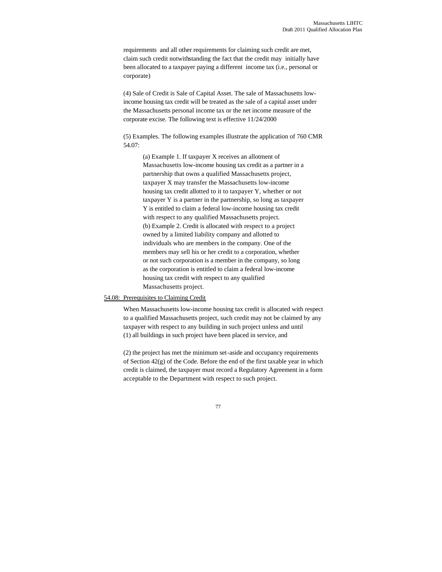requirements and all other requirements for claiming such credit are met, claim such credit notwithstanding the fact that the credit may initially have been allocated to a taxpayer paying a different income tax (i.e., personal or corporate)

(4) Sale of Credit is Sale of Capital Asset. The sale of Massachusetts lowincome housing tax credit will be treated as the sale of a capital asset under the Massachusetts personal income tax or the net income measure of the corporate excise. The following text is effective 11/24/2000

(5) Examples. The following examples illustrate the application of 760 CMR 54.07:

(a) Example 1. If taxpayer X receives an allotment of Massachusetts low-income housing tax credit as a partner in a partnership that owns a qualified Massachusetts project, taxpayer X may transfer the Massachusetts low-income housing tax credit allotted to it to taxpayer Y, whether or not taxpayer Y is a partner in the partnership, so long as taxpayer Y is entitled to claim a federal low-income housing tax credit with respect to any qualified Massachusetts project. (b) Example 2. Credit is allocated with respect to a project owned by a limited liability company and allotted to individuals who are members in the company. One of the members may sell his or her credit to a corporation, whether or not such corporation is a member in the company, so long as the corporation is entitled to claim a federal low-income housing tax credit with respect to any qualified Massachusetts project.

# 54.08: Prerequisites to Claiming Credit

When Massachusetts low-income housing tax credit is allocated with respect to a qualified Massachusetts project, such credit may not be claimed by any taxpayer with respect to any building in such project unless and until (1) all buildings in such project have been placed in service, and

(2) the project has met the minimum set-aside and occupancy requirements of Section 42(g) of the Code. Before the end of the first taxable year in which credit is claimed, the taxpayer must record a Regulatory Agreement in a form acceptable to the Department with respect to such project.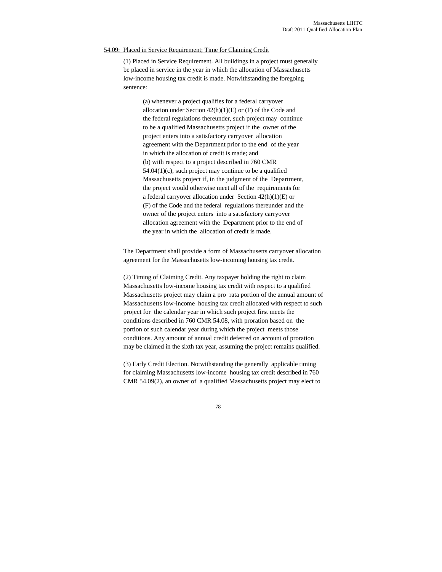#### 54.09: Placed in Service Requirement; Time for Claiming Credit

(1) Placed in Service Requirement. All buildings in a project must generally be placed in service in the year in which the allocation of Massachusetts low-income housing tax credit is made. Notwithstanding the foregoing sentence:

(a) whenever a project qualifies for a federal carryover allocation under Section  $42(h)(1)(E)$  or  $(F)$  of the Code and the federal regulations thereunder, such project may continue to be a qualified Massachusetts project if the owner of the project enters into a satisfactory carryover allocation agreement with the Department prior to the end of the year in which the allocation of credit is made; and (b) with respect to a project described in 760 CMR 54.04(1)(c), such project may continue to be a qualified Massachusetts project if, in the judgment of the Department, the project would otherwise meet all of the requirements for a federal carryover allocation under Section 42(h)(1)(E) or (F) of the Code and the federal regulations thereunder and the owner of the project enters into a satisfactory carryover allocation agreement with the Department prior to the end of the year in which the allocation of credit is made.

The Department shall provide a form of Massachusetts carryover allocation agreement for the Massachusetts low-incoming housing tax credit.

(2) Timing of Claiming Credit. Any taxpayer holding the right to claim Massachusetts low-income housing tax credit with respect to a qualified Massachusetts project may claim a pro rata portion of the annual amount of Massachusetts low-income housing tax credit allocated with respect to such project for the calendar year in which such project first meets the conditions described in 760 CMR 54.08, with proration based on the portion of such calendar year during which the project meets those conditions. Any amount of annual credit deferred on account of proration may be claimed in the sixth tax year, assuming the project remains qualified.

(3) Early Credit Election. Notwithstanding the generally applicable timing for claiming Massachusetts low-income housing tax credit described in 760 CMR 54.09(2), an owner of a qualified Massachusetts project may elect to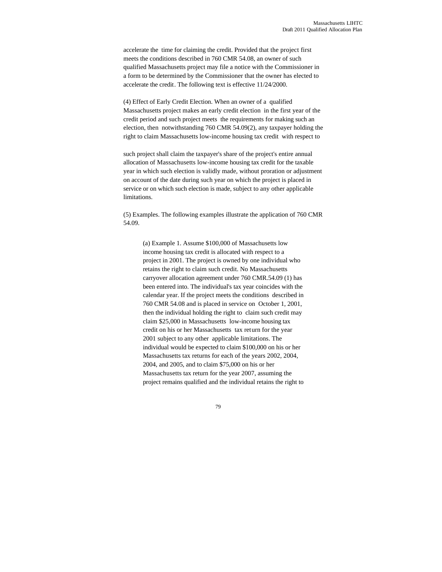accelerate the time for claiming the credit. Provided that the project first meets the conditions described in 760 CMR 54.08, an owner of such qualified Massachusetts project may file a notice with the Commissioner in a form to be determined by the Commissioner that the owner has elected to accelerate the credit. The following text is effective 11/24/2000.

(4) Effect of Early Credit Election. When an owner of a qualified Massachusetts project makes an early credit election in the first year of the credit period and such project meets the requirements for making such an election, then notwithstanding 760 CMR 54.09(2), any taxpayer holding the right to claim Massachusetts low-income housing tax credit with respect to

such project shall claim the taxpayer's share of the project's entire annual allocation of Massachusetts low-income housing tax credit for the taxable year in which such election is validly made, without proration or adjustment on account of the date during such year on which the project is placed in service or on which such election is made, subject to any other applicable limitations.

(5) Examples. The following examples illustrate the application of 760 CMR 54.09.

(a) Example 1. Assume \$100,000 of Massachusetts low income housing tax credit is allocated with respect to a project in 2001. The project is owned by one individual who retains the right to claim such credit. No Massachusetts carryover allocation agreement under 760 CMR.54.09 (1) has been entered into. The individual's tax year coincides with the calendar year. If the project meets the conditions described in 760 CMR 54.08 and is placed in service on October 1, 2001, then the individual holding the right to claim such credit may claim \$25,000 in Massachusetts low-income housing tax credit on his or her Massachusetts tax return for the year 2001 subject to any other applicable limitations. The individual would be expected to claim \$100,000 on his or her Massachusetts tax returns for each of the years 2002, 2004, 2004, and 2005, and to claim \$75,000 on his or her Massachusetts tax return for the year 2007, assuming the project remains qualified and the individual retains the right to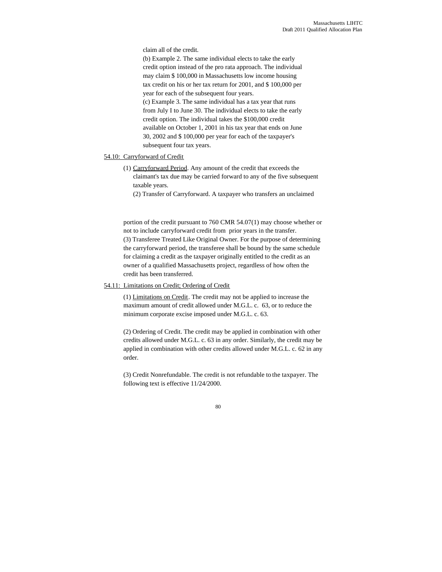claim all of the credit.

(b) Example 2. The same individual elects to take the early credit option instead of the pro rata approach. The individual may claim \$ 100,000 in Massachusetts low income housing tax credit on his or her tax return for 2001, and \$ 100,000 per year for each of the subsequent four years. (c) Example 3. The same individual has a tax year that runs from July I to June 30. The individual elects to take the early credit option. The individual takes the \$100,000 credit available on October 1, 2001 in his tax year that ends on June 30, 2002 and \$ 100,000 per year for each of the taxpayer's subsequent four tax years.

## 54.10: Carryforward of Credit

- (1) Carryforward Period. Any amount of the credit that exceeds the claimant's tax due may be carried forward to any of the five subsequent taxable years.
	- (2) Transfer of Carryforward. A taxpayer who transfers an unclaimed

portion of the credit pursuant to 760 CMR 54.07(1) may choose whether or not to include carryforward credit from prior years in the transfer. (3) Transferee Treated Like Original Owner. For the purpose of determining the carryforward period, the transferee shall be bound by the same schedule for claiming a credit as the taxpayer originally entitled to the credit as an owner of a qualified Massachusetts project, regardless of how often the credit has been transferred.

#### 54.11: Limitations on Credit; Ordering of Credit

(1) Limitations on Credit. The credit may not be applied to increase the maximum amount of credit allowed under M.G.L. c. 63, or to reduce the minimum corporate excise imposed under M.G.L. c. 63.

(2) Ordering of Credit. The credit may be applied in combination with other credits allowed under M.G.L. c. 63 in any order. Similarly, the credit may be applied in combination with other credits allowed under M.G.L. c. 62 in any order.

(3) Credit Nonrefundable. The credit is not refundable to the taxpayer. The following text is effective 11/24/2000.

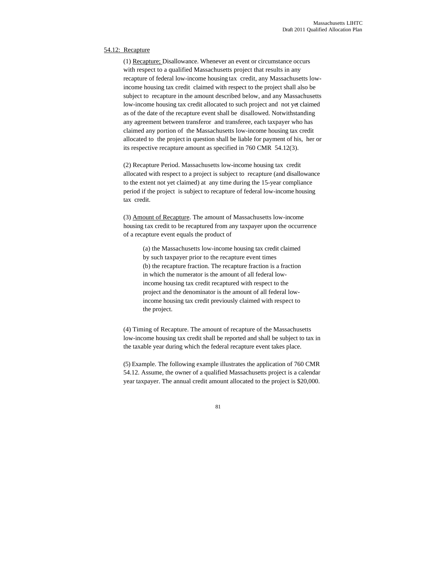#### 54.12: Recapture

(1) Recapture; Disallowance. Whenever an event or circumstance occurs with respect to a qualified Massachusetts project that results in any recapture of federal low-income housing tax credit, any Massachusetts lowincome housing tax credit claimed with respect to the project shall also be subject to recapture in the amount described below, and any Massachusetts low-income housing tax credit allocated to such project and not yet claimed as of the date of the recapture event shall be disallowed. Notwithstanding any agreement between transferor and transferee, each taxpayer who has claimed any portion of the Massachusetts low-income housing tax credit allocated to the project in question shall be liable for payment of his, her or its respective recapture amount as specified in 760 CMR 54.12(3).

(2) Recapture Period. Massachusetts low-income housing tax credit allocated with respect to a project is subject to recapture (and disallowance to the extent not yet claimed) at any time during the 15-year compliance period if the project is subject to recapture of federal low-income housing tax credit.

(3) Amount of Recapture. The amount of Massachusetts low-income housing tax credit to be recaptured from any taxpayer upon the occurrence of a recapture event equals the product of

> (a) the Massachusetts low-income housing tax credit claimed by such taxpayer prior to the recapture event times (b) the recapture fraction. The recapture fraction is a fraction in which the numerator is the amount of all federal lowincome housing tax credit recaptured with respect to the project and the denominator is the amount of all federal lowincome housing tax credit previously claimed with respect to the project.

(4) Timing of Recapture. The amount of recapture of the Massachusetts low-income housing tax credit shall be reported and shall be subject to tax in the taxable year during which the federal recapture event takes place.

(5) Example. The following example illustrates the application of 760 CMR 54.12. Assume, the owner of a qualified Massachusetts project is a calendar year taxpayer. The annual credit amount allocated to the project is \$20,000.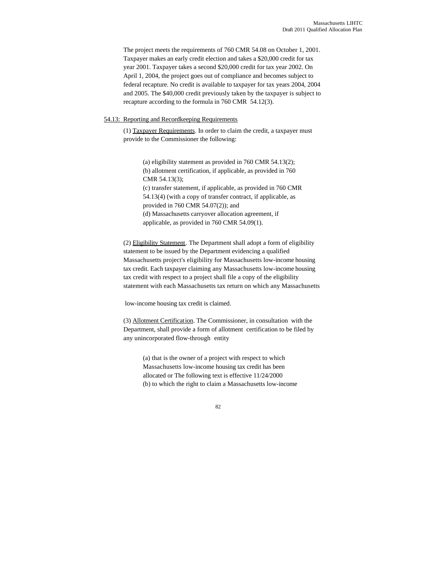The project meets the requirements of 760 CMR 54.08 on October 1, 2001. Taxpayer makes an early credit election and takes a \$20,000 credit for tax year 2001. Taxpayer takes a second \$20,000 credit for tax year 2002. On April 1, 2004, the project goes out of compliance and becomes subject to federal recapture. No credit is available to taxpayer for tax years 2004, 2004 and 2005. The \$40,000 credit previously taken by the taxpayer is subject to recapture according to the formula in 760 CMR 54.12(3).

## 54.13: Reporting and Recordkeeping Requirements

(1) Taxpayer Requirements. In order to claim the credit, a taxpayer must provide to the Commissioner the following:

> (a) eligibility statement as provided in 760 CMR 54.13(2); (b) allotment certification, if applicable, as provided in 760 CMR 54.13(3); (c) transfer statement, if applicable, as provided in 760 CMR 54.13(4) (with a copy of transfer contract, if applicable, as provided in 760 CMR 54.07(2)); and (d) Massachusetts carryover allocation agreement, if applicable, as provided in 760 CMR 54.09(1).

(2) Eligibility Statement. The Department shall adopt a form of eligibility statement to be issued by the Department evidencing a qualified Massachusetts project's eligibility for Massachusetts low-income housing tax credit. Each taxpayer claiming any Massachusetts low-income housing tax credit with respect to a project shall file a copy of the eligibility statement with each Massachusetts tax return on which any Massachusetts

low-income housing tax credit is claimed.

(3) Allotment Certification. The Commissioner, in consultation with the Department, shall provide a form of allotment certification to be filed by any unincorporated flow-through entity

> (a) that is the owner of a project with respect to which Massachusetts low-income housing tax credit has been allocated or The following text is effective 11/24/2000 (b) to which the right to claim a Massachusetts low-income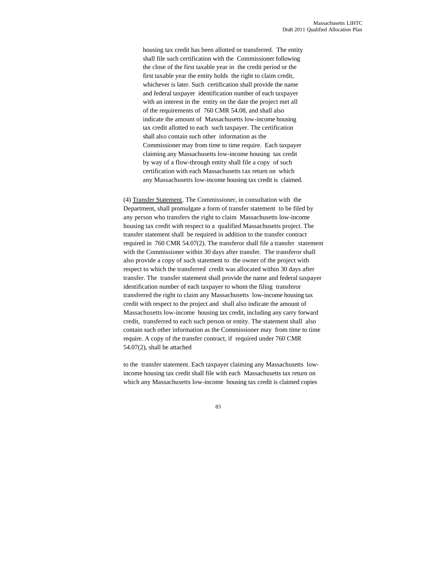housing tax credit has been allotted or transferred. The entity shall file such certification with the Commissioner following the close of the first taxable year in the credit period or the first taxable year the entity holds the right to claim credit, whichever is later. Such certification shall provide the name and federal taxpayer identification number of each taxpayer with an interest in the entity on the date the project met all of the requirements of 760 CMR 54.08, and shall also indicate the amount of Massachusetts low-income housing tax credit allotted to each such taxpayer. The certification shall also contain such other information as the Commissioner may from time to time require. Each taxpayer claiming any Massachusetts low-income housing tax credit by way of a flow-through entity shall file a copy of such certification with each Massachusetts tax return on which any Massachusetts low-income housing tax credit is claimed.

(4) Transfer Statement. The Commissioner, in consultation with the Department, shall promulgate a form of transfer statement to be filed by any person who transfers the right to claim Massachusetts low-income housing tax credit with respect to a qualified Massachusetts project. The transfer statement shall be required in addition to the transfer contract required in 760 CMR 54.07(2). The transferor shall file a transfer statement with the Commissioner within 30 days after transfer. The transferor shall also provide a copy of such statement to the owner of the project with respect to which the transferred credit was allocated within 30 days after transfer. The transfer statement shall provide the name and federal taxpayer identification number of each taxpayer to whom the filing transferor transferred the right to claim any Massachusetts low-income housing tax credit with respect to the project and shall also indicate the amount of Massachusetts low-income housing tax credit, including any carry forward credit, transferred to each such person or entity. The statement shall also contain such other information as the Commissioner may from time to time require. A copy of the transfer contract, if required under 760 CMR 54.07(2), shall be attached

to the transfer statement. Each taxpayer claiming any Massachusetts lowincome housing tax credit shall file with each Massachusetts tax return on which any Massachusetts low-income housing tax credit is claimed copies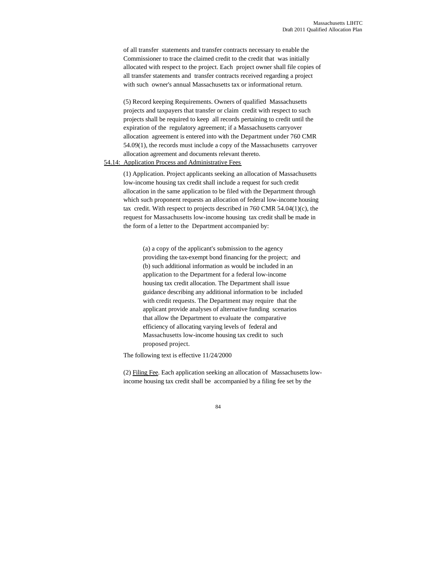of all transfer statements and transfer contracts necessary to enable the Commissioner to trace the claimed credit to the credit that was initially allocated with respect to the project. Each project owner shall file copies of all transfer statements and transfer contracts received regarding a project with such owner's annual Massachusetts tax or informational return.

(5) Record keeping Requirements. Owners of qualified Massachusetts projects and taxpayers that transfer or claim credit with respect to such projects shall be required to keep all records pertaining to credit until the expiration of the regulatory agreement; if a Massachusetts carryover allocation agreement is entered into with the Department under 760 CMR 54.09(1), the records must include a copy of the Massachusetts carryover allocation agreement and documents relevant thereto.

# 54.14: Application Process and Administrative Fees

(1) Application. Project applicants seeking an allocation of Massachusetts low-income housing tax credit shall include a request for such credit allocation in the same application to be filed with the Department through which such proponent requests an allocation of federal low-income housing tax credit. With respect to projects described in 760 CMR 54.04(1)(c), the request for Massachusetts low-income housing tax credit shall be made in the form of a letter to the Department accompanied by:

(a) a copy of the applicant's submission to the agency providing the tax-exempt bond financing for the project; and (b) such additional information as would be included in an application to the Department for a federal low-income housing tax credit allocation. The Department shall issue guidance describing any additional information to be included with credit requests. The Department may require that the applicant provide analyses of alternative funding scenarios that allow the Department to evaluate the comparative efficiency of allocating varying levels of federal and Massachusetts low-income housing tax credit to such proposed project.

The following text is effective 11/24/2000

(2) Filing Fee. Each application seeking an allocation of Massachusetts lowincome housing tax credit shall be accompanied by a filing fee set by the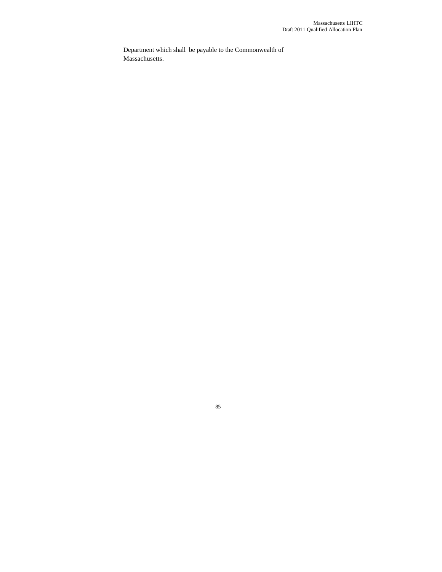Department which shall be payable to the Commonwealth of Massachusetts.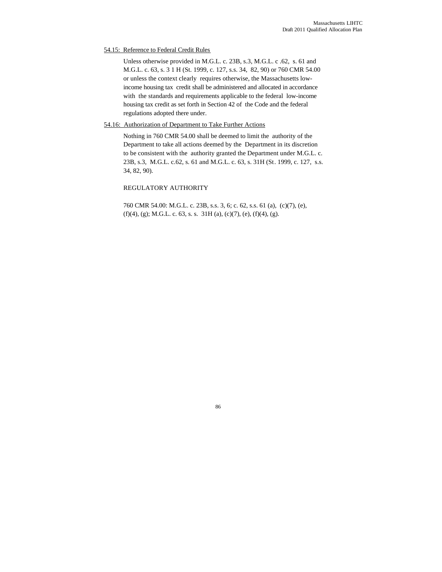# 54.15: Reference to Federal Credit Rules

Unless otherwise provided in M.G.L. c. 23B, s.3, M.G.L. c .62, s. 61 and M.G.L. c. 63, s. 3 1 H (St. 1999, c. 127, s.s. 34, 82, 90) or 760 CMR 54.00 or unless the context clearly requires otherwise, the Massachusetts lowincome housing tax credit shall be administered and allocated in accordance with the standards and requirements applicable to the federal low-income housing tax credit as set forth in Section 42 of the Code and the federal regulations adopted there under.

### 54.16: Authorization of Department to Take Further Actions

Nothing in 760 CMR 54.00 shall be deemed to limit the authority of the Department to take all actions deemed by the Department in its discretion to be consistent with the authority granted the Department under M.G.L. c. 23B, s.3, M.G.L. c.62, s. 61 and M.G.L. c. 63, s. 31H (St. 1999, c. 127, s.s. 34, 82, 90).

# REGULATORY AUTHORITY

760 CMR 54.00: M.G.L. c. 23B, s.s. 3, 6; c. 62, s.s. 61 (a), (c)(7), (e), (f)(4), (g); M.G.L. c. 63, s. s. 31H (a), (c)(7), (e), (f)(4), (g).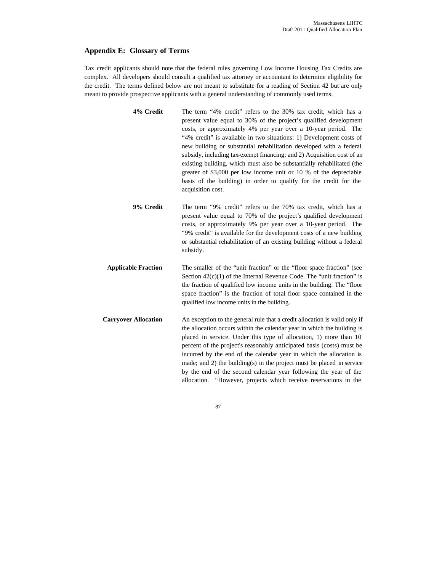# **Appendix E: Glossary of Terms**

Tax credit applicants should note that the federal rules governing Low Income Housing Tax Credits are complex. All developers should consult a qualified tax attorney or accountant to determine eligibility for the credit. The terms defined below are not meant to substitute for a reading of Section 42 but are only meant to provide prospective applicants with a general understanding of commonly used terms.

- **4% Credit** The term "4% credit" refers to the 30% tax credit, which has a present value equal to 30% of the project's qualified development costs, or approximately 4% per year over a 10-year period. The "4% credit" is available in two situations: 1) Development costs of new building or substantial rehabilitation developed with a federal subsidy, including tax-exempt financing; and 2) Acquisition cost of an existing building, which must also be substantially rehabilitated (the greater of \$3,000 per low income unit or 10 % of the depreciable basis of the building) in order to qualify for the credit for the acquisition cost.
- **9% Credit** The term "9% credit" refers to the 70% tax credit, which has a present value equal to 70% of the project's qualified development costs, or approximately 9% per year over a 10-year period. The "9% credit" is available for the development costs of a new building or substantial rehabilitation of an existing building without a federal subsidy.
- **Applicable Fraction** The smaller of the "unit fraction" or the "floor space fraction" (see Section  $42(c)(1)$  of the Internal Revenue Code. The "unit fraction" is the fraction of qualified low income units in the building. The "floor space fraction" is the fraction of total floor space contained in the qualified low income units in the building.
- **Carryover Allocation** An exception to the general rule that a credit allocation is valid only if the allocation occurs within the calendar year in which the building is placed in service. Under this type of allocation, 1) more than 10 percent of the project's reasonably anticipated basis (costs) must be incurred by the end of the calendar year in which the allocation is made; and 2) the building(s) in the project must be placed in service by the end of the second calendar year following the year of the allocation. "However, projects which receive reservations in the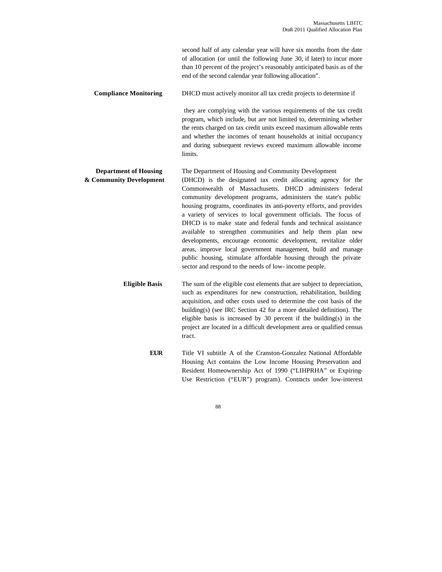second half of any calendar year will have six months from the date of allocation (or until the following June 30, if later) to incur more than 10 percent of the project's reasonably anticipated basis as of the end of the second calendar year following allocation".

#### **Compliance Monitoring** DHCD must actively monitor all tax credit projects to determine if

 they are complying with the various requirements of the tax credit program, which include, but are not limited to, determining whether the rents charged on tax credit units exceed maximum allowable rents and whether the incomes of tenant households at initial occupancy and during subsequent reviews exceed maximum allowable income limits.

# **Department of Housing** The Department of Housing and Community Development

**& Community Development** (DHCD) is the designated tax credit allocating agency for the Commonwealth of Massachusetts. DHCD administers federal community development programs, administers the state's public housing programs, coordinates its anti-poverty efforts, and provides a variety of services to local government officials. The focus of DHCD is to make state and federal funds and technical assistance available to strengthen communities and help them plan new developments, encourage economic development, revitalize older areas, improve local government management, build and manage public housing, stimulate affordable housing through the private sector and respond to the needs of low- income people.

> **Eligible Basis** The sum of the eligible cost elements that are subject to depreciation, such as expenditures for new construction, rehabilitation, building acquisition, and other costs used to determine the cost basis of the building(s) (see IRC Section 42 for a more detailed definition). The eligible basis is increased by 30 percent if the building(s) in the project are located in a difficult development area or qualified census tract.

> > **EUR** Title VI subtitle A of the Cranston-Gonzalez National Affordable Housing Act contains the Low Income Housing Preservation and Resident Homeownership Act of 1990 ("LIHPRHA" or Expiring-Use Restriction ("EUR") program). Contracts under low-interest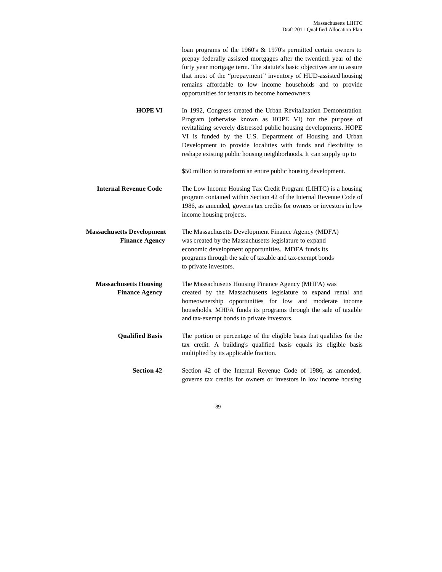loan programs of the 1960's & 1970's permitted certain owners to prepay federally assisted mortgages after the twentieth year of the forty year mortgage term. The statute's basic objectives are to assure that most of the "prepayment" inventory of HUD-assisted housing remains affordable to low income households and to provide opportunities for tenants to become homeowners

**HOPE VI** In 1992, Congress created the Urban Revitalization Demonstration Program (otherwise known as HOPE VI) for the purpose of revitalizing severely distressed public housing developments. HOPE VI is funded by the U.S. Department of Housing and Urban Development to provide localities with funds and flexibility to reshape existing public housing neighborhoods. It can supply up to

\$50 million to transform an entire public housing development.

**Internal Revenue Code** The Low Income Housing Tax Credit Program (LIHTC) is a housing program contained within Section 42 of the Internal Revenue Code of 1986, as amended, governs tax credits for owners or investors in low income housing projects.

 **Massachusetts Development** The Massachusetts Development Finance Agency (MDFA) **Finance Agency** was created by the Massachusetts legislature to expand economic development opportunities. MDFA funds its programs through the sale of taxable and tax-exempt bonds to private investors.

**Massachusetts Housing** The Massachusetts Housing Finance Agency (MHFA) was **Finance Agency** created by the Massachusetts legislature to expand rental and homeownership opportunities for low and moderate income households. MHFA funds its programs through the sale of taxable and tax-exempt bonds to private investors.

**Qualified Basis** The portion or percentage of the eligible basis that qualifies for the tax credit. A building's qualified basis equals its eligible basis multiplied by its applicable fraction.

Section 42 Section 42 of the Internal Revenue Code of 1986, as amended, governs tax credits for owners or investors in low income housing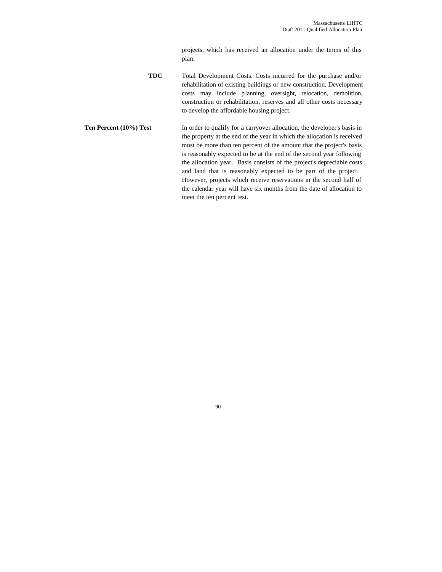projects, which has received an allocation under the terms of this plan.

**TDC** Total Development Costs. Costs incurred for the purchase and/or rehabilitation of existing buildings or new construction. Development costs may include planning, oversight, relocation, demolition, construction or rehabilitation, reserves and all other costs necessary to develop the affordable housing project.

**Ten Percent (10%) Test** In order to qualify for a carryover allocation, the developer's basis in the property at the end of the year in which the allocation is received must be more than ten percent of the amount that the project's basis is reasonably expected to be at the end of the second year following the allocation year. Basis consists of the project's depreciable costs and land that is reasonably expected to be part of the project. However, projects which receive reservations in the second half of the calendar year will have six months from the date of allocation to meet the ten percent test.

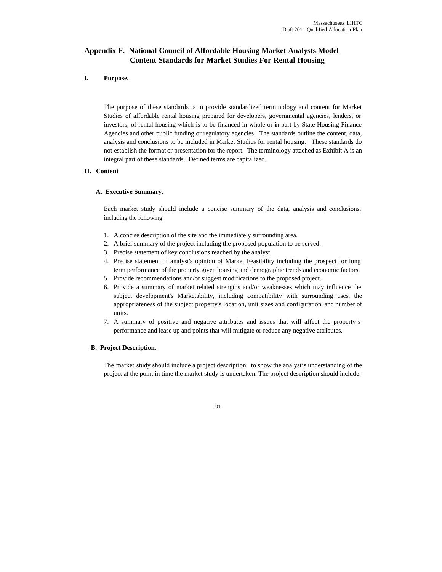# **Appendix F. National Council of Affordable Housing Market Analysts Model Content Standards for Market Studies For Rental Housing**

### **I. Purpose.**

The purpose of these standards is to provide standardized terminology and content for Market Studies of affordable rental housing prepared for developers, governmental agencies, lenders, or investors, of rental housing which is to be financed in whole or in part by State Housing Finance Agencies and other public funding or regulatory agencies. The standards outline the content, data, analysis and conclusions to be included in Market Studies for rental housing. These standards do not establish the format or presentation for the report. The terminology attached as Exhibit A is an integral part of these standards. Defined terms are capitalized.

### **II. Content**

#### **A. Executive Summary.**

Each market study should include a concise summary of the data, analysis and conclusions, including the following:

- 1. A concise description of the site and the immediately surrounding area.
- 2. A brief summary of the project including the proposed population to be served.
- 3. Precise statement of key conclusions reached by the analyst.
- 4. Precise statement of analyst's opinion of Market Feasibility including the prospect for long term performance of the property given housing and demographic trends and economic factors.
- 5. Provide recommendations and/or suggest modifications to the proposed project.
- 6. Provide a summary of market related strengths and/or weaknesses which may influence the subject development's Marketability, including compatibility with surrounding uses, the appropriateness of the subject property's location, unit sizes and configuration, and number of units.
- 7. A summary of positive and negative attributes and issues that will affect the property's performance and lease-up and points that will mitigate or reduce any negative attributes.

#### **B. Project Description.**

The market study should include a project description to show the analyst's understanding of the project at the point in time the market study is undertaken. The project description should include: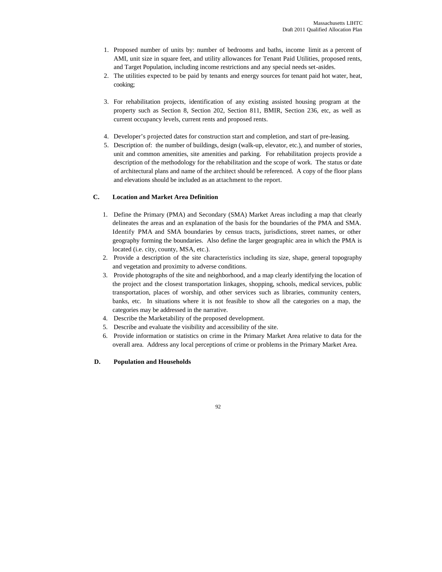- 1. Proposed number of units by: number of bedrooms and baths, income limit as a percent of AMI, unit size in square feet, and utility allowances for Tenant Paid Utilities, proposed rents, and Target Population, including income restrictions and any special needs set-asides.
- 2. The utilities expected to be paid by tenants and energy sources for tenant paid hot water, heat, cooking;
- 3. For rehabilitation projects, identification of any existing assisted housing program at the property such as Section 8, Section 202, Section 811, BMIR, Section 236, etc, as well as current occupancy levels, current rents and proposed rents.
- 4. Developer's projected dates for construction start and completion, and start of pre-leasing.
- 5. Description of: the number of buildings, design (walk-up, elevator, etc.), and number of stories, unit and common amenities, site amenities and parking. For rehabilitation projects provide a description of the methodology for the rehabilitation and the scope of work. The status or date of architectural plans and name of the architect should be referenced. A copy of the floor plans and elevations should be included as an attachment to the report.

## **C. Location and Market Area Definition**

- 1. Define the Primary (PMA) and Secondary (SMA) Market Areas including a map that clearly delineates the areas and an explanation of the basis for the boundaries of the PMA and SMA. Identify PMA and SMA boundaries by census tracts, jurisdictions, street names, or other geography forming the boundaries. Also define the larger geographic area in which the PMA is located (i.e. city, county, MSA, etc.).
- 2. Provide a description of the site characteristics including its size, shape, general topography and vegetation and proximity to adverse conditions.
- 3. Provide photographs of the site and neighborhood, and a map clearly identifying the location of the project and the closest transportation linkages, shopping, schools, medical services, public transportation, places of worship, and other services such as libraries, community centers, banks, etc. In situations where it is not feasible to show all the categories on a map, the categories may be addressed in the narrative.
- 4. Describe the Marketability of the proposed development.
- 5. Describe and evaluate the visibility and accessibility of the site.
- 6. Provide information or statistics on crime in the Primary Market Area relative to data for the overall area. Address any local perceptions of crime or problems in the Primary Market Area.

## **D. Population and Households**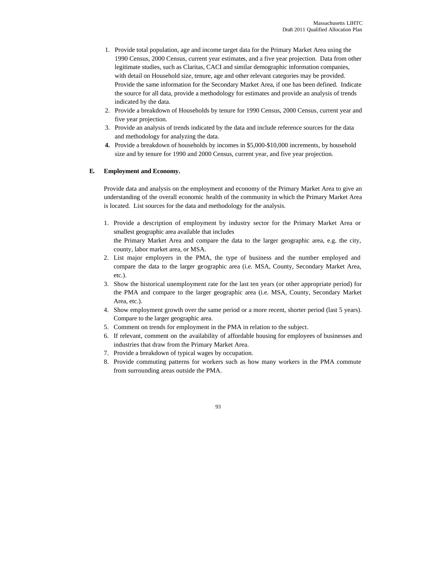- 1. Provide total population, age and income target data for the Primary Market Area using the 1990 Census, 2000 Census, current year estimates, and a five year projection. Data from other legitimate studies, such as Claritas, CACI and similar demographic information companies, with detail on Household size, tenure, age and other relevant categories may be provided. Provide the same information for the Secondary Market Area, if one has been defined. Indicate the source for all data, provide a methodology for estimates and provide an analysis of trends indicated by the data.
- 2. Provide a breakdown of Households by tenure for 1990 Census, 2000 Census, current year and five year projection.
- 3. Provide an analysis of trends indicated by the data and include reference sources for the data and methodology for analyzing the data.
- **4.** Provide a breakdown of households by incomes in \$5,000-\$10,000 increments, by household size and by tenure for 1990 and 2000 Census, current year, and five year projection.

## **E. Employment and Economy.**

Provide data and analysis on the employment and economy of the Primary Market Area to give an understanding of the overall economic health of the community in which the Primary Market Area is located. List sources for the data and methodology for the analysis.

- 1. Provide a description of employment by industry sector for the Primary Market Area or smallest geographic area available that includes the Primary Market Area and compare the data to the larger geographic area, e.g. the city, county, labor market area, or MSA.
- 2. List major employers in the PMA, the type of business and the number employed and compare the data to the larger geographic area (i.e. MSA, County, Secondary Market Area, etc.).
- 3. Show the historical unemployment rate for the last ten years (or other appropriate period) for the PMA and compare to the larger geographic area (i.e. MSA, County, Secondary Market Area, etc.).
- 4. Show employment growth over the same period or a more recent, shorter period (last 5 years). Compare to the larger geographic area.
- 5. Comment on trends for employment in the PMA in relation to the subject.
- 6. If relevant, comment on the availability of affordable housing for employees of businesses and industries that draw from the Primary Market Area.
- 7. Provide a breakdown of typical wages by occupation.
- 8. Provide commuting patterns for workers such as how many workers in the PMA commute from surrounding areas outside the PMA.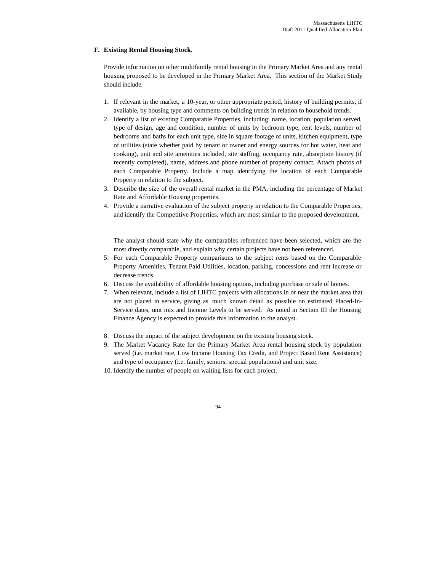#### **F. Existing Rental Housing Stock.**

Provide information on other multifamily rental housing in the Primary Market Area and any rental housing proposed to be developed in the Primary Market Area. This section of the Market Study should include:

- 1. If relevant in the market, a 10-year, or other appropriate period, history of building permits, if available, by housing type and comments on building trends in relation to household trends.
- 2. Identify a list of existing Comparable Properties, including: name, location, population served, type of design, age and condition, number of units by bedroom type, rent levels, number of bedrooms and baths for each unit type, size in square footage of units, kitchen equipment, type of utilities (state whether paid by tenant or owner and energy sources for hot water, heat and cooking), unit and site amenities included, site staffing, occupancy rate, absorption history (if recently completed), name, address and phone number of property contact. Attach photos of each Comparable Property. Include a map identifying the location of each Comparable Property in relation to the subject.
- 3. Describe the size of the overall rental market in the PMA, including the percentage of Market Rate and Affordable Housing properties.
- 4. Provide a narrative evaluation of the subject property in relation to the Comparable Properties, and identify the Competitive Properties, which are most similar to the proposed development.

The analyst should state why the comparables referenced have been selected, which are the most directly comparable, and explain why certain projects have not been referenced.

- 5. For each Comparable Property comparisons to the subject rents based on the Comparable Property Amenities, Tenant Paid Utilities, location, parking, concessions and rent increase or decrease trends.
- 6. Discuss the availability of affordable housing options, including purchase or sale of homes.
- 7. When relevant, include a list of LIHTC projects with allocations in or near the market area that are not placed in service, giving as much known detail as possible on estimated Placed-In-Service dates, unit mix and Income Levels to be served. As noted in Section III the Housing Finance Agency is expected to provide this information to the analyst.
- 8. Discuss the impact of the subject development on the existing housing stock.
- 9. The Market Vacancy Rate for the Primary Market Area rental housing stock by population served (i.e. market rate, Low Income Housing Tax Credit, and Project Based Rent Assistance) and type of occupancy (i.e. family, seniors, special populations) and unit size.
- 10. Identify the number of people on waiting lists for each project.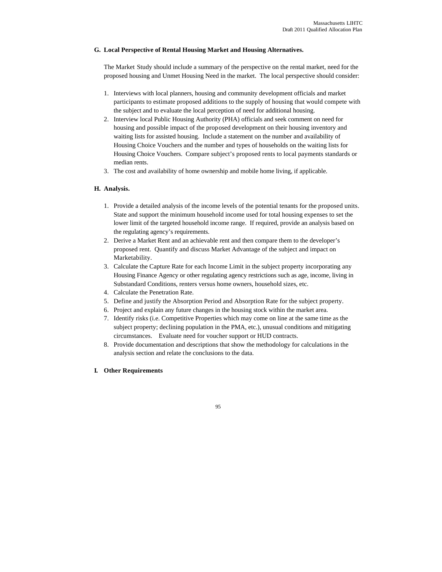# **G. Local Perspective of Rental Housing Market and Housing Alternatives.**

The Market Study should include a summary of the perspective on the rental market, need for the proposed housing and Unmet Housing Need in the market. The local perspective should consider:

- 1. Interviews with local planners, housing and community development officials and market participants to estimate proposed additions to the supply of housing that would compete with the subject and to evaluate the local perception of need for additional housing.
- 2. Interview local Public Housing Authority (PHA) officials and seek comment on need for housing and possible impact of the proposed development on their housing inventory and waiting lists for assisted housing. Include a statement on the number and availability of Housing Choice Vouchers and the number and types of households on the waiting lists for Housing Choice Vouchers. Compare subject's proposed rents to local payments standards or median rents.
- 3. The cost and availability of home ownership and mobile home living, if applicable.

## **H. Analysis.**

- 1. Provide a detailed analysis of the income levels of the potential tenants for the proposed units. State and support the minimum household income used for total housing expenses to set the lower limit of the targeted household income range. If required, provide an analysis based on the regulating agency's requirements.
- 2. Derive a Market Rent and an achievable rent and then compare them to the developer's proposed rent. Quantify and discuss Market Advantage of the subject and impact on Marketability.
- 3. Calculate the Capture Rate for each Income Limit in the subject property incorporating any Housing Finance Agency or other regulating agency restrictions such as age, income, living in Substandard Conditions, renters versus home owners, household sizes, etc.
- 4. Calculate the Penetration Rate.
- 5. Define and justify the Absorption Period and Absorption Rate for the subject property.
- 6. Project and explain any future changes in the housing stock within the market area.
- 7. Identify risks (i.e. Competitive Properties which may come on line at the same time as the subject property; declining population in the PMA, etc.), unusual conditions and mitigating circumstances. Evaluate need for voucher support or HUD contracts.
- 8. Provide documentation and descriptions that show the methodology for calculations in the analysis section and relate the conclusions to the data.

## **I. Other Requirements**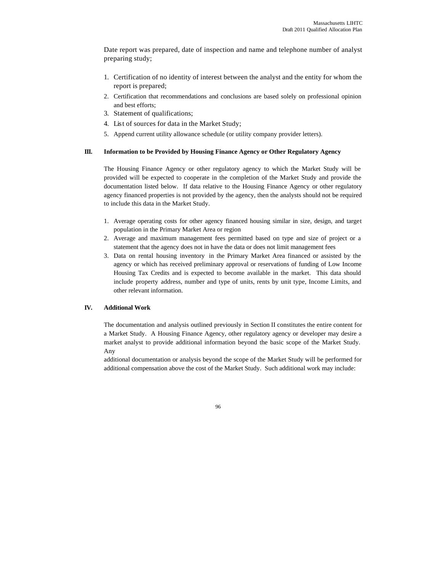Date report was prepared, date of inspection and name and telephone number of analyst preparing study;

- 1. Certification of no identity of interest between the analyst and the entity for whom the report is prepared;
- 2. Certification that recommendations and conclusions are based solely on professional opinion and best efforts;
- 3. Statement of qualifications;
- 4. List of sources for data in the Market Study;
- 5. Append current utility allowance schedule (or utility company provider letters).

## **III. Information to be Provided by Housing Finance Agency or Other Regulatory Agency**

The Housing Finance Agency or other regulatory agency to which the Market Study will be provided will be expected to cooperate in the completion of the Market Study and provide the documentation listed below. If data relative to the Housing Finance Agency or other regulatory agency financed properties is not provided by the agency, then the analysts should not be required to include this data in the Market Study.

- 1. Average operating costs for other agency financed housing similar in size, design, and target population in the Primary Market Area or region
- 2. Average and maximum management fees permitted based on type and size of project or a statement that the agency does not in have the data or does not limit management fees
- 3. Data on rental housing inventory in the Primary Market Area financed or assisted by the agency or which has received preliminary approval or reservations of funding of Low Income Housing Tax Credits and is expected to become available in the market. This data should include property address, number and type of units, rents by unit type, Income Limits, and other relevant information.

#### **IV. Additional Work**

The documentation and analysis outlined previously in Section II constitutes the entire content for a Market Study. A Housing Finance Agency, other regulatory agency or developer may desire a market analyst to provide additional information beyond the basic scope of the Market Study. Any

additional documentation or analysis beyond the scope of the Market Study will be performed for additional compensation above the cost of the Market Study. Such additional work may include: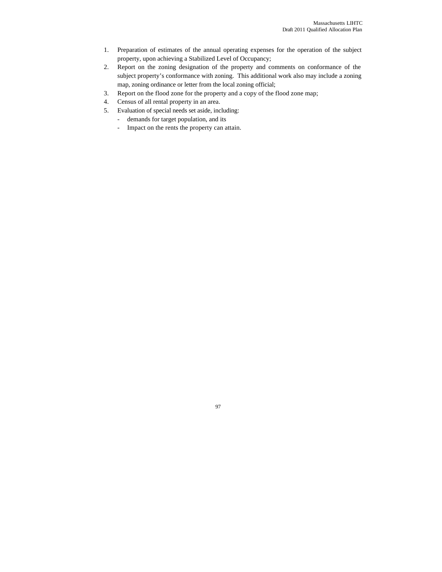- 1. Preparation of estimates of the annual operating expenses for the operation of the subject property, upon achieving a Stabilized Level of Occupancy;
- 2. Report on the zoning designation of the property and comments on conformance of the subject property's conformance with zoning. This additional work also may include a zoning map, zoning ordinance or letter from the local zoning official;
- 3. Report on the flood zone for the property and a copy of the flood zone map;
- 4. Census of all rental property in an area.
- 5. Evaluation of special needs set aside, including:
	- demands for target population, and its
	- Impact on the rents the property can attain.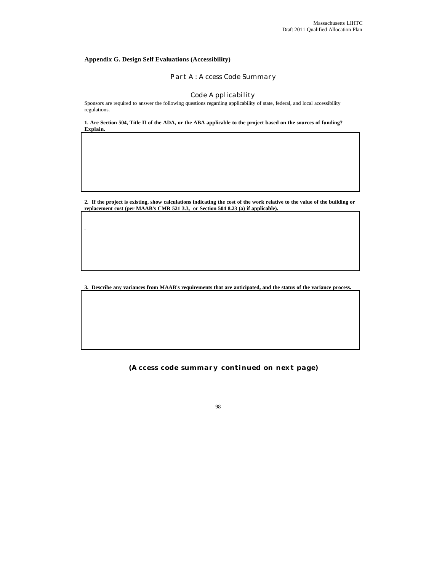# **Appendix G. Design Self Evaluations (Accessibility)**

.

# Part A: Access Code Summary

#### Code Applicability

Sponsors are required to answer the following questions regarding applicability of state, federal, and local accessibility regulations.

**1. Are Section 504, Title II of the ADA, or the ABA applicable to the project based on the sources of funding? Explain.**

**2. If the project is existing, show calculations indicating the cost of the work relative to the value of the building or replacement cost (per MAAB's CMR 521 3.3, or Section 504 8.23 (a) if applicable).**

**3. Describe any variances from MAAB's requirements that are anticipated, and the status of the variance process.**

**(Access code summary continued on next page)**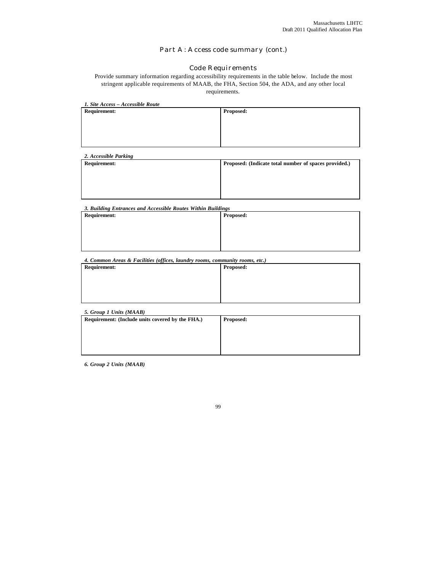# Part A: Access code summary (cont.)

# Code Requirements

Provide summary information regarding accessibility requirements in the table below. Include the most stringent applicable requirements of MAAB, the FHA, Section 504, the ADA, and any other local requirements.

| 1. Site Access - Accessible Route |  |  |  |  |  |
|-----------------------------------|--|--|--|--|--|
| <b>Proposed:</b>                  |  |  |  |  |  |
|                                   |  |  |  |  |  |
|                                   |  |  |  |  |  |
|                                   |  |  |  |  |  |
|                                   |  |  |  |  |  |
|                                   |  |  |  |  |  |

| <b>Requirement:</b> | Proposed: (Indicate total number of spaces provided.) |
|---------------------|-------------------------------------------------------|
|                     |                                                       |
|                     |                                                       |
|                     |                                                       |

*3. Building Entrances and Accessible Routes Within Buildings*

| <b>Requirement:</b> | Proposed: |
|---------------------|-----------|
|                     |           |
|                     |           |
|                     |           |
|                     |           |

*4. Common Areas & Facilities (offices, laundry rooms, community rooms, etc.)*

| <b>Requirement:</b> | <b>Proposed:</b> |
|---------------------|------------------|
|                     |                  |
|                     |                  |
|                     |                  |
|                     |                  |

| <b>Proposed:</b> |
|------------------|
|                  |
|                  |
|                  |
|                  |

*6. Group 2 Units (MAAB)*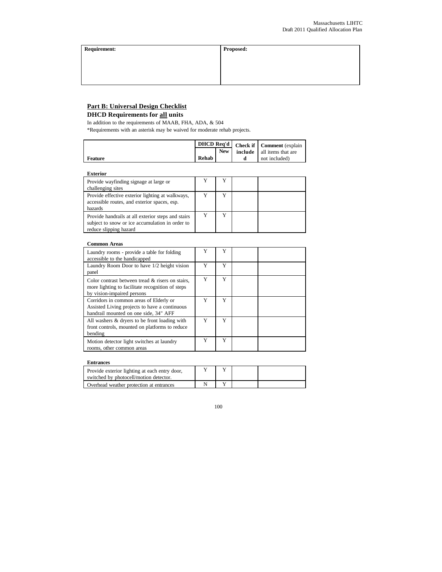**Requirement: Proposed:**

# **Part B: Universal Design Checklist**

# **DHCD Requirements for all units**

In addition to the requirements of MAAB, FHA, ADA, & 504 \*Requirements with an asterisk may be waived for moderate rehab projects.

|         |       |            | DHCD Req'd   Check if   Comment (explain |
|---------|-------|------------|------------------------------------------|
|         |       | <b>New</b> | <b>include</b> all items that are        |
| Feature | Rehab |            | not included)                            |

#### **Exterior**

| Provide wayfinding signage at large or<br>challenging sites                                                                     |  |  |
|---------------------------------------------------------------------------------------------------------------------------------|--|--|
| Provide effective exterior lighting at walkways,<br>accessible routes, and exterior spaces, esp.<br>hazards                     |  |  |
| Provide handrails at all exterior steps and stairs<br>subject to snow or ice accumulation in order to<br>reduce slipping hazard |  |  |

#### **Common Areas**

| Laundry rooms - provide a table for folding<br>accessible to the handicapped                                                       | Y | Y |  |
|------------------------------------------------------------------------------------------------------------------------------------|---|---|--|
| Laundry Room Door to have 1/2 height vision<br>panel                                                                               | Y | v |  |
| Color contrast between tread & risers on stairs.<br>more lighting to facilitate recognition of steps<br>by vision-impaired persons | Y | Y |  |
| Corridors in common areas of Elderly or<br>Assisted Living projects to have a continuous<br>handrail mounted on one side, 34" AFF  | Y | Y |  |
| All washers & dryers to be front loading with<br>front controls, mounted on platforms to reduce<br>bending                         | Y | Y |  |
| Motion detector light switches at laundry<br>rooms, other common areas                                                             | Y | v |  |

#### **Entrances**

| Provide exterior lighting at each entry door,<br>switched by photocell/motion detector. |  |  |
|-----------------------------------------------------------------------------------------|--|--|
| Overhead weather protection at entrances                                                |  |  |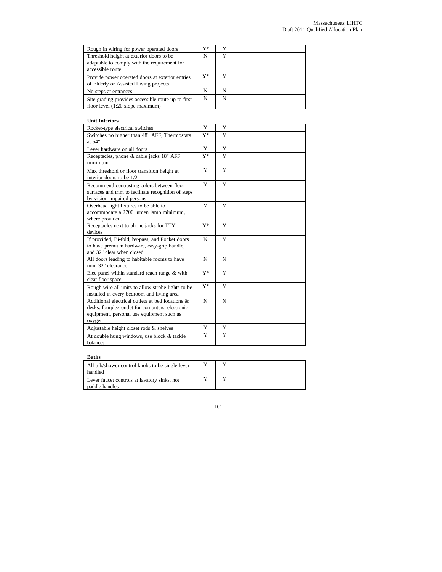| Rough in wiring for power operated doors                                                                     | V* |   |  |
|--------------------------------------------------------------------------------------------------------------|----|---|--|
| Threshold height at exterior doors to be<br>adaptable to comply with the requirement for<br>accessible route | N  |   |  |
| Provide power operated doors at exterior entries<br>of Elderly or Assisted Living projects                   | Y* |   |  |
| No steps at entrances                                                                                        | N  | N |  |
| Site grading provides accessible route up to first<br>floor level $(1:20$ slope maximum)                     | N  | N |  |

# **Unit Interiors**

| Rocker-type electrical switches                                                                                                                                | Y     | Y |  |
|----------------------------------------------------------------------------------------------------------------------------------------------------------------|-------|---|--|
| Switches no higher than 48" AFF, Thermostats<br>at 54"                                                                                                         | $Y^*$ | Y |  |
| Lever hardware on all doors                                                                                                                                    | Y     | Y |  |
| Receptacles, phone & cable jacks 18" AFF<br>minimum                                                                                                            | Y*    | Y |  |
| Max threshold or floor transition height at<br>interior doors to be 1/2"                                                                                       | Y     | Y |  |
| Recommend contrasting colors between floor<br>surfaces and trim to facilitate recognition of steps<br>by vision-impaired persons                               | Y     | Y |  |
| Overhead light fixtures to be able to<br>accommodate a 2700 lumen lamp minimum,<br>where provided.                                                             | Y     | Y |  |
| Receptacles next to phone jacks for TTY<br>devices                                                                                                             | $Y^*$ | Y |  |
| If provided, Bi-fold, by-pass, and Pocket doors<br>to have premium hardware, easy-grip handle,<br>and 32" clear when closed                                    | N     | Y |  |
| All doors leading to habitable rooms to have<br>min. 32" clearance                                                                                             | N     | N |  |
| Elec panel within standard reach range $&$ with<br>clear floor space                                                                                           | $Y^*$ | Y |  |
| Rough wire all units to allow strobe lights to be<br>installed in every bedroom and living area                                                                | $Y^*$ | Y |  |
| Additional electrical outlets at bed locations $\&$<br>desks: fourplex outlet for computers, electronic<br>equipment, personal use equipment such as<br>oxygen | N     | N |  |
| Adjustable height closet rods $\&$ shelves                                                                                                                     | Y     | Y |  |
| At double hung windows, use block & tackle<br>balances                                                                                                         | Y     | Y |  |

# **Baths**

| All tub/shower control knobs to be single lever<br>handled     |  |  |
|----------------------------------------------------------------|--|--|
| Lever faucet controls at lavatory sinks, not<br>paddle handles |  |  |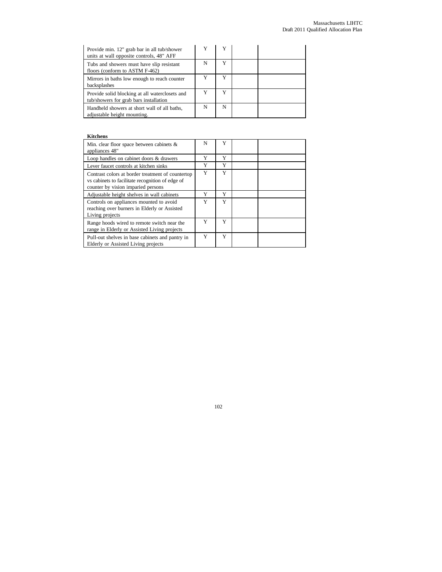| Provide min. 12" grab bar in all tub/shower<br>units at wall opposite controls, 48" AFF  |   |   |  |
|------------------------------------------------------------------------------------------|---|---|--|
| Tubs and showers must have slip resistant<br>floors (conform to ASTM F-462)              | N | Y |  |
| Mirrors in baths low enough to reach counter<br>backsplashes                             |   | v |  |
| Provide solid blocking at all waterclosets and<br>tub/showers for grab bars installation |   |   |  |
| Handheld showers at short wall of all baths,<br>adjustable height mounting.              | N | N |  |

# **Kitchens**

| Min. clear floor space between cabinets $\&$<br>appliances 48"                                                                              | N | Y |  |
|---------------------------------------------------------------------------------------------------------------------------------------------|---|---|--|
| Loop handles on cabinet doors & drawers                                                                                                     | Y | Y |  |
| Lever faucet controls at kitchen sinks                                                                                                      | Y | Y |  |
| Contrast colors at border treatment of countertop<br>vs cabinets to facilitate recognition of edge of<br>counter by vision imparied persons | Y | Y |  |
| Adjustable height shelves in wall cabinets                                                                                                  | Y | Y |  |
| Controls on appliances mounted to avoid<br>reaching over burners in Elderly or Assisted<br>Living projects                                  | Y | Y |  |
| Range hoods wired to remote switch near the<br>range in Elderly or Assisted Living projects                                                 | Y | Y |  |
| Pull-out shelves in base cabinets and pantry in<br>Elderly or Assisted Living projects                                                      | Y | Y |  |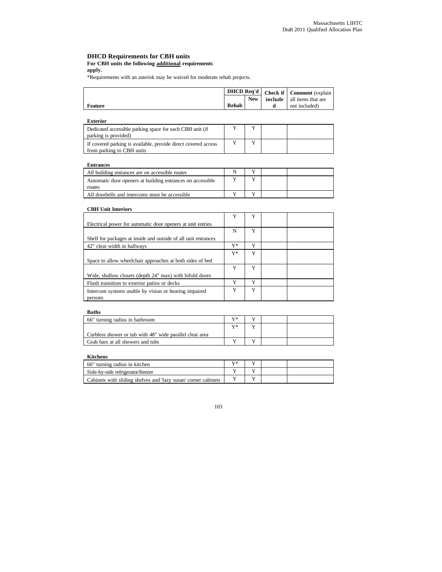#### **DHCD Requirements for CBH units**

# **For CBH units the following additional requirements**

**apply.**

\*Requirements with an asterisk may be waived for moderate rehab projects.

| <b>include</b> all items that are |                |            | DHCD Req'd   Check if   Comment (explain |
|-----------------------------------|----------------|------------|------------------------------------------|
|                                   |                | <b>New</b> |                                          |
| <b>Rehab</b><br>not included)     | <b>Feature</b> |            |                                          |

| Exterior                                                                                    |  |  |
|---------------------------------------------------------------------------------------------|--|--|
| Dedicated accessible parking space for each CBH unit (if<br>parking is provided)            |  |  |
| If covered parking is available, provide direct covered access<br>from parking to CBH units |  |  |

#### **Entrances**

| All building entrances are on accessible routes                      |  |  |
|----------------------------------------------------------------------|--|--|
| Automatic door openers at building entrances on accessible<br>routes |  |  |
| All doorbells and intercoms must be accessible                       |  |  |

## **CBH Unit Interiors**

|                                                                  | Y  | $\mathbf{v}$ |  |
|------------------------------------------------------------------|----|--------------|--|
| Electrical power for automatic door openers at unit entries      |    |              |  |
|                                                                  | N  | Y            |  |
| Shelf for packages at inside and outside of all unit entrances   |    |              |  |
| 42" clear width in hallways                                      | Y* | Y            |  |
|                                                                  | Y* | Y            |  |
| Space to allow wheelchair approaches at both sides of bed        |    |              |  |
|                                                                  | Y  | Y            |  |
| Wide, shallow closets (depth 24" max) with bifold doors          |    |              |  |
| Flush transition to exterior patios or decks                     | Y  | Y            |  |
| Intercom systems usable by vision or hearing impaired<br>persons | Y  | Y            |  |
|                                                                  |    |              |  |

#### **Baths**

| 66" turning radius in bathroom                           | $V^*$ |  |  |
|----------------------------------------------------------|-------|--|--|
|                                                          | $V^*$ |  |  |
| Curbless shower or tub with 48" wide parallel clear area |       |  |  |
| Grab bars at all showers and tubs                        |       |  |  |

#### **Kitchens**

| 66" turning radius in kitchen                                  | $V^*$ |  |  |
|----------------------------------------------------------------|-------|--|--|
| Side-by-side refrigerator/freezer                              |       |  |  |
| Cabinets with sliding shelves and 'lazy susan' corner cabinets |       |  |  |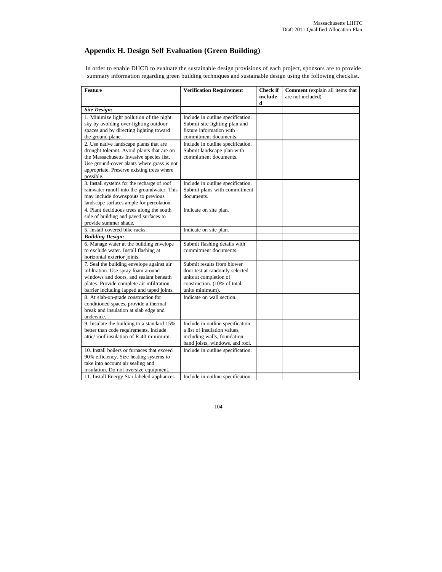# **Appendix H. Design Self Evaluation (Green Building)**

In order to enable DHCD to evaluate the sustainable design provisions of each project, sponsors are to provide summary information regarding green building techniques and sustainable design using the following checklist.

| <b>Feature</b>                                                                         | <b>Verification Requirement</b>   | Check if     | Comment (explain all items that |
|----------------------------------------------------------------------------------------|-----------------------------------|--------------|---------------------------------|
|                                                                                        |                                   | include<br>d | are not included)               |
| <b>Site Design:</b>                                                                    |                                   |              |                                 |
| 1. Minimize light pollution of the night                                               | Include in outline specification. |              |                                 |
| sky by avoiding over-lighting outdoor                                                  | Submit site lighting plan and     |              |                                 |
| spaces and by directing lighting toward                                                | fixture information with          |              |                                 |
| the ground plane.                                                                      | commitment documents.             |              |                                 |
| 2. Use native landscape plants that are                                                | Include in outline specification. |              |                                 |
| drought tolerant. Avoid plants that are on                                             | Submit landscape plan with        |              |                                 |
| the Massachusetts Invasive species list.                                               | commitment documents.             |              |                                 |
| Use ground-cover plants where grass is not                                             |                                   |              |                                 |
| appropriate. Preserve existing trees where                                             |                                   |              |                                 |
| possible.                                                                              |                                   |              |                                 |
| 3. Install systems for the recharge of roof                                            | Include in outline specification. |              |                                 |
| rainwater runoff into the groundwater. This                                            | Submit plans with commitment      |              |                                 |
| may include downspouts to previous                                                     | documents.                        |              |                                 |
| landscape surfaces ample for percolation.                                              |                                   |              |                                 |
| 4. Plant deciduous trees along the south                                               | Indicate on site plan.            |              |                                 |
| side of building and paved surfaces to                                                 |                                   |              |                                 |
| provide summer shade.                                                                  |                                   |              |                                 |
| 5. Install covered bike racks.                                                         | Indicate on site plan.            |              |                                 |
| <b>Building Design:</b>                                                                |                                   |              |                                 |
| 6. Manage water at the building envelope                                               | Submit flashing details with      |              |                                 |
| to exclude water. Install flashing at                                                  | commitment documents.             |              |                                 |
| horizontal exterior joints.                                                            |                                   |              |                                 |
| 7. Seal the building envelope against air                                              | Submit results from blower        |              |                                 |
| infiltration. Use spray foam around                                                    | door test at randomly selected    |              |                                 |
| windows and doors, and sealant beneath                                                 | units at completion of            |              |                                 |
| plates. Provide complete air infiltration                                              | construction. (10% of total       |              |                                 |
| barrier including lapped and taped joints.                                             | units minimum).                   |              |                                 |
| 8. At slab-on-grade construction for                                                   | Indicate on wall section.         |              |                                 |
| conditioned spaces, provide a thermal                                                  |                                   |              |                                 |
| break and insulation at slab edge and                                                  |                                   |              |                                 |
| underside.                                                                             |                                   |              |                                 |
| 9. Insulate the building to a standard 15%                                             | Include in outline specification  |              |                                 |
| better than code requirements. Include<br>attic/roof insulation of R-40 minimum.       | a list of insulation values.      |              |                                 |
|                                                                                        | including walls, foundation,      |              |                                 |
|                                                                                        | band joists, windows, and roof.   |              |                                 |
| 10. Install boilers or furnaces that exceed<br>90% efficiency. Size heating systems to | Include in outline specification. |              |                                 |
| take into account air sealing and                                                      |                                   |              |                                 |
| insulation. Do not oversize equipment.                                                 |                                   |              |                                 |
|                                                                                        |                                   |              |                                 |
| 11. Install Energy Star labeled appliances.                                            | Include in outline specification. |              |                                 |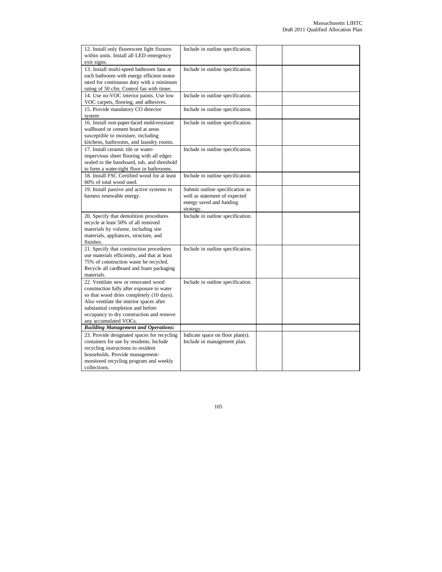| 12. Install only fluorescent light fixtures  | Include in outline specification. |  |  |
|----------------------------------------------|-----------------------------------|--|--|
| within units. Install all LED emergency      |                                   |  |  |
| exit signs.                                  |                                   |  |  |
| 13. Install multi-speed bathroom fans at     | Include in outline specification. |  |  |
| each bathroom with energy efficient motor    |                                   |  |  |
| rated for continuous duty with a minimum     |                                   |  |  |
| rating of 50 cfm. Control fan with timer.    |                                   |  |  |
| 14. Use no-VOC interior paints. Use low      | Include in outline specification. |  |  |
| VOC carpets, flooring, and adhesives.        |                                   |  |  |
| 15. Provide mandatory CO detector            | Include in outline specification. |  |  |
| system                                       |                                   |  |  |
| 16. Install non-paper-faced mold-resistant   | Include in outline specification. |  |  |
| wallboard or cement board at areas           |                                   |  |  |
| susceptible to moisture, including           |                                   |  |  |
| kitchens, bathrooms, and laundry rooms.      |                                   |  |  |
| 17. Install ceramic tile or water-           | Include in outline specification. |  |  |
| impervious sheet flooring with all edges     |                                   |  |  |
| sealed to the baseboard, tub, and threshold  |                                   |  |  |
| to form a water-tight floor in bathrooms.    |                                   |  |  |
| 18. Install FSC Certified wood for at least  |                                   |  |  |
|                                              | Include in outline specification. |  |  |
| 60% of total wood used.                      |                                   |  |  |
| 19. Install passive and active systems to    | Submit outline specification as   |  |  |
| harness renewable energy.                    | well as statement of expected     |  |  |
|                                              | energy saved and funding          |  |  |
|                                              | strategy.                         |  |  |
| 20. Specify that demolition procedures       | Include in outline specification. |  |  |
| recycle at least 50% of all removed          |                                   |  |  |
| materials by volume, including site          |                                   |  |  |
| materials, appliances, structure, and        |                                   |  |  |
| finishes.                                    |                                   |  |  |
| 21. Specify that construction procedures     | Include in outline specification. |  |  |
| use materials efficiently, and that at least |                                   |  |  |
| 75% of construction waste be recycled.       |                                   |  |  |
| Recycle all cardboard and foam packaging     |                                   |  |  |
| materials.                                   |                                   |  |  |
| 22. Ventilate new or renovated wood          | Include in outline specification. |  |  |
| construction fully after exposure to water   |                                   |  |  |
| so that wood dries completely (10 days).     |                                   |  |  |
| Also ventilate the interior spaces after     |                                   |  |  |
| substantial completion and before            |                                   |  |  |
|                                              |                                   |  |  |
| occupancy to dry construction and remove     |                                   |  |  |
| any accumulated VOCs.                        |                                   |  |  |
| <b>Building Management and Operations:</b>   |                                   |  |  |
| 23. Provide designated spaces for recycling  | Indicate space on floor plan(s).  |  |  |
| containers for use by residents. Include     | Include in management plan.       |  |  |
| recycling instructions to resident           |                                   |  |  |
| households. Provide management-              |                                   |  |  |
| monitored recycling program and weekly       |                                   |  |  |
| collections.                                 |                                   |  |  |
|                                              |                                   |  |  |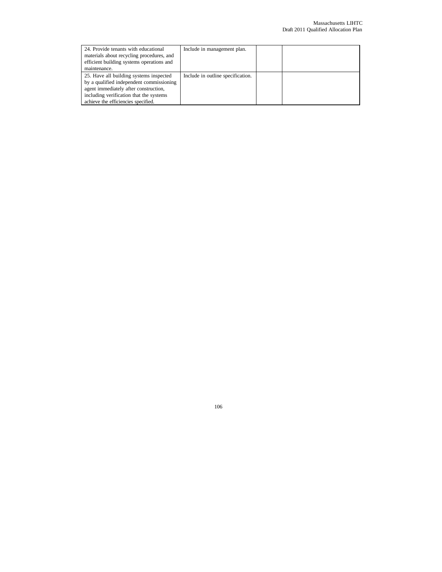| 24. Provide tenants with educational<br>materials about recycling procedures, and<br>efficient building systems operations and<br>maintenance.                                                                 | Include in management plan.       |  |
|----------------------------------------------------------------------------------------------------------------------------------------------------------------------------------------------------------------|-----------------------------------|--|
| 25. Have all building systems inspected<br>by a qualified independent commissioning<br>agent immediately after construction,<br>including verification that the systems<br>achieve the efficiencies specified. | Include in outline specification. |  |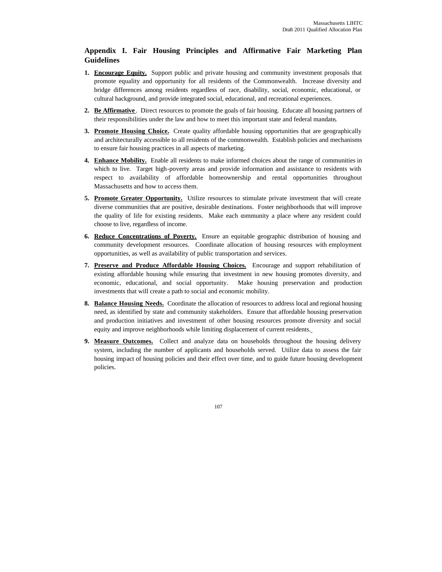# **Appendix I. Fair Housing Principles and Affirmative Fair Marketing Plan Guidelines**

- **1. Encourage Equity.** Support public and private housing and community investment proposals that promote equality and opportunity for all residents of the Commonwealth. Increase diversity and bridge differences among residents regardless of race, disability, social, economic, educational, or cultural background, and provide integrated social, educational, and recreational experiences.
- **2. Be Affirmative** . Direct resources to promote the goals of fair housing. Educate all housing partners of their responsibilities under the law and how to meet this important state and federal mandate**.**
- **3. Promote Housing Choice.** Create quality affordable housing opportunities that are geographically and architecturally accessible to all residents of the commonwealth. Establish policies and mechanisms to ensure fair housing practices in all aspects of marketing.
- **4. Enhance Mobility.** Enable all residents to make informed choices about the range of communities in which to live. Target high-poverty areas and provide information and assistance to residents with respect to availability of affordable homeownership and rental opportunities throughout Massachusetts and how to access them.
- **5. Promote Greater Opportunity.** Utilize resources to stimulate private investment that will create diverse communities that are positive, desirable destinations. Foster neighborhoods that will improve the quality of life for existing residents. Make each community a place where any resident could choose to live, regardless of income.
- **6. Reduce Concentrations of Poverty.** Ensure an equitable geographic distribution of housing and community development resources. Coordinate allocation of housing resources with employment opportunities, as well as availability of public transportation and services.
- **7. Preserve and Produce Affordable Housing Choices.** Encourage and support rehabilitation of existing affordable housing while ensuring that investment in new housing promotes diversity, and economic, educational, and social opportunity. Make housing preservation and production investments that will create a path to social and economic mobility.
- **8. Balance Housing Needs.** Coordinate the allocation of resources to address local and regional housing need, as identified by state and community stakeholders. Ensure that affordable housing preservation and production initiatives and investment of other housing resources promote diversity and social equity and improve neighborhoods while limiting displacement of current residents.
- **9. Measure Outcomes.** Collect and analyze data on households throughout the housing delivery system, including the number of applicants and households served. Utilize data to assess the fair housing impact of housing policies and their effect over time, and to guide future housing development policies.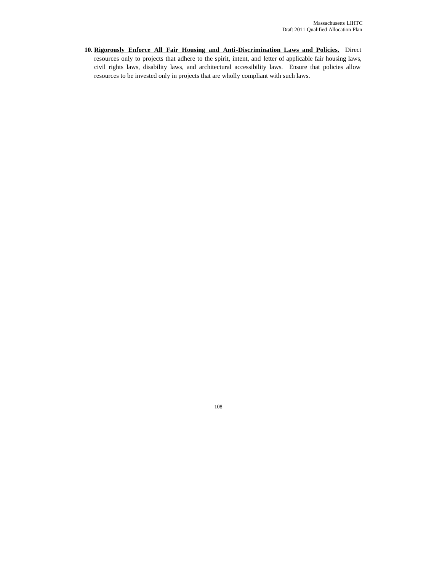**10. Rigorously Enforce All Fair Housing and Anti-Discrimination Laws and Policies.** Direct resources only to projects that adhere to the spirit, intent, and letter of applicable fair housing laws, civil rights laws, disability laws, and architectural accessibility laws. Ensure that policies allow resources to be invested only in projects that are wholly compliant with such laws.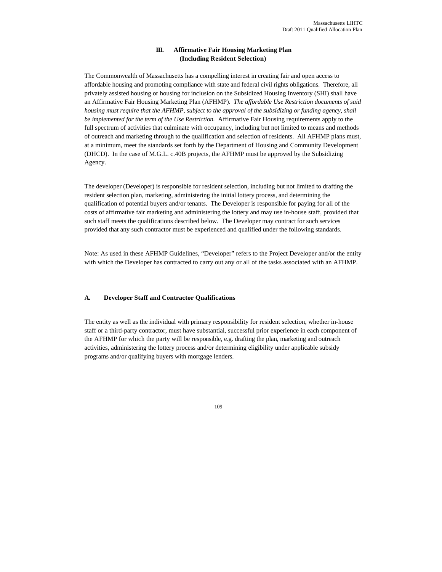# **III. Affirmative Fair Housing Marketing Plan (Including Resident Selection)**

The Commonwealth of Massachusetts has a compelling interest in creating fair and open access to affordable housing and promoting compliance with state and federal civil rights obligations. Therefore, all privately assisted housing or housing for inclusion on the Subsidized Housing Inventory (SHI) shall have an Affirmative Fair Housing Marketing Plan (AFHMP). *The affordable Use Restriction documents of said housing must require that the AFHMP, subject to the approval of the subsidizing or funding agency, shall be implemented for the term of the Use Restriction.* Affirmative Fair Housing requirements apply to the full spectrum of activities that culminate with occupancy, including but not limited to means and methods of outreach and marketing through to the qualification and selection of residents. All AFHMP plans must, at a minimum, meet the standards set forth by the Department of Housing and Community Development (DHCD). In the case of M.G.L. c.40B projects, the AFHMP must be approved by the Subsidizing Agency.

The developer (Developer) is responsible for resident selection, including but not limited to drafting the resident selection plan, marketing, administering the initial lottery process, and determining the qualification of potential buyers and/or tenants. The Developer is responsible for paying for all of the costs of affirmative fair marketing and administering the lottery and may use in-house staff, provided that such staff meets the qualifications described below. The Developer may contract for such services provided that any such contractor must be experienced and qualified under the following standards.

Note: As used in these AFHMP Guidelines, "Developer" refers to the Project Developer and/or the entity with which the Developer has contracted to carry out any or all of the tasks associated with an AFHMP.

### **A. Developer Staff and Contractor Qualifications**

The entity as well as the individual with primary responsibility for resident selection, whether in-house staff or a third-party contractor, must have substantial, successful prior experience in each component of the AFHMP for which the party will be responsible, e.g. drafting the plan, marketing and outreach activities, administering the lottery process and/or determining eligibility under applicable subsidy programs and/or qualifying buyers with mortgage lenders.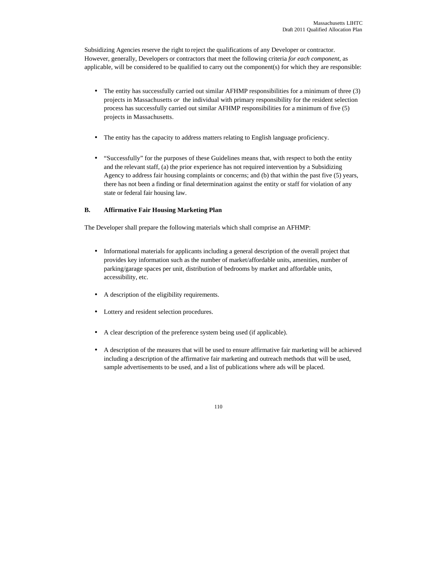Subsidizing Agencies reserve the right to reject the qualifications of any Developer or contractor. However, generally, Developers or contractors that meet the following criteria *for each component*, as applicable, will be considered to be qualified to carry out the component(s) for which they are responsible:

- The entity has successfully carried out similar AFHMP responsibilities for a minimum of three (3) projects in Massachusetts *or* the individual with primary responsibility for the resident selection process has successfully carried out similar AFHMP responsibilities for a minimum of five (5) projects in Massachusetts.
- The entity has the capacity to address matters relating to English language proficiency.
- "Successfully" for the purposes of these Guidelines means that, with respect to both the entity and the relevant staff, (a) the prior experience has not required intervention by a Subsidizing Agency to address fair housing complaints or concerns; and (b) that within the past five (5) years, there has not been a finding or final determination against the entity or staff for violation of any state or federal fair housing law.

### **B. Affirmative Fair Housing Marketing Plan**

The Developer shall prepare the following materials which shall comprise an AFHMP:

- Informational materials for applicants including a general description of the overall project that provides key information such as the number of market/affordable units, amenities, number of parking/garage spaces per unit, distribution of bedrooms by market and affordable units, accessibility, etc.
- A description of the eligibility requirements.
- Lottery and resident selection procedures.
- A clear description of the preference system being used (if applicable).
- A description of the measures that will be used to ensure affirmative fair marketing will be achieved including a description of the affirmative fair marketing and outreach methods that will be used, sample advertisements to be used, and a list of publications where ads will be placed.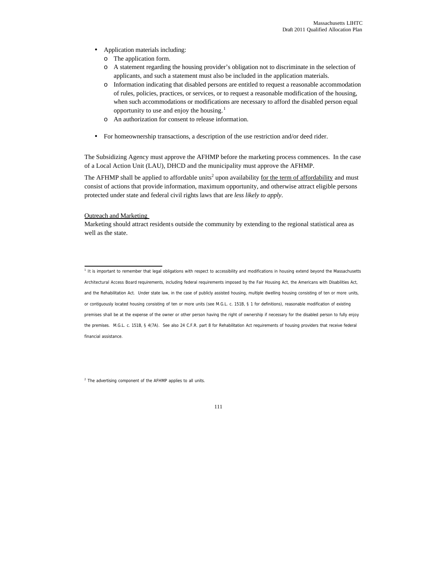- Application materials including:
	- o The application form.
	- o A statement regarding the housing provider's obligation not to discriminate in the selection of applicants, and such a statement must also be included in the application materials.
	- o Information indicating that disabled persons are entitled to request a reasonable accommodation of rules, policies, practices, or services, or to request a reasonable modification of the housing, when such accommodations or modifications are necessary to afford the disabled person equal opportunity to use and enjoy the housing. $<sup>1</sup>$ </sup>
	- o An authorization for consent to release information.
- For homeownership transactions, a description of the use restriction and/or deed rider.

The Subsidizing Agency must approve the AFHMP before the marketing process commences. In the case of a Local Action Unit (LAU), DHCD and the municipality must approve the AFHMP.

The AFHMP shall be applied to affordable units<sup>2</sup> upon availability <u>for the term of affordability</u> and must consist of actions that provide information, maximum opportunity, and otherwise attract eligible persons protected under state and federal civil rights laws that are *less likely to apply*.

#### Outreach and Marketing

Marketing should attract residents outside the community by extending to the regional statistical area as well as the state.

1<br>I It is important to remember that legal obligations with respect to accessibility and modifications in housing extend beyond the Massachusetts Architectural Access Board requirements, including federal requirements imposed by the Fair Housing Act, the Americans with Disabilities Act, and the Rehabilitation Act. Under state law, in the case of publicly assisted housing, multiple dwelling housing consisting of ten or more units, or contiguously located housing consisting of ten or more units (see M.G.L. c. 151B, § 1 for definitions), reasonable modification of existing premises shall *be at the expense of the owner* or other person having the right of ownership if necessary for the disabled person to fully enjoy the premises. M.G.L. c. 151B, § 4(7A). See also 24 C.F.R. part 8 for Rehabilitation Act requirements of housing providers that receive federal financial assistance.

 $2$  The advertising component of the AFHMP applies to all units.

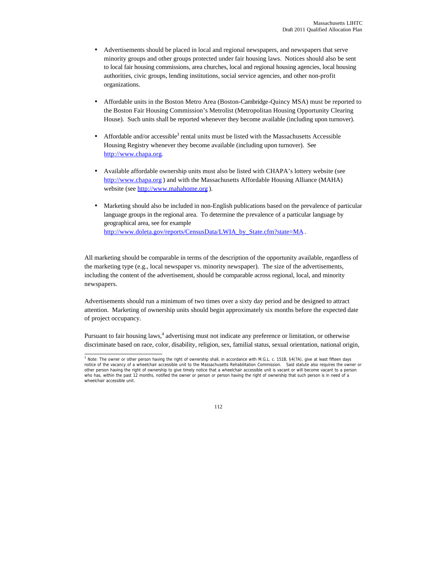- Advertisements should be placed in local and regional newspapers, and newspapers that serve minority groups and other groups protected under fair housing laws. Notices should also be sent to local fair housing commissions, area churches, local and regional housing agencies, local housing authorities, civic groups, lending institutions, social service agencies, and other non-profit organizations.
- Affordable units in the Boston Metro Area (Boston-Cambridge-Quincy MSA) must be reported to the Boston Fair Housing Commission's Metrolist (Metropolitan Housing Opportunity Clearing House). Such units shall be reported whenever they become available (including upon turnover).
- Affordable and/or accessible<sup>3</sup> rental units must be listed with the Massachusetts Accessible Housing Registry whenever they become available (including upon turnover). See http://www.chapa.org.
- Available affordable ownership units must also be listed with CHAPA's lottery website (see http://www.chapa.org ) and with the Massachusetts Affordable Housing Alliance (MAHA) website (see http://www.mahahome.org ).
- Marketing should also be included in non-English publications based on the prevalence of particular language groups in the regional area. To determine the prevalence of a particular language by geographical area, see for example http://www.doleta.gov/reports/CensusData/LWIA\_by\_State.cfm?state=MA.

All marketing should be comparable in terms of the description of the opportunity available, regardless of the marketing type (e.g., local newspaper vs. minority newspaper). The size of the advertisements, including the content of the advertisement, should be comparable across regional, local, and minority newspapers.

Advertisements should run a minimum of two times over a sixty day period and be designed to attract attention. Marketing of ownership units should begin approximately six months before the expected date of project occupancy.

Pursuant to fair housing laws,<sup>4</sup> advertising must not indicate any preference or limitation, or otherwise discriminate based on race, color, disability, religion, sex, familial status, sexual orientation, national origin,

<sup>&</sup>lt;sup>3</sup> Note: The owner or other person having the right of ownership shall, in accordance with M.G.L. c. 151B, §4(7A), give at least fifteen days notice of the vacancy of a wheelchair accessible unit to the Massachusetts Rehabilitation Commission. Said statute also requires the owner or other person having the right of ownership to give timely notice that a wheelchair accessible unit is vacant or will become vacant to a person who has, within the past 12 months, notified the owner or person or person having the right of ownership that such person is in need of a wheelchair accessible unit.

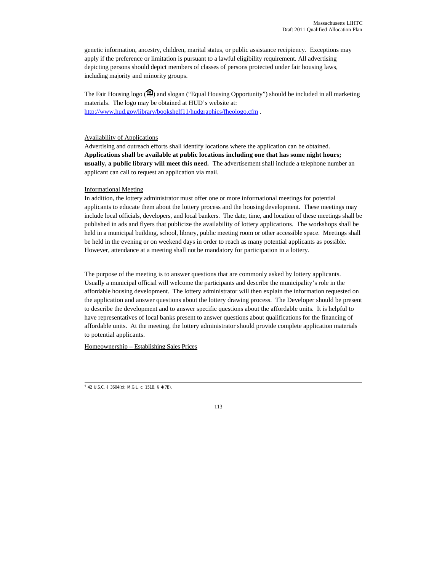genetic information, ancestry, children, marital status, or public assistance recipiency. Exceptions may apply if the preference or limitation is pursuant to a lawful eligibility requirement. All advertising depicting persons should depict members of classes of persons protected under fair housing laws, including majority and minority groups.

The Fair Housing logo  $($  $)$  and slogan ("Equal Housing Opportunity") should be included in all marketing materials. The logo may be obtained at HUD's website at: http://www.hud.gov/library/bookshelf11/hudgraphics/fheologo.cfm .

#### Availability of Applications

Advertising and outreach efforts shall identify locations where the application can be obtained. **Applications shall be available at public locations including one that has some night hours; usually, a public library will meet this need.** The advertisement shall include a telephone number an applicant can call to request an application via mail.

#### Informational Meeting

In addition, the lottery administrator must offer one or more informational meetings for potential applicants to educate them about the lottery process and the housing development. These meetings may include local officials, developers, and local bankers. The date, time, and location of these meetings shall be published in ads and flyers that publicize the availability of lottery applications. The workshops shall be held in a municipal building, school, library, public meeting room or other accessible space. Meetings shall be held in the evening or on weekend days in order to reach as many potential applicants as possible. However, attendance at a meeting shall not be mandatory for participation in a lottery.

The purpose of the meeting is to answer questions that are commonly asked by lottery applicants. Usually a municipal official will welcome the participants and describe the municipality's role in the affordable housing development. The lottery administrator will then explain the information requested on the application and answer questions about the lottery drawing process. The Developer should be present to describe the development and to answer specific questions about the affordable units. It is helpful to have representatives of local banks present to answer questions about qualifications for the financing of affordable units. At the meeting, the lottery administrator should provide complete application materials to potential applicants.

Homeownership – Establishing Sales Prices



 4 42 U.S.C. § 3604(c); M.G.L. c. 151B, § 4(7B).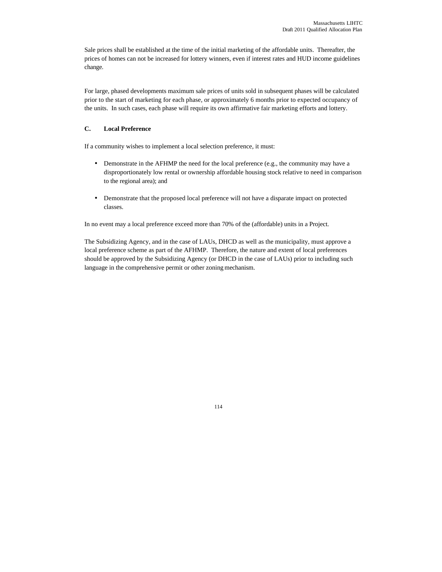Sale prices shall be established at the time of the initial marketing of the affordable units. Thereafter, the prices of homes can not be increased for lottery winners, even if interest rates and HUD income guidelines change.

For large, phased developments maximum sale prices of units sold in subsequent phases will be calculated prior to the start of marketing for each phase, or approximately 6 months prior to expected occupancy of the units. In such cases, each phase will require its own affirmative fair marketing efforts and lottery.

# **C. Local Preference**

If a community wishes to implement a local selection preference, it must:

- Demonstrate in the AFHMP the need for the local preference (e.g., the community may have a disproportionately low rental or ownership affordable housing stock relative to need in comparison to the regional area); and
- Demonstrate that the proposed local preference will not have a disparate impact on protected classes.

In no event may a local preference exceed more than 70% of the (affordable) units in a Project.

The Subsidizing Agency, and in the case of LAUs, DHCD as well as the municipality, must approve a local preference scheme as part of the AFHMP. Therefore, the nature and extent of local preferences should be approved by the Subsidizing Agency (or DHCD in the case of LAUs) prior to including such language in the comprehensive permit or other zoning mechanism.

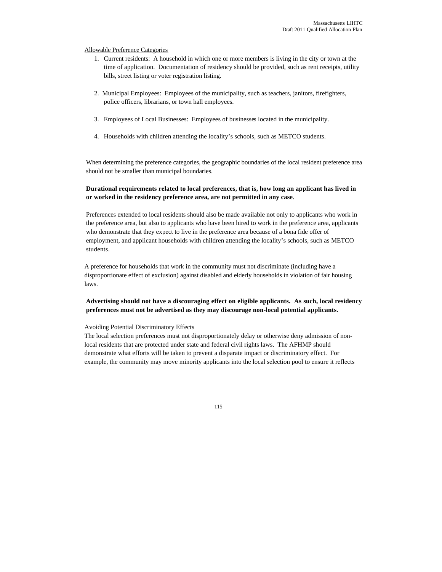### Allowable Preference Categories

- 1. Current residents: A household in which one or more members is living in the city or town at the time of application. Documentation of residency should be provided, such as rent receipts, utility bills, street listing or voter registration listing.
- 2. Municipal Employees: Employees of the municipality, such as teachers, janitors, firefighters, police officers, librarians, or town hall employees.
- 3. Employees of Local Businesses: Employees of businesses located in the municipality.
- 4. Households with children attending the locality's schools, such as METCO students.

When determining the preference categories, the geographic boundaries of the local resident preference area should not be smaller than municipal boundaries.

# **Durational requirements related to local preferences, that is, how long an applicant has lived in or worked in the residency preference area, are not permitted in any case**.

Preferences extended to local residents should also be made available not only to applicants who work in the preference area, but also to applicants who have been hired to work in the preference area, applicants who demonstrate that they expect to live in the preference area because of a bona fide offer of employment, and applicant households with children attending the locality's schools, such as METCO students.

A preference for households that work in the community must not discriminate (including have a disproportionate effect of exclusion) against disabled and elderly households in violation of fair housing laws.

### **Advertising should not have a discouraging effect on eligible applicants. As such, local residency preferences must not be advertised as they may discourage non-local potential applicants.**

#### Avoiding Potential Discriminatory Effects

The local selection preferences must not disproportionately delay or otherwise deny admission of nonlocal residents that are protected under state and federal civil rights laws. The AFHMP should demonstrate what efforts will be taken to prevent a disparate impact or discriminatory effect. For example, the community may move minority applicants into the local selection pool to ensure it reflects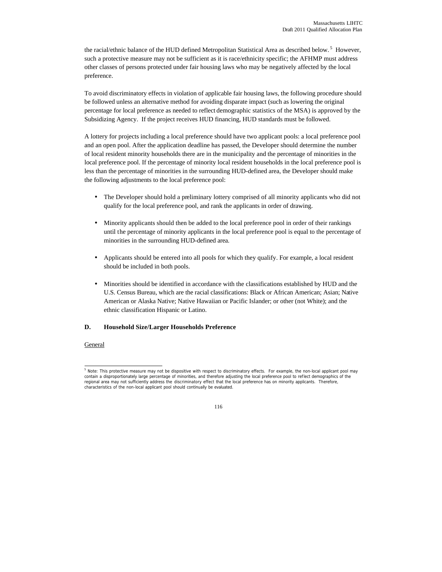the racial/ethnic balance of the HUD defined Metropolitan Statistical Area as described below.<sup>5</sup> However, such a protective measure may not be sufficient as it is race/ethnicity specific; the AFHMP must address other classes of persons protected under fair housing laws who may be negatively affected by the local preference.

To avoid discriminatory effects in violation of applicable fair housing laws, the following procedure should be followed unless an alternative method for avoiding disparate impact (such as lowering the original percentage for local preference as needed to reflect demographic statistics of the MSA) is approved by the Subsidizing Agency. If the project receives HUD financing, HUD standards must be followed.

A lottery for projects including a local preference should have two applicant pools: a local preference pool and an open pool. After the application deadline has passed, the Developer should determine the number of local resident minority households there are in the municipality and the percentage of minorities in the local preference pool. If the percentage of minority local resident households in the local preference pool is less than the percentage of minorities in the surrounding HUD-defined area, the Developer should make the following adjustments to the local preference pool:

- The Developer should hold a preliminary lottery comprised of all minority applicants who did not qualify for the local preference pool, and rank the applicants in order of drawing.
- Minority applicants should then be added to the local preference pool in order of their rankings until the percentage of minority applicants in the local preference pool is equal to the percentage of minorities in the surrounding HUD-defined area.
- Applicants should be entered into all pools for which they qualify. For example, a local resident should be included in both pools.
- Minorities should be identified in accordance with the classifications established by HUD and the U.S. Census Bureau, which are the racial classifications: Black or African American; Asian; Native American or Alaska Native; Native Hawaiian or Pacific Islander; or other (not White); and the ethnic classification Hispanic or Latino.

### **D. Household Size/Larger Households Preference**

#### General

 $\overline{a}$ <sup>5</sup> Note: This protective measure may not be dispositive with respect to discriminatory effects. For example, the non-local applicant pool may contain a disproportionately large percentage of minorities, and therefore adjusting the local preference pool to reflect demographics of the regional area may not sufficiently address the discriminatory effect that the local preference has on minority applicants. Therefore, characteristics of the non-local applicant pool should continually be evaluated.

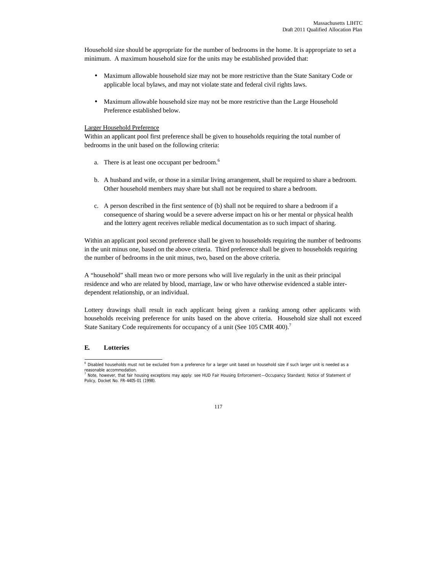Household size should be appropriate for the number of bedrooms in the home. It is appropriate to set a minimum. A maximum household size for the units may be established provided that:

- Maximum allowable household size may not be more restrictive than the State Sanitary Code or applicable local bylaws, and may not violate state and federal civil rights laws.
- Maximum allowable household size may not be more restrictive than the Large Household Preference established below.

### Larger Household Preference

Within an applicant pool first preference shall be given to households requiring the total number of bedrooms in the unit based on the following criteria:

- a. There is at least one occupant per bedroom.<sup>6</sup>
- b. A husband and wife, or those in a similar living arrangement, shall be required to share a bedroom. Other household members may share but shall not be required to share a bedroom.
- c. A person described in the first sentence of (b) shall not be required to share a bedroom if a consequence of sharing would be a severe adverse impact on his or her mental or physical health and the lottery agent receives reliable medical documentation as to such impact of sharing.

Within an applicant pool second preference shall be given to households requiring the number of bedrooms in the unit minus one, based on the above criteria. Third preference shall be given to households requiring the number of bedrooms in the unit minus, two, based on the above criteria.

A "household" shall mean two or more persons who will live regularly in the unit as their principal residence and who are related by blood, marriage, law or who have otherwise evidenced a stable interdependent relationship, or an individual.

Lottery drawings shall result in each applicant being given a ranking among other applicants with households receiving preference for units based on the above criteria.Household size shall not exceed State Sanitary Code requirements for occupancy of a unit (See 105 CMR 400).<sup>7</sup>

### **E. Lotteries**

<sup>&</sup>lt;sup>7</sup> Note, however, that fair housing exceptions may apply: see HUD Fair Housing Enforcement—Occupancy Standard; Notice of Statement of Policy, Docket No. FR-4405-01 (1998).



<sup>&</sup>lt;sup>6</sup> Disabled households must not be excluded from a preference for a larger unit based on household size if such larger unit is needed as a reasonable accommodation.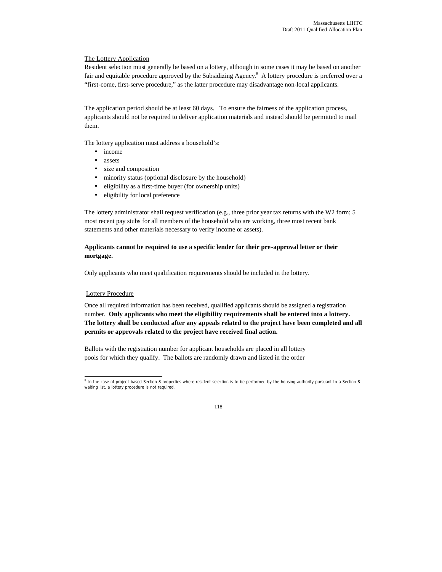### The Lottery Application

Resident selection must generally be based on a lottery, although in some cases it may be based on another fair and equitable procedure approved by the Subsidizing Agency.<sup>8</sup> A lottery procedure is preferred over a "first-come, first-serve procedure," as the latter procedure may disadvantage non-local applicants.

The application period should be at least 60 days. To ensure the fairness of the application process, applicants should not be required to deliver application materials and instead should be permitted to mail them.

The lottery application must address a household's:

- income
- assets
- size and composition
- minority status (optional disclosure by the household)
- eligibility as a first-time buyer (for ownership units)
- eligibility for local preference

The lottery administrator shall request verification (e.g., three prior year tax returns with the W2 form; 5 most recent pay stubs for all members of the household who are working, three most recent bank statements and other materials necessary to verify income or assets).

# **Applicants cannot be required to use a specific lender for their pre-approval letter or their mortgage.**

Only applicants who meet qualification requirements should be included in the lottery.

### Lottery Procedure

Once all required information has been received, qualified applicants should be assigned a registration number. **Only applicants who meet the eligibility requirements shall be entered into a lottery. The lottery shall be conducted after any appeals related to the project have been completed and all permits or approvals related to the project have received final action.**

Ballots with the registration number for applicant households are placed in all lottery pools for which they qualify. The ballots are randomly drawn and listed in the order

<sup>&</sup>lt;sup>8</sup> In the case of project based Section 8 properties where resident selection is to be performed by the housing authority pursuant to a Section 8 waiting list, a lottery procedure is not required.

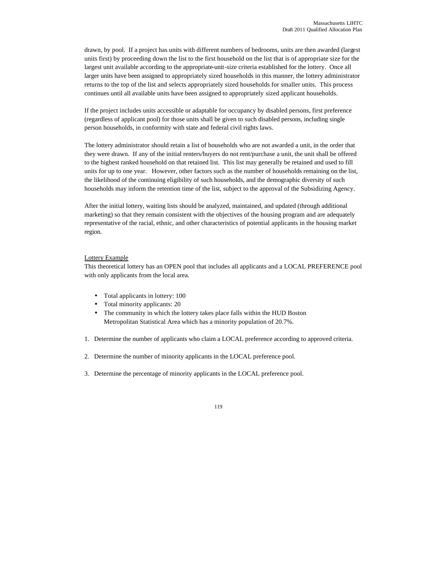drawn, by pool. If a project has units with different numbers of bedrooms, units are then awarded (largest units first) by proceeding down the list to the first household on the list that is of appropriate size for the largest unit available according to the appropriate-unit-size criteria established for the lottery. Once all larger units have been assigned to appropriately sized households in this manner, the lottery administrator returns to the top of the list and selects appropriately sized households for smaller units. This process continues until all available units have been assigned to appropriately sized applicant households.

If the project includes units accessible or adaptable for occupancy by disabled persons, first preference (regardless of applicant pool) for those units shall be given to such disabled persons, including single person households, in conformity with state and federal civil rights laws.

The lottery administrator should retain a list of households who are not awarded a unit, in the order that they were drawn. If any of the initial renters/buyers do not rent/purchase a unit, the unit shall be offered to the highest ranked household on that retained list. This list may generally be retained and used to fill units for up to one year. However, other factors such as the number of households remaining on the list, the likelihood of the continuing eligibility of such households, and the demographic diversity of such households may inform the retention time of the list, subject to the approval of the Subsidizing Agency.

After the initial lottery, waiting lists should be analyzed, maintained, and updated (through additional marketing) so that they remain consistent with the objectives of the housing program and are adequately representative of the racial, ethnic, and other characteristics of potential applicants in the housing market region.

### Lottery Example

This theoretical lottery has an OPEN pool that includes all applicants and a LOCAL PREFERENCE pool with only applicants from the local area.

- Total applicants in lottery: 100
- Total minority applicants: 20
- The community in which the lottery takes place falls within the HUD Boston Metropolitan Statistical Area which has a minority population of 20.7%.
- 1. Determine the number of applicants who claim a LOCAL preference according to approved criteria.
- 2. Determine the number of minority applicants in the LOCAL preference pool.
- 3. Determine the percentage of minority applicants in the LOCAL preference pool.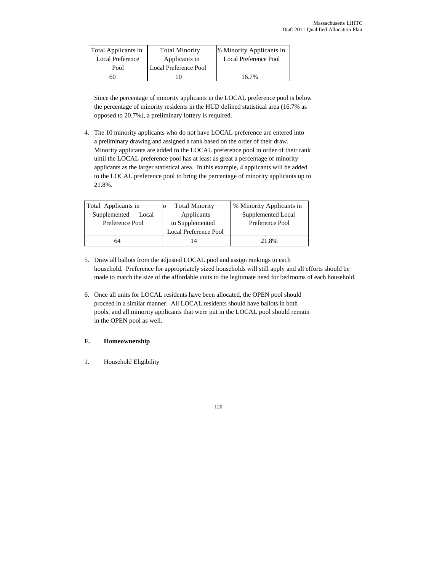| Total Applicants in     | <b>Total Minority</b> | % Minority Applicants in |
|-------------------------|-----------------------|--------------------------|
| <b>Local Preference</b> | Applicants in         | Local Preference Pool    |
| Pool                    | Local Preference Pool |                          |
|                         |                       | 16.7%                    |

Since the percentage of minority applicants in the LOCAL preference pool is below the percentage of minority residents in the HUD defined statistical area (16.7% as opposed to 20.7%), a preliminary lottery is required.

4. The 10 minority applicants who do not have LOCAL preference are entered into a preliminary drawing and assigned a rank based on the order of their draw. Minority applicants are added to the LOCAL preference pool in order of their rank until the LOCAL preference pool has at least as great a percentage of minority applicants as the larger statistical area. In this example, 4 applicants will be added to the LOCAL preference pool to bring the percentage of minority applicants up to 21.8%.

| Total Applicants in |                       | <b>Total Minority</b>        | % Minority Applicants in |
|---------------------|-----------------------|------------------------------|--------------------------|
|                     | Supplemented<br>Local | Applicants                   | Supplemented Local       |
| Preference Pool     |                       | in Supplemented              | Preference Pool          |
|                     |                       | <b>Local Preference Pool</b> |                          |
|                     | 64                    |                              | 21.8%                    |

- 5. Draw all ballots from the adjusted LOCAL pool and assign rankings to each household. Preference for appropriately sized households will still apply and all efforts should be made to match the size of the affordable units to the legitimate need for bedrooms of each household.
- 6. Once all units for LOCAL residents have been allocated, the OPEN pool should proceed in a similar manner. All LOCAL residents should have ballots in both pools, and all minority applicants that were put in the LOCAL pool should remain in the OPEN pool as well.

### **F. Homeownership**

1. Household Eligibility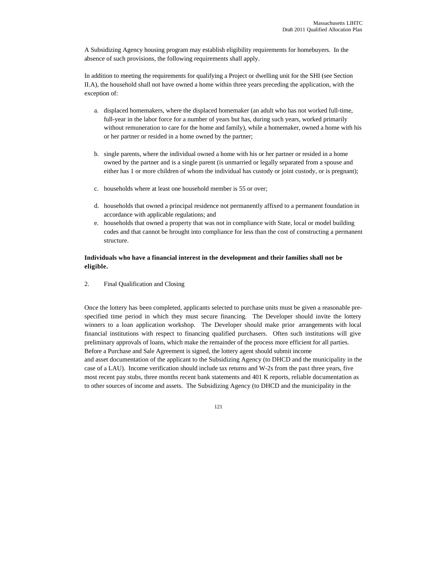A Subsidizing Agency housing program may establish eligibility requirements for homebuyers. In the absence of such provisions, the following requirements shall apply.

In addition to meeting the requirements for qualifying a Project or dwelling unit for the SHI (see Section II.A), the household shall not have owned a home within three years preceding the application, with the exception of:

- a. displaced homemakers, where the displaced homemaker (an adult who has not worked full-time, full-year in the labor force for a number of years but has, during such years, worked primarily without remuneration to care for the home and family), while a homemaker, owned a home with his or her partner or resided in a home owned by the partner;
- b. single parents, where the individual owned a home with his or her partner or resided in a home owned by the partner and is a single parent (is unmarried or legally separated from a spouse and either has 1 or more children of whom the individual has custody or joint custody, or is pregnant);
- c. households where at least one household member is 55 or over;
- d. households that owned a principal residence not permanently affixed to a permanent foundation in accordance with applicable regulations; and
- e. households that owned a property that was not in compliance with State, local or model building codes and that cannot be brought into compliance for less than the cost of constructing a permanent structure.

# **Individuals who have a financial interest in the development and their families shall not be eligible.**

2. Final Qualification and Closing

Once the lottery has been completed, applicants selected to purchase units must be given a reasonable prespecified time period in which they must secure financing. The Developer should invite the lottery winners to a loan application workshop. The Developer should make prior arrangements with local financial institutions with respect to financing qualified purchasers. Often such institutions will give preliminary approvals of loans, which make the remainder of the process more efficient for all parties. Before a Purchase and Sale Agreement is signed, the lottery agent should submit income and asset documentation of the applicant to the Subsidizing Agency (to DHCD and the municipality in the case of a LAU). Income verification should include tax returns and W-2s from the past three years, five most recent pay stubs, three months recent bank statements and 401 K reports, reliable documentation as to other sources of income and assets. The Subsidizing Agency (to DHCD and the municipality in the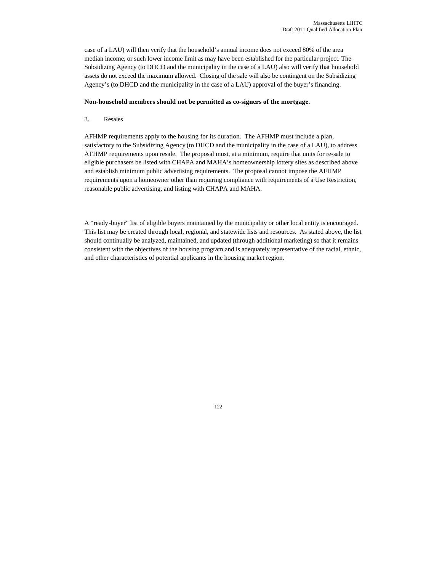case of a LAU) will then verify that the household's annual income does not exceed 80% of the area median income, or such lower income limit as may have been established for the particular project. The Subsidizing Agency (to DHCD and the municipality in the case of a LAU) also will verify that household assets do not exceed the maximum allowed. Closing of the sale will also be contingent on the Subsidizing Agency's (to DHCD and the municipality in the case of a LAU) approval of the buyer's financing.

#### **Non-household members should not be permitted as co-signers of the mortgage.**

### 3. Resales

AFHMP requirements apply to the housing for its duration. The AFHMP must include a plan, satisfactory to the Subsidizing Agency (to DHCD and the municipality in the case of a LAU), to address AFHMP requirements upon resale. The proposal must, at a minimum, require that units for re-sale to eligible purchasers be listed with CHAPA and MAHA's homeownership lottery sites as described above and establish minimum public advertising requirements. The proposal cannot impose the AFHMP requirements upon a homeowner other than requiring compliance with requirements of a Use Restriction, reasonable public advertising, and listing with CHAPA and MAHA.

A "ready-buyer" list of eligible buyers maintained by the municipality or other local entity is encouraged. This list may be created through local, regional, and statewide lists and resources. As stated above, the list should continually be analyzed, maintained, and updated (through additional marketing) so that it remains consistent with the objectives of the housing program and is adequately representative of the racial, ethnic, and other characteristics of potential applicants in the housing market region.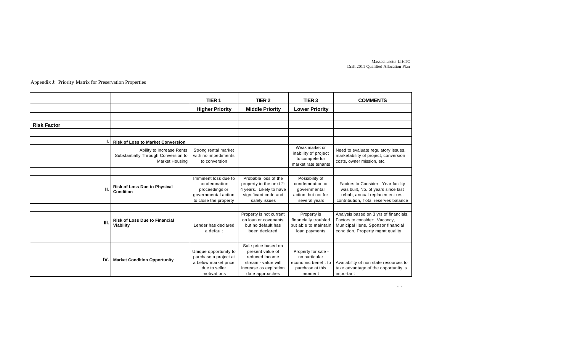Massachusetts LIHTC Draft 2011 Qualified Allocation Plan

- -

Appendix J: Priority Matrix for Preservation Properties

|                    |                                                                                    | TIER <sub>1</sub>                                                                                      | TIER <sub>2</sub>                                                                                                             | TIER <sub>3</sub>                                                                         | <b>COMMENTS</b>                                                                                                                                    |
|--------------------|------------------------------------------------------------------------------------|--------------------------------------------------------------------------------------------------------|-------------------------------------------------------------------------------------------------------------------------------|-------------------------------------------------------------------------------------------|----------------------------------------------------------------------------------------------------------------------------------------------------|
|                    |                                                                                    | <b>Higher Priority</b>                                                                                 | <b>Middle Priority</b>                                                                                                        | <b>Lower Priority</b>                                                                     |                                                                                                                                                    |
|                    |                                                                                    |                                                                                                        |                                                                                                                               |                                                                                           |                                                                                                                                                    |
| <b>Risk Factor</b> |                                                                                    |                                                                                                        |                                                                                                                               |                                                                                           |                                                                                                                                                    |
|                    |                                                                                    |                                                                                                        |                                                                                                                               |                                                                                           |                                                                                                                                                    |
|                    | <b>Risk of Loss to Market Conversion</b>                                           |                                                                                                        |                                                                                                                               |                                                                                           |                                                                                                                                                    |
|                    | Ability to Increase Rents<br>Substantially Through Conversion to<br>Market Housing | Strong rental market<br>with no impediments<br>to conversion                                           |                                                                                                                               | Weak market or<br>inability of project<br>to compete for<br>market rate tenants           | Need to evaluate regulatory issues,<br>marketability of project, conversion<br>costs, owner mission, etc.                                          |
|                    |                                                                                    |                                                                                                        |                                                                                                                               |                                                                                           |                                                                                                                                                    |
| II.                | <b>Risk of Loss Due to Physical</b><br>Condition                                   | Imminent loss due to<br>condemnation<br>proceedings or<br>governmental action<br>to close the property | Probable loss of the<br>property in the next 2-<br>4 years. Likely to have<br>significant code and<br>safety issues           | Possibility of<br>condemnation or<br>qovernmental<br>action, but not for<br>several years | Factors to Consider: Year facility<br>was built, No. of years since last<br>rehab, annual replacement res.<br>contribution, Total reserves balance |
|                    |                                                                                    |                                                                                                        |                                                                                                                               |                                                                                           |                                                                                                                                                    |
| III.               | <b>Risk of Loss Due to Financial</b><br>Viability                                  | Lender has declared<br>a default                                                                       | Property is not current<br>on loan or covenants<br>but no default has<br>been declared                                        | Property is<br>financially troubled<br>but able to maintain<br>loan payments              | Analysis based on 3 yrs of financials.<br>Factors to consider: Vacancy,<br>Municipal liens, Sponsor financial<br>condition, Property mgmt quality  |
|                    |                                                                                    |                                                                                                        |                                                                                                                               |                                                                                           |                                                                                                                                                    |
| IV.I               | <b>Market Condition Opportunity</b>                                                | Unique opportunity to<br>purchase a project at<br>a below market price<br>due to seller<br>motivations | Sale price based on<br>present value of<br>reduced income<br>stream - value will<br>increase as expiration<br>date approaches | Property for sale -<br>no particular<br>economic benefit to<br>purchase at this<br>moment | Availability of non state resources to<br>take advantage of the opportunity is<br>important                                                        |